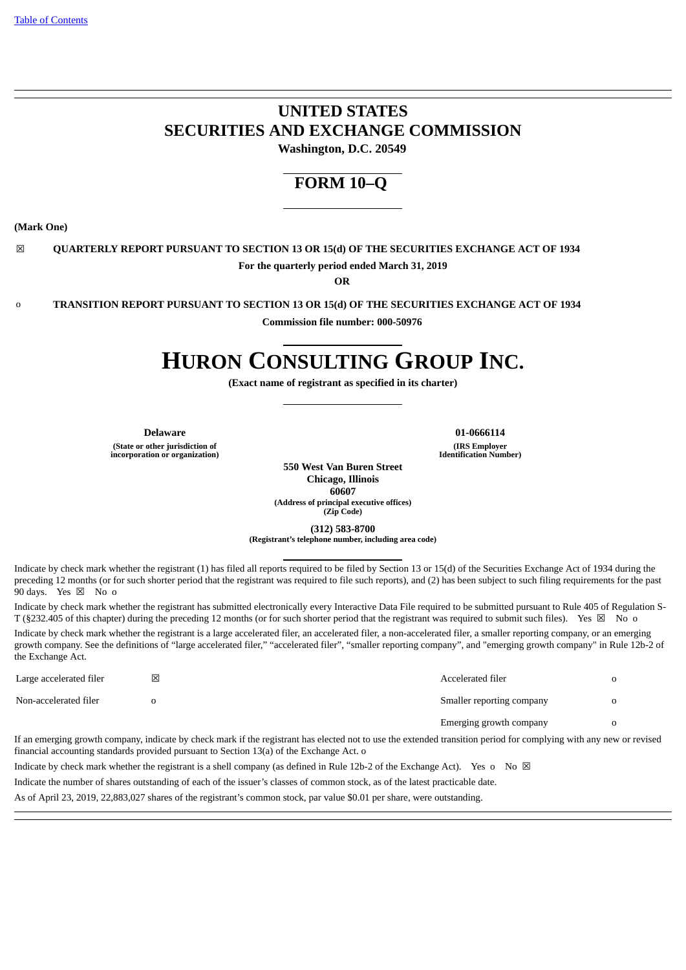# **UNITED STATES SECURITIES AND EXCHANGE COMMISSION**

**Washington, D.C. 20549**

# **FORM 10–Q**

**(Mark One)**

☒ **QUARTERLY REPORT PURSUANT TO SECTION 13 OR 15(d) OF THE SECURITIES EXCHANGE ACT OF 1934 For the quarterly period ended March 31, 2019**

**OR**

o **TRANSITION REPORT PURSUANT TO SECTION 13 OR 15(d) OF THE SECURITIES EXCHANGE ACT OF 1934**

**Commission file number: 000-50976**

# **HURON CONSULTING GROUP INC.**

**(Exact name of registrant as specified in its charter)**

**(State or other jurisdiction of incorporation or organization)**

**Delaware 01-0666114 (IRS Employer Identification Number)**

**550 West Van Buren Street Chicago, Illinois 60607 (Address of principal executive offices) (Zip Code)**

**(312) 583-8700**

**(Registrant's telephone number, including area code)**

Indicate by check mark whether the registrant (1) has filed all reports required to be filed by Section 13 or 15(d) of the Securities Exchange Act of 1934 during the preceding 12 months (or for such shorter period that the registrant was required to file such reports), and (2) has been subject to such filing requirements for the past 90 days. Yes  $\boxtimes$  No o

Indicate by check mark whether the registrant has submitted electronically every Interactive Data File required to be submitted pursuant to Rule 405 of Regulation S-T (§232.405 of this chapter) during the preceding 12 months (or for such shorter period that the registrant was required to submit such files). Yes  $\boxtimes$  No o Indicate by check mark whether the registrant is a large accelerated filer, an accelerated filer, a non-accelerated filer, a smaller reporting company, or an emerging growth company. See the definitions of "large accelerated filer," "accelerated filer", "smaller reporting company", and "emerging growth company" in Rule 12b-2 of the Exchange Act.

| Large accelerated filer | 区 | Accelerated filer         |  |
|-------------------------|---|---------------------------|--|
| Non-accelerated filer   |   | Smaller reporting company |  |
|                         |   | Emerging growth company   |  |

If an emerging growth company, indicate by check mark if the registrant has elected not to use the extended transition period for complying with any new or revised financial accounting standards provided pursuant to Section 13(a) of the Exchange Act. o

Indicate by check mark whether the registrant is a shell company (as defined in Rule 12b-2 of the Exchange Act). Yes o No  $\boxtimes$ 

Indicate the number of shares outstanding of each of the issuer's classes of common stock, as of the latest practicable date.

As of April 23, 2019, 22,883,027 shares of the registrant's common stock, par value \$0.01 per share, were outstanding.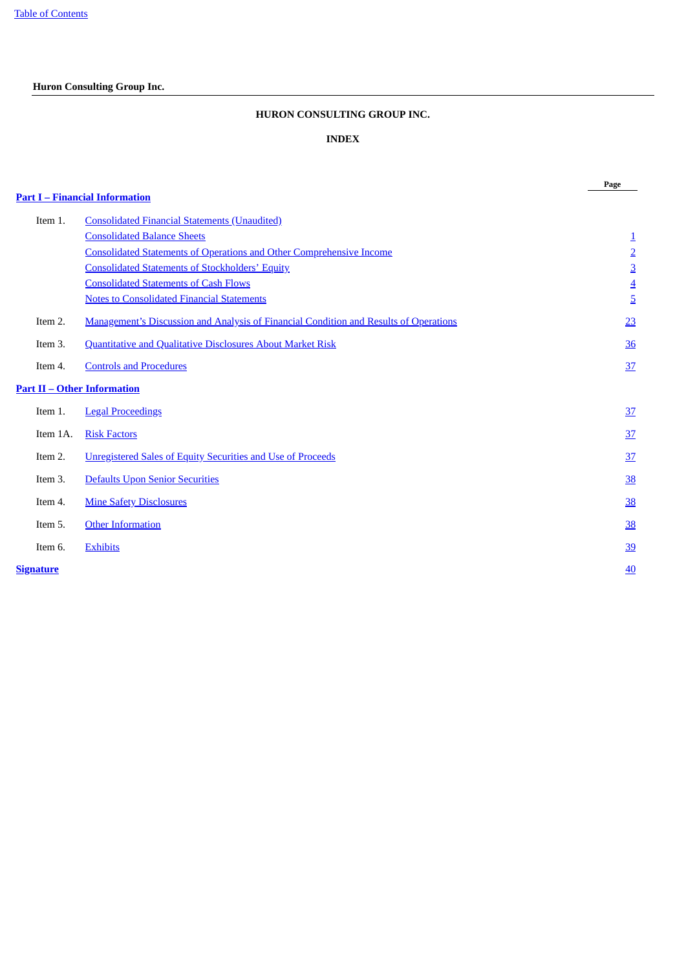## <span id="page-1-0"></span>**Huron Consulting Group Inc.**

## **HURON CONSULTING GROUP INC.**

## **INDEX**

**Page**

|                  | <b>Part I – Financial Information</b>                                                        |                |
|------------------|----------------------------------------------------------------------------------------------|----------------|
| Item 1.          | <b>Consolidated Financial Statements (Unaudited)</b>                                         |                |
|                  | <b>Consolidated Balance Sheets</b>                                                           | $\overline{1}$ |
|                  | <b>Consolidated Statements of Operations and Other Comprehensive Income</b>                  | $\overline{2}$ |
|                  | <b>Consolidated Statements of Stockholders' Equity</b>                                       | $\overline{3}$ |
|                  | <b>Consolidated Statements of Cash Flows</b>                                                 | $\overline{4}$ |
|                  | <b>Notes to Consolidated Financial Statements</b>                                            | $\overline{5}$ |
| Item 2.          | <b>Management's Discussion and Analysis of Financial Condition and Results of Operations</b> | 23             |
| Item 3.          | <b>Quantitative and Qualitative Disclosures About Market Risk</b>                            | 36             |
| Item 4.          | <b>Controls and Procedures</b>                                                               | 37             |
|                  | <u> Part II – Other Information</u>                                                          |                |
| Item 1.          | <b>Legal Proceedings</b>                                                                     | 37             |
| Item 1A.         | <b>Risk Factors</b>                                                                          | 37             |
| Item 2.          | <b>Unregistered Sales of Equity Securities and Use of Proceeds</b>                           | 37             |
| Item 3.          | <b>Defaults Upon Senior Securities</b>                                                       | 38             |
| Item 4.          | <b>Mine Safety Disclosures</b>                                                               | <u>38</u>      |
| Item 5.          | <b>Other Information</b>                                                                     | <u>38</u>      |
| Item 6.          | <b>Exhibits</b>                                                                              | <u>39</u>      |
| <u>Signature</u> |                                                                                              | 40             |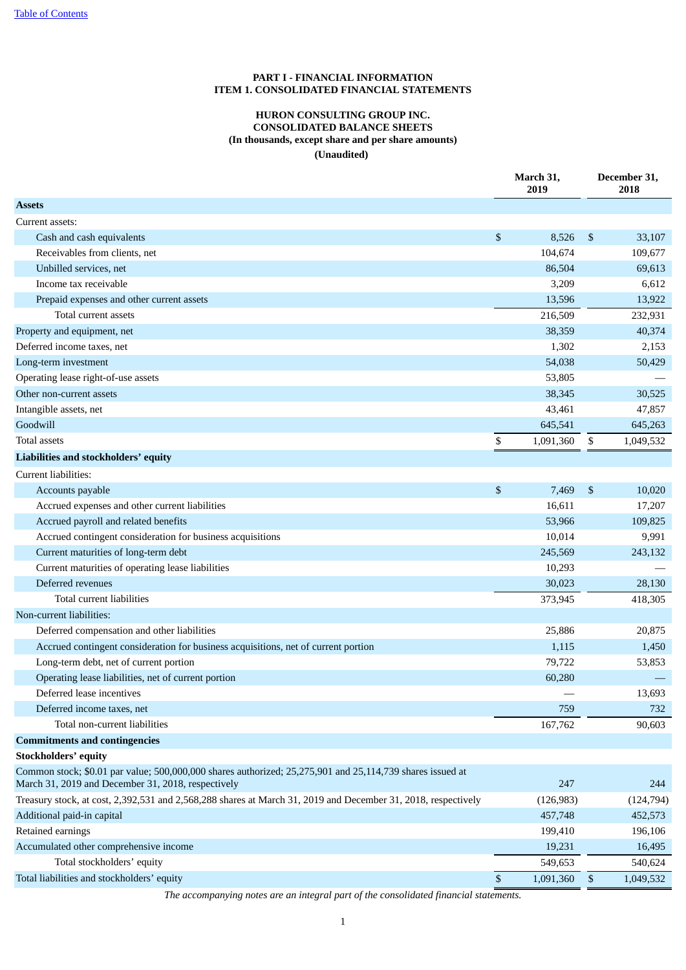## **PART I - FINANCIAL INFORMATION ITEM 1. CONSOLIDATED FINANCIAL STATEMENTS**

## **HURON CONSULTING GROUP INC. CONSOLIDATED BALANCE SHEETS (In thousands, except share and per share amounts) (Unaudited)**

<span id="page-2-2"></span><span id="page-2-1"></span><span id="page-2-0"></span>

|                                                                                                                                                                 |      | March 31,<br>2019 |                | December 31,<br>2018 |
|-----------------------------------------------------------------------------------------------------------------------------------------------------------------|------|-------------------|----------------|----------------------|
| <b>Assets</b>                                                                                                                                                   |      |                   |                |                      |
| Current assets:                                                                                                                                                 |      |                   |                |                      |
| Cash and cash equivalents                                                                                                                                       | \$   | 8,526             | \$             | 33,107               |
| Receivables from clients, net                                                                                                                                   |      | 104,674           |                | 109,677              |
| Unbilled services, net                                                                                                                                          |      | 86,504            |                | 69,613               |
| Income tax receivable                                                                                                                                           |      | 3,209             |                | 6,612                |
| Prepaid expenses and other current assets                                                                                                                       |      | 13,596            |                | 13,922               |
| Total current assets                                                                                                                                            |      | 216,509           |                | 232,931              |
| Property and equipment, net                                                                                                                                     |      | 38,359            |                | 40,374               |
| Deferred income taxes, net                                                                                                                                      |      | 1,302             |                | 2,153                |
| Long-term investment                                                                                                                                            |      | 54,038            |                | 50,429               |
| Operating lease right-of-use assets                                                                                                                             |      | 53,805            |                |                      |
| Other non-current assets                                                                                                                                        |      | 38,345            |                | 30,525               |
| Intangible assets, net                                                                                                                                          |      | 43,461            |                | 47,857               |
| Goodwill                                                                                                                                                        |      | 645,541           |                | 645,263              |
| <b>Total assets</b>                                                                                                                                             | \$   | 1,091,360         | \$             | 1,049,532            |
| Liabilities and stockholders' equity                                                                                                                            |      |                   |                |                      |
| Current liabilities:                                                                                                                                            |      |                   |                |                      |
| Accounts payable                                                                                                                                                | $\$$ | 7,469             | $\mathfrak{s}$ | 10,020               |
| Accrued expenses and other current liabilities                                                                                                                  |      | 16,611            |                | 17,207               |
| Accrued payroll and related benefits                                                                                                                            |      | 53,966            |                | 109,825              |
| Accrued contingent consideration for business acquisitions                                                                                                      |      | 10,014            |                | 9,991                |
| Current maturities of long-term debt                                                                                                                            |      | 245,569           |                | 243,132              |
| Current maturities of operating lease liabilities                                                                                                               |      | 10,293            |                |                      |
| Deferred revenues                                                                                                                                               |      | 30,023            |                | 28,130               |
| Total current liabilities                                                                                                                                       |      | 373,945           |                | 418,305              |
| Non-current liabilities:                                                                                                                                        |      |                   |                |                      |
| Deferred compensation and other liabilities                                                                                                                     |      | 25,886            |                | 20,875               |
| Accrued contingent consideration for business acquisitions, net of current portion                                                                              |      | 1,115             |                | 1,450                |
| Long-term debt, net of current portion                                                                                                                          |      | 79,722            |                | 53,853               |
| Operating lease liabilities, net of current portion                                                                                                             |      | 60,280            |                |                      |
| Deferred lease incentives                                                                                                                                       |      |                   |                | 13,693               |
| Deferred income taxes, net                                                                                                                                      |      | 759               |                | 732                  |
| Total non-current liabilities                                                                                                                                   |      | 167,762           |                | 90,603               |
| <b>Commitments and contingencies</b>                                                                                                                            |      |                   |                |                      |
| <b>Stockholders' equity</b>                                                                                                                                     |      |                   |                |                      |
| Common stock; \$0.01 par value; 500,000,000 shares authorized; 25,275,901 and 25,114,739 shares issued at<br>March 31, 2019 and December 31, 2018, respectively |      | 247               |                | 244                  |
| Treasury stock, at cost, 2,392,531 and 2,568,288 shares at March 31, 2019 and December 31, 2018, respectively                                                   |      | (126, 983)        |                | (124, 794)           |
| Additional paid-in capital                                                                                                                                      |      | 457,748           |                | 452,573              |
| Retained earnings                                                                                                                                               |      | 199,410           |                | 196,106              |
| Accumulated other comprehensive income                                                                                                                          |      | 19,231            |                | 16,495               |
| Total stockholders' equity                                                                                                                                      |      | 549,653           |                | 540,624              |
| Total liabilities and stockholders' equity                                                                                                                      | \$   | 1,091,360         | \$             | 1,049,532            |

*The accompanying notes are an integral part of the consolidated financial statements.*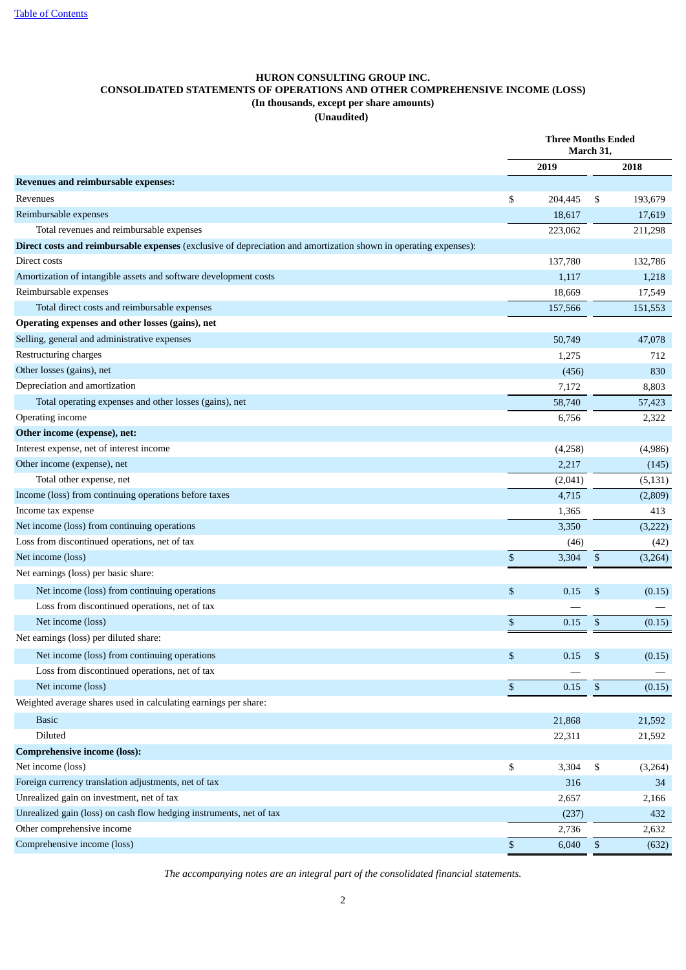## <span id="page-3-0"></span>**HURON CONSULTING GROUP INC. CONSOLIDATED STATEMENTS OF OPERATIONS AND OTHER COMPREHENSIVE INCOME (LOSS) (In thousands, except per share amounts) (Unaudited)**

|                                                                                                                  |      | <b>Three Months Ended</b><br>March 31, |              |          |
|------------------------------------------------------------------------------------------------------------------|------|----------------------------------------|--------------|----------|
|                                                                                                                  |      | 2019                                   |              | 2018     |
| Revenues and reimbursable expenses:                                                                              |      |                                        |              |          |
| Revenues                                                                                                         | \$   | 204,445                                | \$           | 193,679  |
| Reimbursable expenses                                                                                            |      | 18,617                                 |              | 17,619   |
| Total revenues and reimbursable expenses                                                                         |      | 223,062                                |              | 211,298  |
| Direct costs and reimbursable expenses (exclusive of depreciation and amortization shown in operating expenses): |      |                                        |              |          |
| Direct costs                                                                                                     |      | 137,780                                |              | 132,786  |
| Amortization of intangible assets and software development costs                                                 |      | 1,117                                  |              | 1,218    |
| Reimbursable expenses                                                                                            |      | 18,669                                 |              | 17,549   |
| Total direct costs and reimbursable expenses                                                                     |      | 157,566                                |              | 151,553  |
| Operating expenses and other losses (gains), net                                                                 |      |                                        |              |          |
| Selling, general and administrative expenses                                                                     |      | 50,749                                 |              | 47,078   |
| Restructuring charges                                                                                            |      | 1,275                                  |              | 712      |
| Other losses (gains), net                                                                                        |      | (456)                                  |              | 830      |
| Depreciation and amortization                                                                                    |      | 7,172                                  |              | 8,803    |
| Total operating expenses and other losses (gains), net                                                           |      | 58,740                                 |              | 57,423   |
| Operating income                                                                                                 |      | 6,756                                  |              | 2,322    |
| Other income (expense), net:                                                                                     |      |                                        |              |          |
| Interest expense, net of interest income                                                                         |      | (4,258)                                |              | (4,986)  |
| Other income (expense), net                                                                                      |      | 2,217                                  |              | (145)    |
| Total other expense, net                                                                                         |      | (2,041)                                |              | (5, 131) |
| Income (loss) from continuing operations before taxes                                                            |      | 4,715                                  |              | (2,809)  |
| Income tax expense                                                                                               |      | 1,365                                  |              | 413      |
| Net income (loss) from continuing operations                                                                     |      | 3,350                                  |              | (3,222)  |
| Loss from discontinued operations, net of tax                                                                    |      | (46)                                   |              | (42)     |
| Net income (loss)                                                                                                | \$   | 3,304                                  | \$           | (3,264)  |
| Net earnings (loss) per basic share:                                                                             |      |                                        |              |          |
| Net income (loss) from continuing operations                                                                     | \$   | 0.15                                   | \$           | (0.15)   |
| Loss from discontinued operations, net of tax                                                                    |      |                                        |              |          |
| Net income (loss)                                                                                                | \$   | 0.15                                   | \$           | (0.15)   |
| Net earnings (loss) per diluted share:                                                                           |      |                                        |              |          |
| Net income (loss) from continuing operations                                                                     | \$   | 0.15                                   | $\mathbb{S}$ | (0.15)   |
| Loss from discontinued operations, net of tax                                                                    |      |                                        |              |          |
| Net income (loss)                                                                                                | $\,$ | 0.15                                   | $\mathbb{S}$ | (0.15)   |
| Weighted average shares used in calculating earnings per share:                                                  |      |                                        |              |          |
| <b>Basic</b>                                                                                                     |      | 21,868                                 |              | 21,592   |
| Diluted                                                                                                          |      | 22,311                                 |              | 21,592   |
| <b>Comprehensive income (loss):</b>                                                                              |      |                                        |              |          |
| Net income (loss)                                                                                                | \$   | 3,304                                  | \$           | (3,264)  |
| Foreign currency translation adjustments, net of tax                                                             |      | 316                                    |              | 34       |
| Unrealized gain on investment, net of tax                                                                        |      | 2,657                                  |              | 2,166    |
| Unrealized gain (loss) on cash flow hedging instruments, net of tax                                              |      | (237)                                  |              | 432      |
| Other comprehensive income                                                                                       |      | 2,736                                  |              | 2,632    |
| Comprehensive income (loss)                                                                                      | \$   | 6,040                                  | \$           | (632)    |
|                                                                                                                  |      |                                        |              |          |

*The accompanying notes are an integral part of the consolidated financial statements.*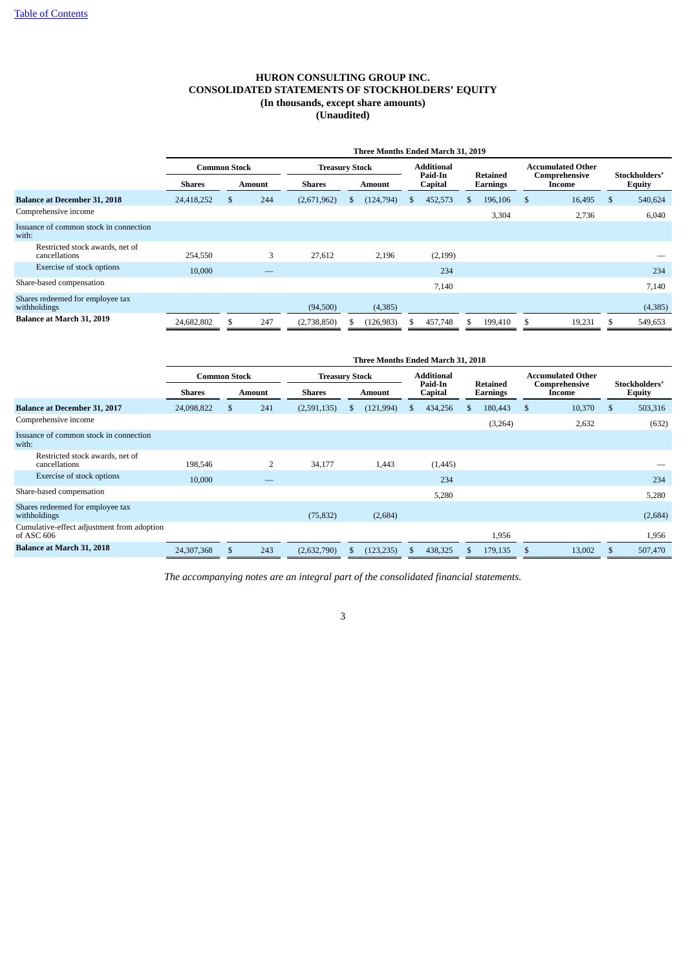## **HURON CONSULTING GROUP INC. CONSOLIDATED STATEMENTS OF STOCKHOLDERS' EQUITY (In thousands, except share amounts) (Unaudited)**

<span id="page-4-0"></span>

|                                                  | Three Months Ended March 31, 2019 |     |               |                       |   |            |                              |          |          |          |                                    |        |    |               |
|--------------------------------------------------|-----------------------------------|-----|---------------|-----------------------|---|------------|------------------------------|----------|----------|----------|------------------------------------|--------|----|---------------|
|                                                  | <b>Common Stock</b>               |     |               | <b>Treasury Stock</b> |   |            | <b>Additional</b><br>Paid-In |          | Retained |          | Accumulated Other<br>Comprehensive |        |    | Stockholders' |
|                                                  | <b>Shares</b>                     |     | <b>Amount</b> | <b>Shares</b>         |   | Amount     |                              | Capital  |          | Earnings |                                    | Income |    | <b>Equity</b> |
| <b>Balance at December 31, 2018</b>              | 24,418,252                        | \$. | 244           | (2,671,962)           | Ъ | (124, 794) | D.                           | 452,573  |          | 196,106  | S                                  | 16,495 | S. | 540,624       |
| Comprehensive income                             |                                   |     |               |                       |   |            |                              |          |          | 3,304    |                                    | 2,736  |    | 6,040         |
| Issuance of common stock in connection<br>with:  |                                   |     |               |                       |   |            |                              |          |          |          |                                    |        |    |               |
| Restricted stock awards, net of<br>cancellations | 254,550                           |     | 3             | 27,612                |   | 2,196      |                              | (2, 199) |          |          |                                    |        |    |               |
| Exercise of stock options                        | 10,000                            |     |               |                       |   |            |                              | 234      |          |          |                                    |        |    | 234           |
| Share-based compensation                         |                                   |     |               |                       |   |            |                              | 7,140    |          |          |                                    |        |    | 7,140         |
| Shares redeemed for employee tax<br>withholdings |                                   |     |               | (94,500)              |   | (4,385)    |                              |          |          |          |                                    |        |    | (4,385)       |
| Balance at March 31, 2019                        | 24,682,802                        | \$  | 247           | (2,738,850)           |   | (126, 983) |                              | 457,748  |          | 199,410  | .S                                 | 19,231 | S  | 549,653       |

|                                                            | Three Months Ended March 31, 2018              |    |                                                  |             |               |                                         |    |                             |              |                                                     |    |        |                                |         |
|------------------------------------------------------------|------------------------------------------------|----|--------------------------------------------------|-------------|---------------|-----------------------------------------|----|-----------------------------|--------------|-----------------------------------------------------|----|--------|--------------------------------|---------|
|                                                            | <b>Common Stock</b><br>Shares<br><b>Amount</b> |    | <b>Treasury Stock</b><br><b>Shares</b><br>Amount |             |               | <b>Additional</b><br>Paid-In<br>Capital |    | Retained<br><b>Earnings</b> |              | <b>Accumulated Other</b><br>Comprehensive<br>Income |    |        | Stockholders'<br><b>Equity</b> |         |
|                                                            |                                                |    |                                                  |             |               |                                         |    |                             |              |                                                     |    |        |                                |         |
| <b>Balance at December 31, 2017</b>                        | 24,098,822                                     | S  | 241                                              | (2,591,135) | $\mathcal{P}$ | (121, 994)                              | S  | 434,256                     | $\mathbf{F}$ | 180,443                                             | -S | 10,370 | S                              | 503,316 |
| Comprehensive income                                       |                                                |    |                                                  |             |               |                                         |    |                             |              | (3,264)                                             |    | 2,632  |                                | (632)   |
| Issuance of common stock in connection<br>with:            |                                                |    |                                                  |             |               |                                         |    |                             |              |                                                     |    |        |                                |         |
| Restricted stock awards, net of<br>cancellations           | 198,546                                        |    | 2                                                | 34,177      |               | 1,443                                   |    | (1, 445)                    |              |                                                     |    |        |                                |         |
| Exercise of stock options                                  | 10,000                                         |    |                                                  |             |               |                                         |    | 234                         |              |                                                     |    |        |                                | 234     |
| Share-based compensation                                   |                                                |    |                                                  |             |               |                                         |    | 5,280                       |              |                                                     |    |        |                                | 5,280   |
| Shares redeemed for employee tax<br>withholdings           |                                                |    |                                                  | (75, 832)   |               | (2,684)                                 |    |                             |              |                                                     |    |        |                                | (2,684) |
| Cumulative-effect adjustment from adoption<br>of ASC $606$ |                                                |    |                                                  |             |               |                                         |    |                             |              | 1,956                                               |    |        |                                | 1,956   |
| Balance at March 31, 2018                                  | 24,307,368                                     | .S | 243                                              | (2,632,790) |               | (123, 235)                              | S. | 438,325                     |              | 179,135                                             | S  | 13,002 |                                | 507,470 |

*The accompanying notes are an integral part of the consolidated financial statements.*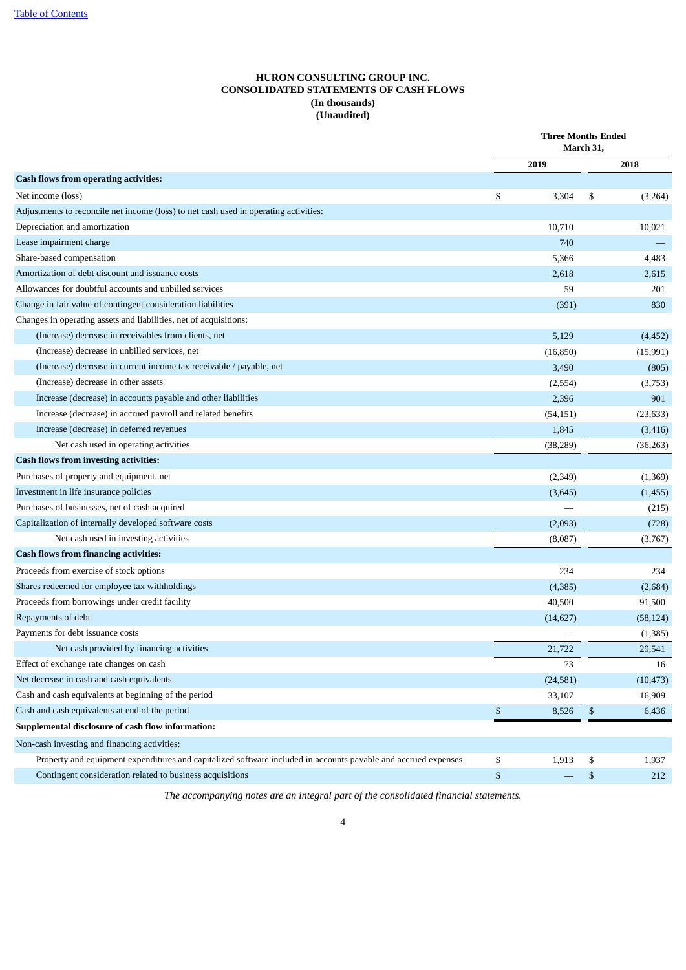## **HURON CONSULTING GROUP INC. CONSOLIDATED STATEMENTS OF CASH FLOWS (In thousands) (Unaudited)**

<span id="page-5-0"></span>

|                                                                                                                |    | <b>Three Months Ended</b> |    |           |
|----------------------------------------------------------------------------------------------------------------|----|---------------------------|----|-----------|
|                                                                                                                |    | 2019                      |    | 2018      |
| <b>Cash flows from operating activities:</b>                                                                   |    |                           |    |           |
| Net income (loss)                                                                                              | \$ | 3,304                     | \$ | (3,264)   |
| Adjustments to reconcile net income (loss) to net cash used in operating activities:                           |    |                           |    |           |
| Depreciation and amortization                                                                                  |    | 10,710                    |    | 10,021    |
| Lease impairment charge                                                                                        |    | 740                       |    |           |
| Share-based compensation                                                                                       |    | 5,366                     |    | 4,483     |
| Amortization of debt discount and issuance costs                                                               |    | 2,618                     |    | 2,615     |
| Allowances for doubtful accounts and unbilled services                                                         |    | 59                        |    | 201       |
| Change in fair value of contingent consideration liabilities                                                   |    | (391)                     |    | 830       |
| Changes in operating assets and liabilities, net of acquisitions:                                              |    |                           |    |           |
| (Increase) decrease in receivables from clients, net                                                           |    | 5,129                     |    | (4, 452)  |
| (Increase) decrease in unbilled services, net                                                                  |    | (16, 850)                 |    | (15,991)  |
| (Increase) decrease in current income tax receivable / payable, net                                            |    | 3,490                     |    | (805)     |
| (Increase) decrease in other assets                                                                            |    | (2,554)                   |    | (3,753)   |
| Increase (decrease) in accounts payable and other liabilities                                                  |    | 2,396                     |    | 901       |
| Increase (decrease) in accrued payroll and related benefits                                                    |    | (54, 151)                 |    | (23, 633) |
| Increase (decrease) in deferred revenues                                                                       |    | 1,845                     |    | (3, 416)  |
| Net cash used in operating activities                                                                          |    | (38, 289)                 |    | (36, 263) |
| <b>Cash flows from investing activities:</b>                                                                   |    |                           |    |           |
| Purchases of property and equipment, net                                                                       |    | (2,349)                   |    | (1,369)   |
| Investment in life insurance policies                                                                          |    | (3,645)                   |    | (1,455)   |
| Purchases of businesses, net of cash acquired                                                                  |    |                           |    | (215)     |
| Capitalization of internally developed software costs                                                          |    | (2,093)                   |    | (728)     |
| Net cash used in investing activities                                                                          |    | (8,087)                   |    | (3,767)   |
| <b>Cash flows from financing activities:</b>                                                                   |    |                           |    |           |
| Proceeds from exercise of stock options                                                                        |    | 234                       |    | 234       |
| Shares redeemed for employee tax withholdings                                                                  |    | (4,385)                   |    | (2,684)   |
| Proceeds from borrowings under credit facility                                                                 |    | 40,500                    |    | 91,500    |
| Repayments of debt                                                                                             |    | (14, 627)                 |    | (58, 124) |
| Payments for debt issuance costs                                                                               |    |                           |    | (1, 385)  |
| Net cash provided by financing activities                                                                      |    | 21,722                    |    | 29,541    |
| Effect of exchange rate changes on cash                                                                        |    | 73                        |    | 16        |
| Net decrease in cash and cash equivalents                                                                      |    | (24, 581)                 |    | (10, 473) |
| Cash and cash equivalents at beginning of the period                                                           |    | 33,107                    |    | 16,909    |
| Cash and cash equivalents at end of the period                                                                 | \$ | 8,526                     | \$ | 6,436     |
| Supplemental disclosure of cash flow information:                                                              |    |                           |    |           |
|                                                                                                                |    |                           |    |           |
| Non-cash investing and financing activities:                                                                   |    |                           |    |           |
| Property and equipment expenditures and capitalized software included in accounts payable and accrued expenses | \$ | 1,913                     | \$ | 1,937     |
| Contingent consideration related to business acquisitions                                                      | \$ |                           | \$ | 212       |

*The accompanying notes are an integral part of the consolidated financial statements.*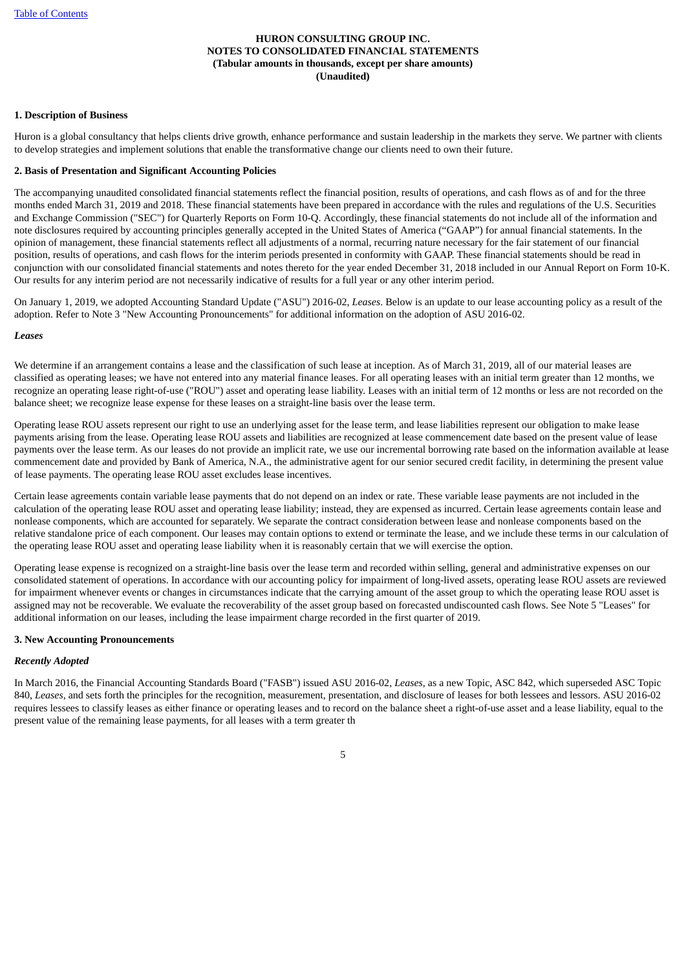## <span id="page-6-0"></span>**1. Description of Business**

Huron is a global consultancy that helps clients drive growth, enhance performance and sustain leadership in the markets they serve. We partner with clients to develop strategies and implement solutions that enable the transformative change our clients need to own their future.

#### **2. Basis of Presentation and Significant Accounting Policies**

The accompanying unaudited consolidated financial statements reflect the financial position, results of operations, and cash flows as of and for the three months ended March 31, 2019 and 2018. These financial statements have been prepared in accordance with the rules and regulations of the U.S. Securities and Exchange Commission ("SEC") for Quarterly Reports on Form 10-Q. Accordingly, these financial statements do not include all of the information and note disclosures required by accounting principles generally accepted in the United States of America ("GAAP") for annual financial statements. In the opinion of management, these financial statements reflect all adjustments of a normal, recurring nature necessary for the fair statement of our financial position, results of operations, and cash flows for the interim periods presented in conformity with GAAP. These financial statements should be read in conjunction with our consolidated financial statements and notes thereto for the year ended December 31, 2018 included in our Annual Report on Form 10-K. Our results for any interim period are not necessarily indicative of results for a full year or any other interim period.

On January 1, 2019, we adopted Accounting Standard Update ("ASU") 2016-02, *Leases*. Below is an update to our lease accounting policy as a result of the adoption. Refer to Note 3 "New Accounting Pronouncements" for additional information on the adoption of ASU 2016-02.

#### *Leases*

We determine if an arrangement contains a lease and the classification of such lease at inception. As of March 31, 2019, all of our material leases are classified as operating leases; we have not entered into any material finance leases. For all operating leases with an initial term greater than 12 months, we recognize an operating lease right-of-use ("ROU") asset and operating lease liability. Leases with an initial term of 12 months or less are not recorded on the balance sheet; we recognize lease expense for these leases on a straight-line basis over the lease term.

Operating lease ROU assets represent our right to use an underlying asset for the lease term, and lease liabilities represent our obligation to make lease payments arising from the lease. Operating lease ROU assets and liabilities are recognized at lease commencement date based on the present value of lease payments over the lease term. As our leases do not provide an implicit rate, we use our incremental borrowing rate based on the information available at lease commencement date and provided by Bank of America, N.A., the administrative agent for our senior secured credit facility, in determining the present value of lease payments. The operating lease ROU asset excludes lease incentives.

Certain lease agreements contain variable lease payments that do not depend on an index or rate. These variable lease payments are not included in the calculation of the operating lease ROU asset and operating lease liability; instead, they are expensed as incurred. Certain lease agreements contain lease and nonlease components, which are accounted for separately. We separate the contract consideration between lease and nonlease components based on the relative standalone price of each component. Our leases may contain options to extend or terminate the lease, and we include these terms in our calculation of the operating lease ROU asset and operating lease liability when it is reasonably certain that we will exercise the option.

Operating lease expense is recognized on a straight-line basis over the lease term and recorded within selling, general and administrative expenses on our consolidated statement of operations. In accordance with our accounting policy for impairment of long-lived assets, operating lease ROU assets are reviewed for impairment whenever events or changes in circumstances indicate that the carrying amount of the asset group to which the operating lease ROU asset is assigned may not be recoverable. We evaluate the recoverability of the asset group based on forecasted undiscounted cash flows. See Note 5 "Leases" for additional information on our leases, including the lease impairment charge recorded in the first quarter of 2019.

#### **3. New Accounting Pronouncements**

#### *Recently Adopted*

In March 2016, the Financial Accounting Standards Board ("FASB") issued ASU 2016-02, *Leases*, as a new Topic, ASC 842, which superseded ASC Topic 840, *Leases*, and sets forth the principles for the recognition, measurement, presentation, and disclosure of leases for both lessees and lessors. ASU 2016-02 requires lessees to classify leases as either finance or operating leases and to record on the balance sheet a right-of-use asset and a lease liability, equal to the present value of the remaining lease payments, for all leases with a term greater th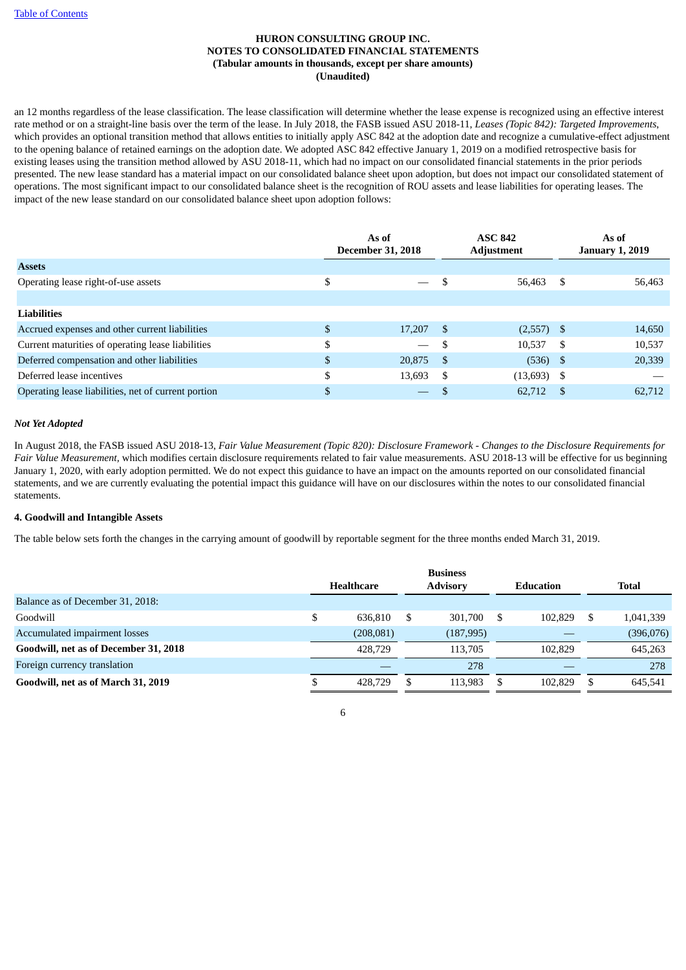an 12 months regardless of the lease classification. The lease classification will determine whether the lease expense is recognized using an effective interest rate method or on a straight-line basis over the term of the lease. In July 2018, the FASB issued ASU 2018-11, *Leases (Topic 842): Targeted Improvements*, which provides an optional transition method that allows entities to initially apply ASC 842 at the adoption date and recognize a cumulative-effect adjustment to the opening balance of retained earnings on the adoption date. We adopted ASC 842 effective January 1, 2019 on a modified retrospective basis for existing leases using the transition method allowed by ASU 2018-11, which had no impact on our consolidated financial statements in the prior periods presented. The new lease standard has a material impact on our consolidated balance sheet upon adoption, but does not impact our consolidated statement of operations. The most significant impact to our consolidated balance sheet is the recognition of ROU assets and lease liabilities for operating leases. The impact of the new lease standard on our consolidated balance sheet upon adoption follows:

|                                                     |     | As of<br><b>December 31, 2018</b>                                                                                                                                                                                                                                                                                                                                                             |      | <b>ASC 842</b><br><b>Adjustment</b> | As of<br><b>January 1, 2019</b> |        |  |
|-----------------------------------------------------|-----|-----------------------------------------------------------------------------------------------------------------------------------------------------------------------------------------------------------------------------------------------------------------------------------------------------------------------------------------------------------------------------------------------|------|-------------------------------------|---------------------------------|--------|--|
| <b>Assets</b>                                       |     |                                                                                                                                                                                                                                                                                                                                                                                               |      |                                     |                                 |        |  |
| Operating lease right-of-use assets                 | \$  |                                                                                                                                                                                                                                                                                                                                                                                               |      | 56,463                              | - \$                            | 56,463 |  |
|                                                     |     |                                                                                                                                                                                                                                                                                                                                                                                               |      |                                     |                                 |        |  |
| <b>Liabilities</b>                                  |     |                                                                                                                                                                                                                                                                                                                                                                                               |      |                                     |                                 |        |  |
| Accrued expenses and other current liabilities      |     | 17,207                                                                                                                                                                                                                                                                                                                                                                                        | - \$ | $(2,557)$ \$                        |                                 | 14,650 |  |
| Current maturities of operating lease liabilities   | \$  |                                                                                                                                                                                                                                                                                                                                                                                               |      | 10,537                              | - \$                            | 10,537 |  |
| Deferred compensation and other liabilities         | \$. | 20,875                                                                                                                                                                                                                                                                                                                                                                                        | -S   | $(536)$ \$                          |                                 | 20,339 |  |
| Deferred lease incentives                           | \$  | 13,693                                                                                                                                                                                                                                                                                                                                                                                        | \$.  | $(13,693)$ \$                       |                                 |        |  |
| Operating lease liabilities, net of current portion | \$  | $\hspace{1.0cm} \overline{\hspace{1.0cm} \hspace{1.0cm} \hspace{1.0cm} } \hspace{1.0cm} \hspace{1.0cm} \overline{\hspace{1.0cm} \hspace{1.0cm} \hspace{1.0cm} } \hspace{1.0cm} \hspace{1.0cm} \overline{\hspace{1.0cm} \hspace{1.0cm} \hspace{1.0cm} } \hspace{1.0cm} \hspace{1.0cm} \overline{\hspace{1.0cm} \hspace{1.0cm} \hspace{1.0cm} } \hspace{1.0cm} \hspace{1.0cm} \hspace{1.0cm} }$ |      | 62,712                              | - \$                            | 62,712 |  |

#### *Not Yet Adopted*

In August 2018, the FASB issued ASU 2018-13, Fair Value Measurement (Topic 820): Disclosure Framework - Changes to the Disclosure Requirements for *Fair Value Measurement,* which modifies certain disclosure requirements related to fair value measurements. ASU 2018-13 will be effective for us beginning January 1, 2020, with early adoption permitted. We do not expect this guidance to have an impact on the amounts reported on our consolidated financial statements, and we are currently evaluating the potential impact this guidance will have on our disclosures within the notes to our consolidated financial statements.

## **4. Goodwill and Intangible Assets**

The table below sets forth the changes in the carrying amount of goodwill by reportable segment for the three months ended March 31, 2019.

|                                       | <b>Healthcare</b> |    | <b>Business</b><br><b>Advisory</b> |   | <b>Education</b> |    | <b>Total</b> |
|---------------------------------------|-------------------|----|------------------------------------|---|------------------|----|--------------|
| Balance as of December 31, 2018:      |                   |    |                                    |   |                  |    |              |
| Goodwill                              | \$<br>636.810     | £. | 301.700                            | S | 102.829          | -S | 1,041,339    |
| Accumulated impairment losses         | (208, 081)        |    | (187, 995)                         |   |                  |    | (396,076)    |
| Goodwill, net as of December 31, 2018 | 428.729           |    | 113.705                            |   | 102.829          |    | 645,263      |
| Foreign currency translation          |                   |    | 278                                |   |                  |    | 278          |
| Goodwill, net as of March 31, 2019    | 428,729           |    | 113.983                            | S | 102.829          | S  | 645,541      |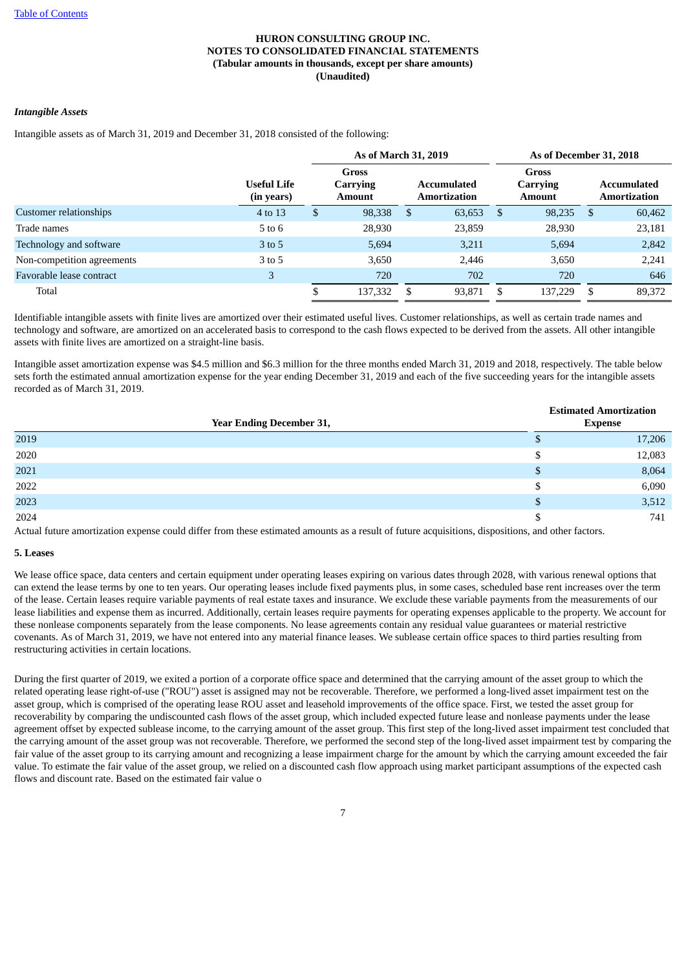## *Intangible Assets*

Intangible assets as of March 31, 2019 and December 31, 2018 consisted of the following:

|                            |                                  | As of March 31, 2019 |                                           |   |                             |               | As of December 31, 2018                          |      |                                    |
|----------------------------|----------------------------------|----------------------|-------------------------------------------|---|-----------------------------|---------------|--------------------------------------------------|------|------------------------------------|
|                            | <b>Useful Life</b><br>(in years) |                      | Gross<br><b>Carrying</b><br><b>Amount</b> |   | Accumulated<br>Amortization |               | <b>Gross</b><br><b>Carrying</b><br><b>Amount</b> |      | Accumulated<br><b>Amortization</b> |
| Customer relationships     | 4 to 13                          | \$                   | 98,338                                    | S | 63,653                      | <sup>\$</sup> | 98,235                                           | - \$ | 60,462                             |
| Trade names                | $5$ to $6$                       |                      | 28,930                                    |   | 23,859                      |               | 28,930                                           |      | 23,181                             |
| Technology and software    | 3 to 5                           |                      | 5,694                                     |   | 3,211                       |               | 5,694                                            |      | 2,842                              |
| Non-competition agreements | 3 to 5                           |                      | 3,650                                     |   | 2.446                       |               | 3,650                                            |      | 2,241                              |
| Favorable lease contract   | 3                                |                      | 720                                       |   | 702                         |               | 720                                              |      | 646                                |
| Total                      |                                  | \$                   | 137,332                                   |   | 93,871                      | -S            | 137,229                                          | -\$  | 89,372                             |

Identifiable intangible assets with finite lives are amortized over their estimated useful lives. Customer relationships, as well as certain trade names and technology and software, are amortized on an accelerated basis to correspond to the cash flows expected to be derived from the assets. All other intangible assets with finite lives are amortized on a straight-line basis.

Intangible asset amortization expense was \$4.5 million and \$6.3 million for the three months ended March 31, 2019 and 2018, respectively. The table below sets forth the estimated annual amortization expense for the year ending December 31, 2019 and each of the five succeeding years for the intangible assets recorded as of March 31, 2019.

|      |                                 |     | <b>Estimated Amortization</b> |
|------|---------------------------------|-----|-------------------------------|
|      | <b>Year Ending December 31,</b> |     | <b>Expense</b>                |
| 2019 |                                 |     | 17,206                        |
| 2020 |                                 |     | 12,083                        |
| 2021 |                                 | \$. | 8,064                         |
| 2022 |                                 | Œ   | 6,090                         |
| 2023 |                                 | S   | 3,512                         |
| 2024 |                                 |     | 741                           |

Actual future amortization expense could differ from these estimated amounts as a result of future acquisitions, dispositions, and other factors.

## **5. Leases**

We lease office space, data centers and certain equipment under operating leases expiring on various dates through 2028, with various renewal options that can extend the lease terms by one to ten years. Our operating leases include fixed payments plus, in some cases, scheduled base rent increases over the term of the lease. Certain leases require variable payments of real estate taxes and insurance. We exclude these variable payments from the measurements of our lease liabilities and expense them as incurred. Additionally, certain leases require payments for operating expenses applicable to the property. We account for these nonlease components separately from the lease components. No lease agreements contain any residual value guarantees or material restrictive covenants. As of March 31, 2019, we have not entered into any material finance leases. We sublease certain office spaces to third parties resulting from restructuring activities in certain locations.

During the first quarter of 2019, we exited a portion of a corporate office space and determined that the carrying amount of the asset group to which the related operating lease right-of-use ("ROU") asset is assigned may not be recoverable. Therefore, we performed a long-lived asset impairment test on the asset group, which is comprised of the operating lease ROU asset and leasehold improvements of the office space. First, we tested the asset group for recoverability by comparing the undiscounted cash flows of the asset group, which included expected future lease and nonlease payments under the lease agreement offset by expected sublease income, to the carrying amount of the asset group. This first step of the long-lived asset impairment test concluded that the carrying amount of the asset group was not recoverable. Therefore, we performed the second step of the long-lived asset impairment test by comparing the fair value of the asset group to its carrying amount and recognizing a lease impairment charge for the amount by which the carrying amount exceeded the fair value. To estimate the fair value of the asset group, we relied on a discounted cash flow approach using market participant assumptions of the expected cash flows and discount rate. Based on the estimated fair value o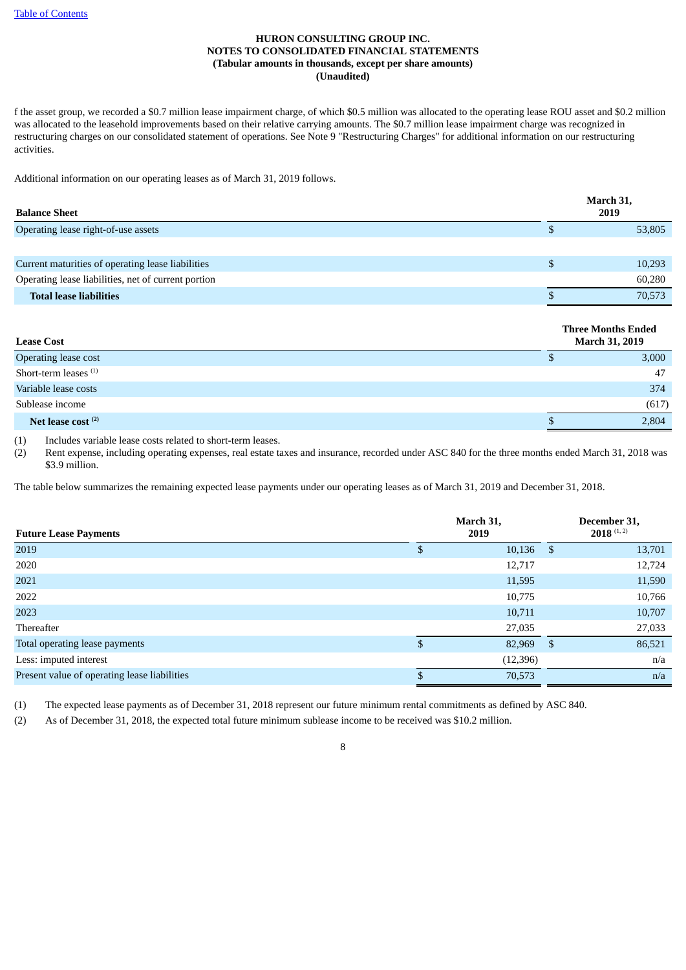f the asset group, we recorded a \$0.7 million lease impairment charge, of which \$0.5 million was allocated to the operating lease ROU asset and \$0.2 million was allocated to the leasehold improvements based on their relative carrying amounts. The \$0.7 million lease impairment charge was recognized in restructuring charges on our consolidated statement of operations. See Note 9 "Restructuring Charges" for additional information on our restructuring activities.

Additional information on our operating leases as of March 31, 2019 follows.

| <b>Balance Sheet</b>                                | March 31,<br>2019 |
|-----------------------------------------------------|-------------------|
| Operating lease right-of-use assets                 | 53,805            |
|                                                     |                   |
| Current maturities of operating lease liabilities   | 10,293            |
| Operating lease liabilities, net of current portion | 60,280            |
| <b>Total lease liabilities</b>                      | 70,573            |

| <b>Lease Cost</b>                | <b>Three Months Ended</b><br><b>March 31, 2019</b> |
|----------------------------------|----------------------------------------------------|
| Operating lease cost             | 3,000                                              |
| Short-term leases <sup>(1)</sup> | 47                                                 |
| Variable lease costs             | 374                                                |
| Sublease income                  | (617)                                              |
| Net lease cost $(2)$             | 2,804                                              |

(1) Includes variable lease costs related to short-term leases.

(2) Rent expense, including operating expenses, real estate taxes and insurance, recorded under ASC 840 for the three months ended March 31, 2018 was \$3.9 million.

The table below summarizes the remaining expected lease payments under our operating leases as of March 31, 2019 and December 31, 2018.

| <b>Future Lease Payments</b>                 | March 31,<br>2019 |          |      | December 31,<br>$2018$ (1, 2) |  |  |
|----------------------------------------------|-------------------|----------|------|-------------------------------|--|--|
| 2019                                         | \$                | 10,136   | - \$ | 13,701                        |  |  |
| 2020                                         |                   | 12,717   |      | 12,724                        |  |  |
| 2021                                         |                   | 11,595   |      | 11,590                        |  |  |
| 2022                                         |                   | 10,775   |      | 10,766                        |  |  |
| 2023                                         |                   | 10,711   |      | 10,707                        |  |  |
| Thereafter                                   |                   | 27,035   |      | 27,033                        |  |  |
| Total operating lease payments               | \$                | 82,969   | -S   | 86,521                        |  |  |
| Less: imputed interest                       |                   | (12,396) |      | n/a                           |  |  |
| Present value of operating lease liabilities | \$                | 70,573   |      | n/a                           |  |  |

(1) The expected lease payments as of December 31, 2018 represent our future minimum rental commitments as defined by ASC 840.

(2) As of December 31, 2018, the expected total future minimum sublease income to be received was \$10.2 million.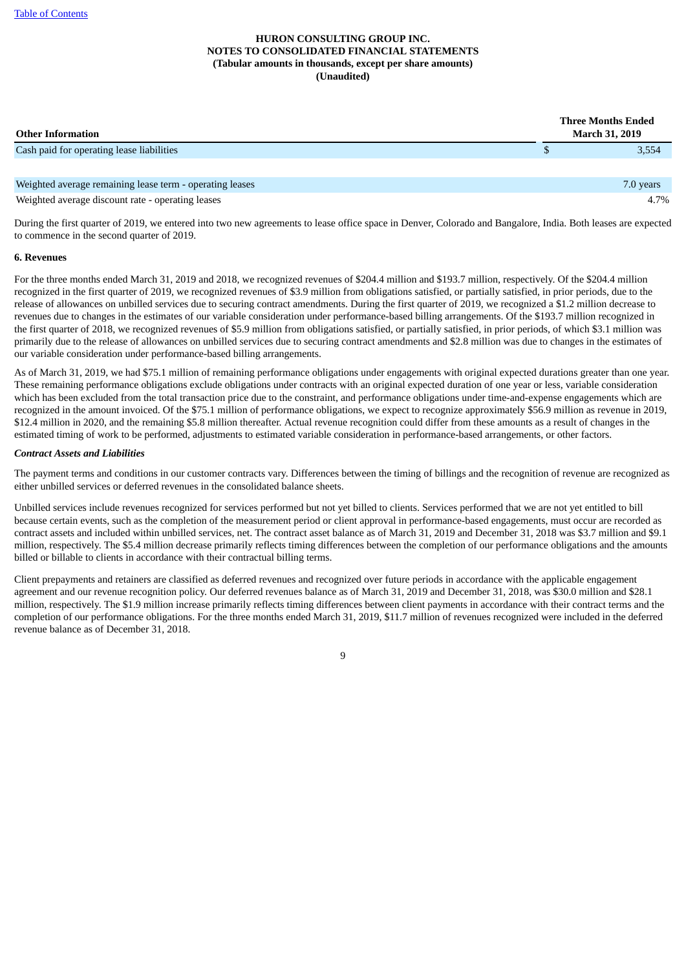| <b>Other Information</b>                                 |   | <b>Three Months Ended</b><br><b>March 31, 2019</b> |
|----------------------------------------------------------|---|----------------------------------------------------|
| Cash paid for operating lease liabilities                | ъ | 3,554                                              |
| Weighted average remaining lease term - operating leases |   | 7.0 years                                          |
| Weighted average discount rate - operating leases        |   | 4.7%                                               |

During the first quarter of 2019, we entered into two new agreements to lease office space in Denver, Colorado and Bangalore, India. Both leases are expected to commence in the second quarter of 2019.

#### **6. Revenues**

For the three months ended March 31, 2019 and 2018, we recognized revenues of \$204.4 million and \$193.7 million, respectively. Of the \$204.4 million recognized in the first quarter of 2019, we recognized revenues of \$3.9 million from obligations satisfied, or partially satisfied, in prior periods, due to the release of allowances on unbilled services due to securing contract amendments. During the first quarter of 2019, we recognized a \$1.2 million decrease to revenues due to changes in the estimates of our variable consideration under performance-based billing arrangements. Of the \$193.7 million recognized in the first quarter of 2018, we recognized revenues of \$5.9 million from obligations satisfied, or partially satisfied, in prior periods, of which \$3.1 million was primarily due to the release of allowances on unbilled services due to securing contract amendments and \$2.8 million was due to changes in the estimates of our variable consideration under performance-based billing arrangements.

As of March 31, 2019, we had \$75.1 million of remaining performance obligations under engagements with original expected durations greater than one year. These remaining performance obligations exclude obligations under contracts with an original expected duration of one year or less, variable consideration which has been excluded from the total transaction price due to the constraint, and performance obligations under time-and-expense engagements which are recognized in the amount invoiced. Of the \$75.1 million of performance obligations, we expect to recognize approximately \$56.9 million as revenue in 2019, \$12.4 million in 2020, and the remaining \$5.8 million thereafter. Actual revenue recognition could differ from these amounts as a result of changes in the estimated timing of work to be performed, adjustments to estimated variable consideration in performance-based arrangements, or other factors.

## *Contract Assets and Liabilities*

The payment terms and conditions in our customer contracts vary. Differences between the timing of billings and the recognition of revenue are recognized as either unbilled services or deferred revenues in the consolidated balance sheets.

Unbilled services include revenues recognized for services performed but not yet billed to clients. Services performed that we are not yet entitled to bill because certain events, such as the completion of the measurement period or client approval in performance-based engagements, must occur are recorded as contract assets and included within unbilled services, net. The contract asset balance as of March 31, 2019 and December 31, 2018 was \$3.7 million and \$9.1 million, respectively. The \$5.4 million decrease primarily reflects timing differences between the completion of our performance obligations and the amounts billed or billable to clients in accordance with their contractual billing terms.

Client prepayments and retainers are classified as deferred revenues and recognized over future periods in accordance with the applicable engagement agreement and our revenue recognition policy. Our deferred revenues balance as of March 31, 2019 and December 31, 2018, was \$30.0 million and \$28.1 million, respectively. The \$1.9 million increase primarily reflects timing differences between client payments in accordance with their contract terms and the completion of our performance obligations. For the three months ended March 31, 2019, \$11.7 million of revenues recognized were included in the deferred revenue balance as of December 31, 2018.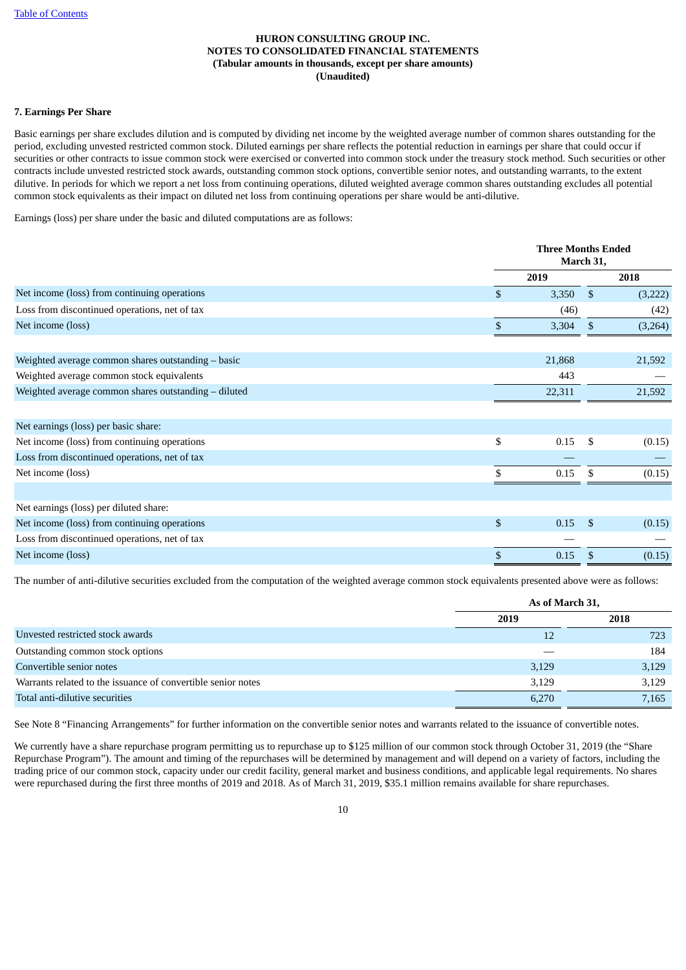## **7. Earnings Per Share**

Basic earnings per share excludes dilution and is computed by dividing net income by the weighted average number of common shares outstanding for the period, excluding unvested restricted common stock. Diluted earnings per share reflects the potential reduction in earnings per share that could occur if securities or other contracts to issue common stock were exercised or converted into common stock under the treasury stock method. Such securities or other contracts include unvested restricted stock awards, outstanding common stock options, convertible senior notes, and outstanding warrants, to the extent dilutive. In periods for which we report a net loss from continuing operations, diluted weighted average common shares outstanding excludes all potential common stock equivalents as their impact on diluted net loss from continuing operations per share would be anti-dilutive.

Earnings (loss) per share under the basic and diluted computations are as follows:

|                                                      | <b>Three Months Ended</b><br>March 31, |                    |         |
|------------------------------------------------------|----------------------------------------|--------------------|---------|
|                                                      | 2019                                   |                    | 2018    |
| Net income (loss) from continuing operations         | \$<br>3,350                            | $\mathbf{\hat{S}}$ | (3,222) |
| Loss from discontinued operations, net of tax        | (46)                                   |                    | (42)    |
| Net income (loss)                                    | \$<br>3,304                            | <sup>\$</sup>      | (3,264) |
|                                                      |                                        |                    |         |
| Weighted average common shares outstanding - basic   | 21,868                                 |                    | 21,592  |
| Weighted average common stock equivalents            | 443                                    |                    |         |
| Weighted average common shares outstanding - diluted | 22,311                                 |                    | 21,592  |
| Net earnings (loss) per basic share:                 |                                        |                    |         |
| Net income (loss) from continuing operations         | \$<br>0.15                             | -S                 | (0.15)  |
| Loss from discontinued operations, net of tax        |                                        |                    |         |
| Net income (loss)                                    | \$<br>0.15                             | -\$                | (0.15)  |
|                                                      |                                        |                    |         |
| Net earnings (loss) per diluted share:               |                                        |                    |         |
| Net income (loss) from continuing operations         | \$<br>0.15                             | - \$               | (0.15)  |
| Loss from discontinued operations, net of tax        |                                        |                    |         |
| Net income (loss)                                    | \$<br>0.15                             | <sup>\$</sup>      | (0.15)  |

The number of anti-dilutive securities excluded from the computation of the weighted average common stock equivalents presented above were as follows:

|                                                              | As of March 31, |       |  |
|--------------------------------------------------------------|-----------------|-------|--|
|                                                              | 2019            | 2018  |  |
| Unvested restricted stock awards                             | 12              | 723   |  |
| Outstanding common stock options                             |                 | 184   |  |
| Convertible senior notes                                     | 3,129           | 3,129 |  |
| Warrants related to the issuance of convertible senior notes | 3,129           | 3.129 |  |
| Total anti-dilutive securities                               | 6,270           | 7.165 |  |

See Note 8 "Financing Arrangements" for further information on the convertible senior notes and warrants related to the issuance of convertible notes.

We currently have a share repurchase program permitting us to repurchase up to \$125 million of our common stock through October 31, 2019 (the "Share Repurchase Program"). The amount and timing of the repurchases will be determined by management and will depend on a variety of factors, including the trading price of our common stock, capacity under our credit facility, general market and business conditions, and applicable legal requirements. No shares were repurchased during the first three months of 2019 and 2018. As of March 31, 2019, \$35.1 million remains available for share repurchases.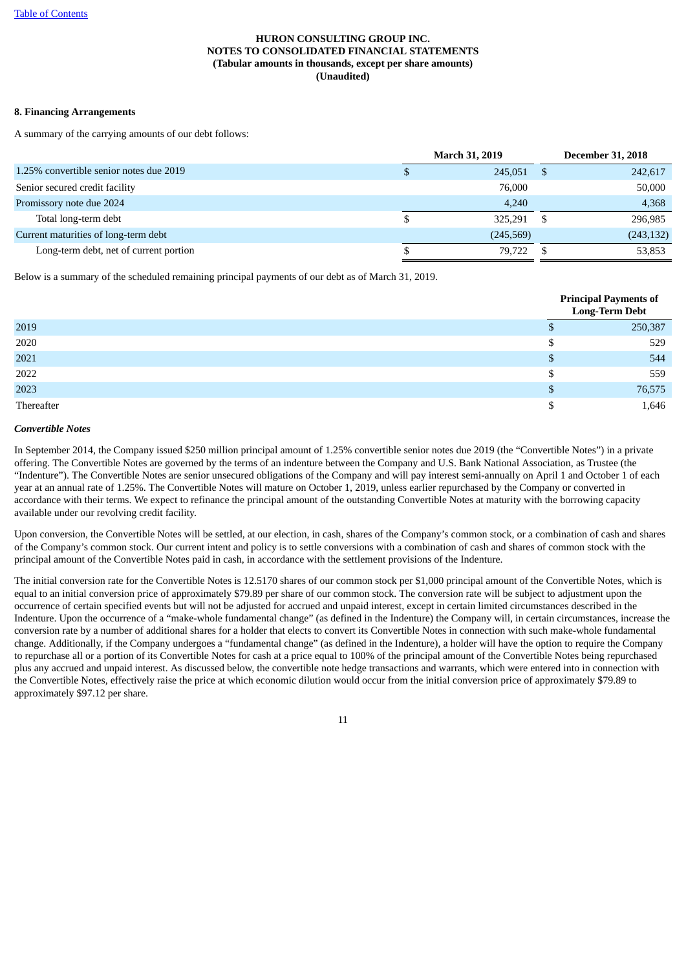## **8. Financing Arrangements**

A summary of the carrying amounts of our debt follows:

|                                         | <b>March 31, 2019</b> |      | <b>December 31, 2018</b> |
|-----------------------------------------|-----------------------|------|--------------------------|
| 1.25% convertible senior notes due 2019 | 245,051<br>Ъ          | - \$ | 242,617                  |
| Senior secured credit facility          | 76,000                |      | 50,000                   |
| Promissory note due 2024                | 4.240                 |      | 4,368                    |
| Total long-term debt                    | 325.291               | -S   | 296,985                  |
| Current maturities of long-term debt    | (245, 569)            |      | (243, 132)               |
| Long-term debt, net of current portion  | 79.722                |      | 53,853                   |

Below is a summary of the scheduled remaining principal payments of our debt as of March 31, 2019.

|            | <b>Principal Payments of<br/>Long-Term Debt</b> |
|------------|-------------------------------------------------|
| 2019       | 250,387                                         |
| 2020       | 529                                             |
| 2021       | 544                                             |
| 2022       | 559                                             |
| 2023       | 76,575                                          |
| Thereafter | 1,646                                           |

#### *Convertible Notes*

In September 2014, the Company issued \$250 million principal amount of 1.25% convertible senior notes due 2019 (the "Convertible Notes") in a private offering. The Convertible Notes are governed by the terms of an indenture between the Company and U.S. Bank National Association, as Trustee (the "Indenture"). The Convertible Notes are senior unsecured obligations of the Company and will pay interest semi-annually on April 1 and October 1 of each year at an annual rate of 1.25%. The Convertible Notes will mature on October 1, 2019, unless earlier repurchased by the Company or converted in accordance with their terms. We expect to refinance the principal amount of the outstanding Convertible Notes at maturity with the borrowing capacity available under our revolving credit facility.

Upon conversion, the Convertible Notes will be settled, at our election, in cash, shares of the Company's common stock, or a combination of cash and shares of the Company's common stock. Our current intent and policy is to settle conversions with a combination of cash and shares of common stock with the principal amount of the Convertible Notes paid in cash, in accordance with the settlement provisions of the Indenture.

The initial conversion rate for the Convertible Notes is 12.5170 shares of our common stock per \$1,000 principal amount of the Convertible Notes, which is equal to an initial conversion price of approximately \$79.89 per share of our common stock. The conversion rate will be subject to adjustment upon the occurrence of certain specified events but will not be adjusted for accrued and unpaid interest, except in certain limited circumstances described in the Indenture. Upon the occurrence of a "make-whole fundamental change" (as defined in the Indenture) the Company will, in certain circumstances, increase the conversion rate by a number of additional shares for a holder that elects to convert its Convertible Notes in connection with such make-whole fundamental change. Additionally, if the Company undergoes a "fundamental change" (as defined in the Indenture), a holder will have the option to require the Company to repurchase all or a portion of its Convertible Notes for cash at a price equal to 100% of the principal amount of the Convertible Notes being repurchased plus any accrued and unpaid interest. As discussed below, the convertible note hedge transactions and warrants, which were entered into in connection with the Convertible Notes, effectively raise the price at which economic dilution would occur from the initial conversion price of approximately \$79.89 to approximately \$97.12 per share.

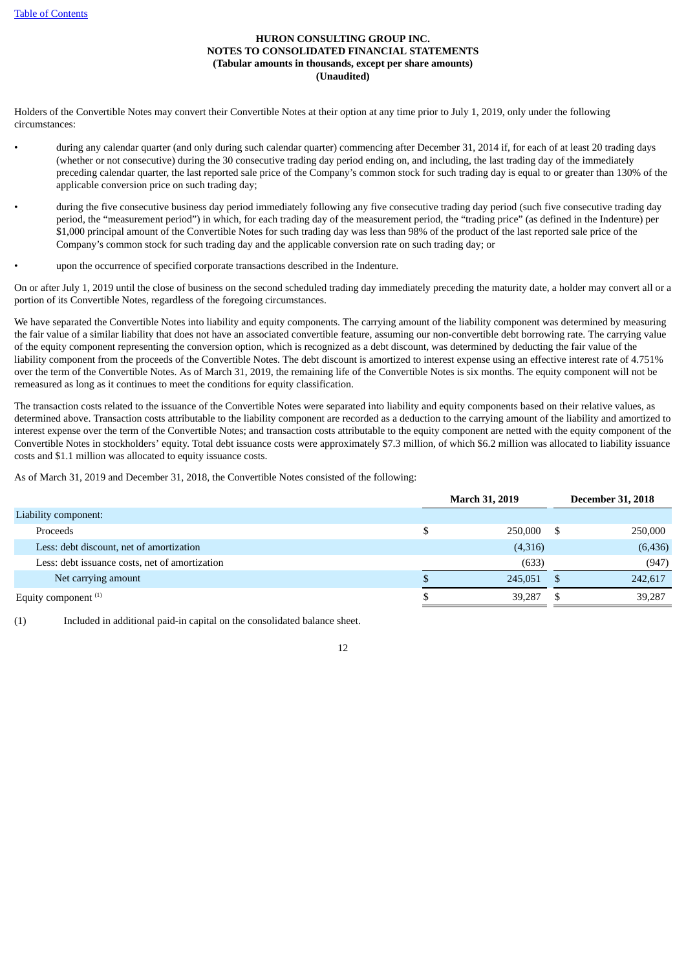Holders of the Convertible Notes may convert their Convertible Notes at their option at any time prior to July 1, 2019, only under the following circumstances:

- during any calendar quarter (and only during such calendar quarter) commencing after December 31, 2014 if, for each of at least 20 trading days (whether or not consecutive) during the 30 consecutive trading day period ending on, and including, the last trading day of the immediately preceding calendar quarter, the last reported sale price of the Company's common stock for such trading day is equal to or greater than 130% of the applicable conversion price on such trading day;
- during the five consecutive business day period immediately following any five consecutive trading day period (such five consecutive trading day period, the "measurement period") in which, for each trading day of the measurement period, the "trading price" (as defined in the Indenture) per \$1,000 principal amount of the Convertible Notes for such trading day was less than 98% of the product of the last reported sale price of the Company's common stock for such trading day and the applicable conversion rate on such trading day; or
- upon the occurrence of specified corporate transactions described in the Indenture.

On or after July 1, 2019 until the close of business on the second scheduled trading day immediately preceding the maturity date, a holder may convert all or a portion of its Convertible Notes, regardless of the foregoing circumstances.

We have separated the Convertible Notes into liability and equity components. The carrying amount of the liability component was determined by measuring the fair value of a similar liability that does not have an associated convertible feature, assuming our non-convertible debt borrowing rate. The carrying value of the equity component representing the conversion option, which is recognized as a debt discount, was determined by deducting the fair value of the liability component from the proceeds of the Convertible Notes. The debt discount is amortized to interest expense using an effective interest rate of 4.751% over the term of the Convertible Notes. As of March 31, 2019, the remaining life of the Convertible Notes is six months. The equity component will not be remeasured as long as it continues to meet the conditions for equity classification.

The transaction costs related to the issuance of the Convertible Notes were separated into liability and equity components based on their relative values, as determined above. Transaction costs attributable to the liability component are recorded as a deduction to the carrying amount of the liability and amortized to interest expense over the term of the Convertible Notes; and transaction costs attributable to the equity component are netted with the equity component of the Convertible Notes in stockholders' equity. Total debt issuance costs were approximately \$7.3 million, of which \$6.2 million was allocated to liability issuance costs and \$1.1 million was allocated to equity issuance costs.

As of March 31, 2019 and December 31, 2018, the Convertible Notes consisted of the following:

| <b>March 31, 2019</b> |         | <b>December 31, 2018</b> |  |
|-----------------------|---------|--------------------------|--|
|                       |         |                          |  |
|                       | 250,000 | 250,000                  |  |
|                       | (4,316) | (6, 436)                 |  |
|                       | (633)   | (947)                    |  |
|                       | 245,051 | 242,617                  |  |
|                       | 39.287  | 39,287                   |  |
|                       |         | - \$                     |  |

(1) Included in additional paid-in capital on the consolidated balance sheet.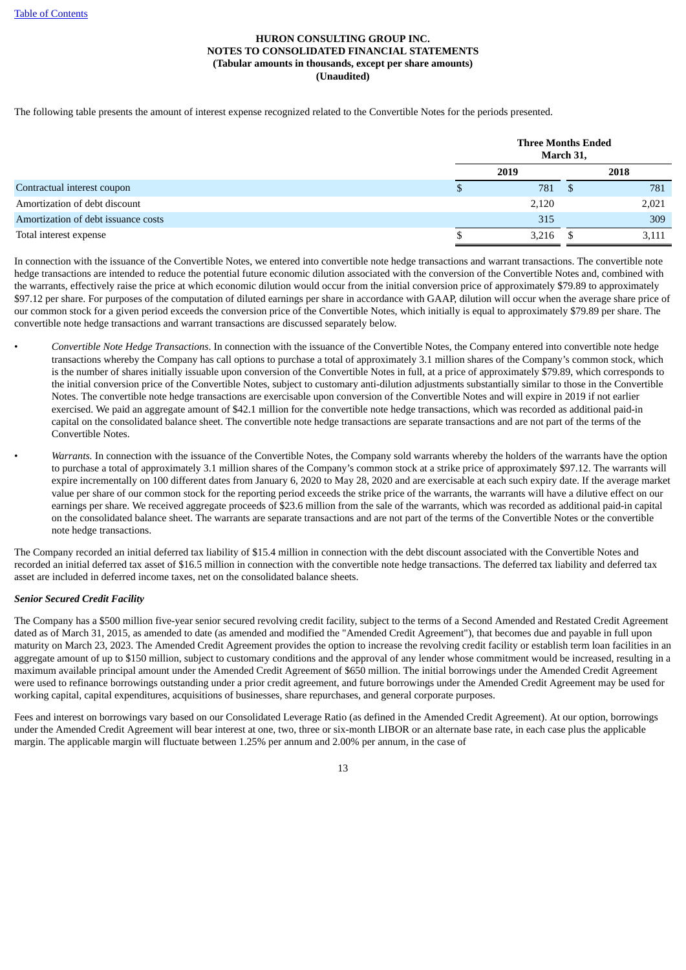The following table presents the amount of interest expense recognized related to the Convertible Notes for the periods presented.

|                                     | <b>Three Months Ended</b><br>March 31, |       |      |       |
|-------------------------------------|----------------------------------------|-------|------|-------|
|                                     |                                        | 2019  |      | 2018  |
| Contractual interest coupon         |                                        | 781   | - \$ | 781   |
| Amortization of debt discount       |                                        | 2,120 |      | 2,021 |
| Amortization of debt issuance costs |                                        | 315   |      | 309   |
| Total interest expense              |                                        | 3,216 |      | 3,111 |

In connection with the issuance of the Convertible Notes, we entered into convertible note hedge transactions and warrant transactions. The convertible note hedge transactions are intended to reduce the potential future economic dilution associated with the conversion of the Convertible Notes and, combined with the warrants, effectively raise the price at which economic dilution would occur from the initial conversion price of approximately \$79.89 to approximately \$97.12 per share. For purposes of the computation of diluted earnings per share in accordance with GAAP, dilution will occur when the average share price of our common stock for a given period exceeds the conversion price of the Convertible Notes, which initially is equal to approximately \$79.89 per share. The convertible note hedge transactions and warrant transactions are discussed separately below.

- *Convertible Note Hedge Transactions*. In connection with the issuance of the Convertible Notes, the Company entered into convertible note hedge transactions whereby the Company has call options to purchase a total of approximately 3.1 million shares of the Company's common stock, which is the number of shares initially issuable upon conversion of the Convertible Notes in full, at a price of approximately \$79.89, which corresponds to the initial conversion price of the Convertible Notes, subject to customary anti-dilution adjustments substantially similar to those in the Convertible Notes. The convertible note hedge transactions are exercisable upon conversion of the Convertible Notes and will expire in 2019 if not earlier exercised. We paid an aggregate amount of \$42.1 million for the convertible note hedge transactions, which was recorded as additional paid-in capital on the consolidated balance sheet. The convertible note hedge transactions are separate transactions and are not part of the terms of the Convertible Notes.
	- *Warrants.* In connection with the issuance of the Convertible Notes, the Company sold warrants whereby the holders of the warrants have the option to purchase a total of approximately 3.1 million shares of the Company's common stock at a strike price of approximately \$97.12. The warrants will expire incrementally on 100 different dates from January 6, 2020 to May 28, 2020 and are exercisable at each such expiry date. If the average market value per share of our common stock for the reporting period exceeds the strike price of the warrants, the warrants will have a dilutive effect on our earnings per share. We received aggregate proceeds of \$23.6 million from the sale of the warrants, which was recorded as additional paid-in capital on the consolidated balance sheet. The warrants are separate transactions and are not part of the terms of the Convertible Notes or the convertible note hedge transactions.

The Company recorded an initial deferred tax liability of \$15.4 million in connection with the debt discount associated with the Convertible Notes and recorded an initial deferred tax asset of \$16.5 million in connection with the convertible note hedge transactions. The deferred tax liability and deferred tax asset are included in deferred income taxes, net on the consolidated balance sheets.

## *Senior Secured Credit Facility*

The Company has a \$500 million five-year senior secured revolving credit facility, subject to the terms of a Second Amended and Restated Credit Agreement dated as of March 31, 2015, as amended to date (as amended and modified the "Amended Credit Agreement"), that becomes due and payable in full upon maturity on March 23, 2023. The Amended Credit Agreement provides the option to increase the revolving credit facility or establish term loan facilities in an aggregate amount of up to \$150 million, subject to customary conditions and the approval of any lender whose commitment would be increased, resulting in a maximum available principal amount under the Amended Credit Agreement of \$650 million. The initial borrowings under the Amended Credit Agreement were used to refinance borrowings outstanding under a prior credit agreement, and future borrowings under the Amended Credit Agreement may be used for working capital, capital expenditures, acquisitions of businesses, share repurchases, and general corporate purposes.

Fees and interest on borrowings vary based on our Consolidated Leverage Ratio (as defined in the Amended Credit Agreement). At our option, borrowings under the Amended Credit Agreement will bear interest at one, two, three or six-month LIBOR or an alternate base rate, in each case plus the applicable margin. The applicable margin will fluctuate between 1.25% per annum and 2.00% per annum, in the case of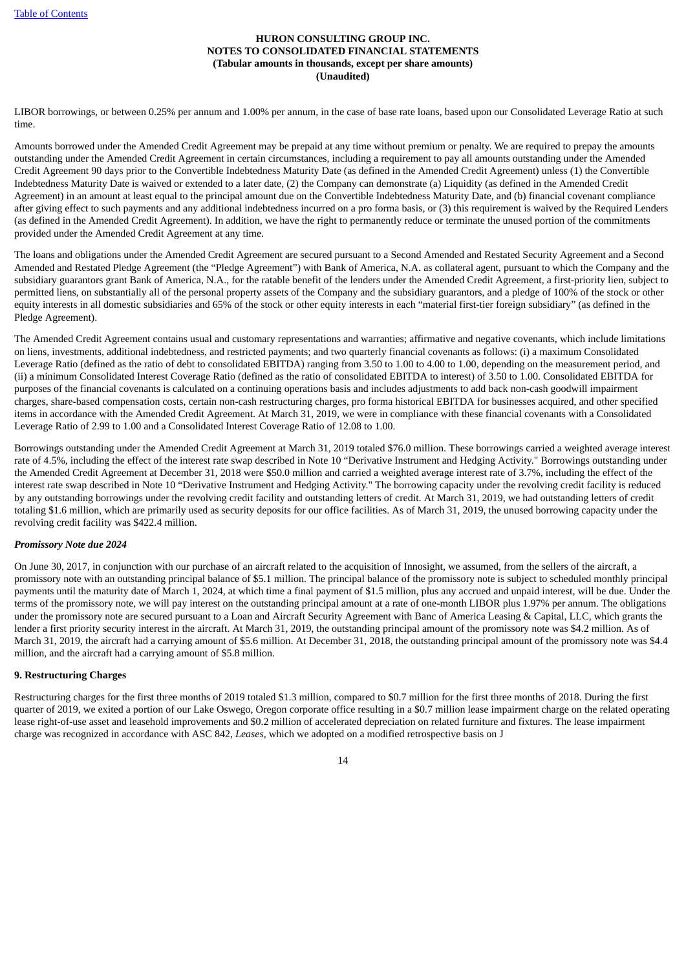LIBOR borrowings, or between 0.25% per annum and 1.00% per annum, in the case of base rate loans, based upon our Consolidated Leverage Ratio at such time.

Amounts borrowed under the Amended Credit Agreement may be prepaid at any time without premium or penalty. We are required to prepay the amounts outstanding under the Amended Credit Agreement in certain circumstances, including a requirement to pay all amounts outstanding under the Amended Credit Agreement 90 days prior to the Convertible Indebtedness Maturity Date (as defined in the Amended Credit Agreement) unless (1) the Convertible Indebtedness Maturity Date is waived or extended to a later date, (2) the Company can demonstrate (a) Liquidity (as defined in the Amended Credit Agreement) in an amount at least equal to the principal amount due on the Convertible Indebtedness Maturity Date, and (b) financial covenant compliance after giving effect to such payments and any additional indebtedness incurred on a pro forma basis, or (3) this requirement is waived by the Required Lenders (as defined in the Amended Credit Agreement). In addition, we have the right to permanently reduce or terminate the unused portion of the commitments provided under the Amended Credit Agreement at any time.

The loans and obligations under the Amended Credit Agreement are secured pursuant to a Second Amended and Restated Security Agreement and a Second Amended and Restated Pledge Agreement (the "Pledge Agreement") with Bank of America, N.A. as collateral agent, pursuant to which the Company and the subsidiary guarantors grant Bank of America, N.A., for the ratable benefit of the lenders under the Amended Credit Agreement, a first-priority lien, subject to permitted liens, on substantially all of the personal property assets of the Company and the subsidiary guarantors, and a pledge of 100% of the stock or other equity interests in all domestic subsidiaries and 65% of the stock or other equity interests in each "material first-tier foreign subsidiary" (as defined in the Pledge Agreement).

The Amended Credit Agreement contains usual and customary representations and warranties; affirmative and negative covenants, which include limitations on liens, investments, additional indebtedness, and restricted payments; and two quarterly financial covenants as follows: (i) a maximum Consolidated Leverage Ratio (defined as the ratio of debt to consolidated EBITDA) ranging from 3.50 to 1.00 to 4.00 to 1.00, depending on the measurement period, and (ii) a minimum Consolidated Interest Coverage Ratio (defined as the ratio of consolidated EBITDA to interest) of 3.50 to 1.00. Consolidated EBITDA for purposes of the financial covenants is calculated on a continuing operations basis and includes adjustments to add back non-cash goodwill impairment charges, share-based compensation costs, certain non-cash restructuring charges, pro forma historical EBITDA for businesses acquired, and other specified items in accordance with the Amended Credit Agreement. At March 31, 2019, we were in compliance with these financial covenants with a Consolidated Leverage Ratio of 2.99 to 1.00 and a Consolidated Interest Coverage Ratio of 12.08 to 1.00.

Borrowings outstanding under the Amended Credit Agreement at March 31, 2019 totaled \$76.0 million. These borrowings carried a weighted average interest rate of 4.5%, including the effect of the interest rate swap described in Note 10 "Derivative Instrument and Hedging Activity." Borrowings outstanding under the Amended Credit Agreement at December 31, 2018 were \$50.0 million and carried a weighted average interest rate of 3.7%, including the effect of the interest rate swap described in Note 10 "Derivative Instrument and Hedging Activity." The borrowing capacity under the revolving credit facility is reduced by any outstanding borrowings under the revolving credit facility and outstanding letters of credit. At March 31, 2019, we had outstanding letters of credit totaling \$1.6 million, which are primarily used as security deposits for our office facilities. As of March 31, 2019, the unused borrowing capacity under the revolving credit facility was \$422.4 million.

## *Promissory Note due 2024*

On June 30, 2017, in conjunction with our purchase of an aircraft related to the acquisition of Innosight, we assumed, from the sellers of the aircraft, a promissory note with an outstanding principal balance of \$5.1 million. The principal balance of the promissory note is subject to scheduled monthly principal payments until the maturity date of March 1, 2024, at which time a final payment of \$1.5 million, plus any accrued and unpaid interest, will be due. Under the terms of the promissory note, we will pay interest on the outstanding principal amount at a rate of one-month LIBOR plus 1.97% per annum. The obligations under the promissory note are secured pursuant to a Loan and Aircraft Security Agreement with Banc of America Leasing & Capital, LLC, which grants the lender a first priority security interest in the aircraft. At March 31, 2019, the outstanding principal amount of the promissory note was \$4.2 million. As of March 31, 2019, the aircraft had a carrying amount of \$5.6 million. At December 31, 2018, the outstanding principal amount of the promissory note was \$4.4 million, and the aircraft had a carrying amount of \$5.8 million.

## **9. Restructuring Charges**

Restructuring charges for the first three months of 2019 totaled \$1.3 million, compared to \$0.7 million for the first three months of 2018. During the first quarter of 2019, we exited a portion of our Lake Oswego, Oregon corporate office resulting in a \$0.7 million lease impairment charge on the related operating lease right-of-use asset and leasehold improvements and \$0.2 million of accelerated depreciation on related furniture and fixtures. The lease impairment charge was recognized in accordance with ASC 842, *Leases*, which we adopted on a modified retrospective basis on J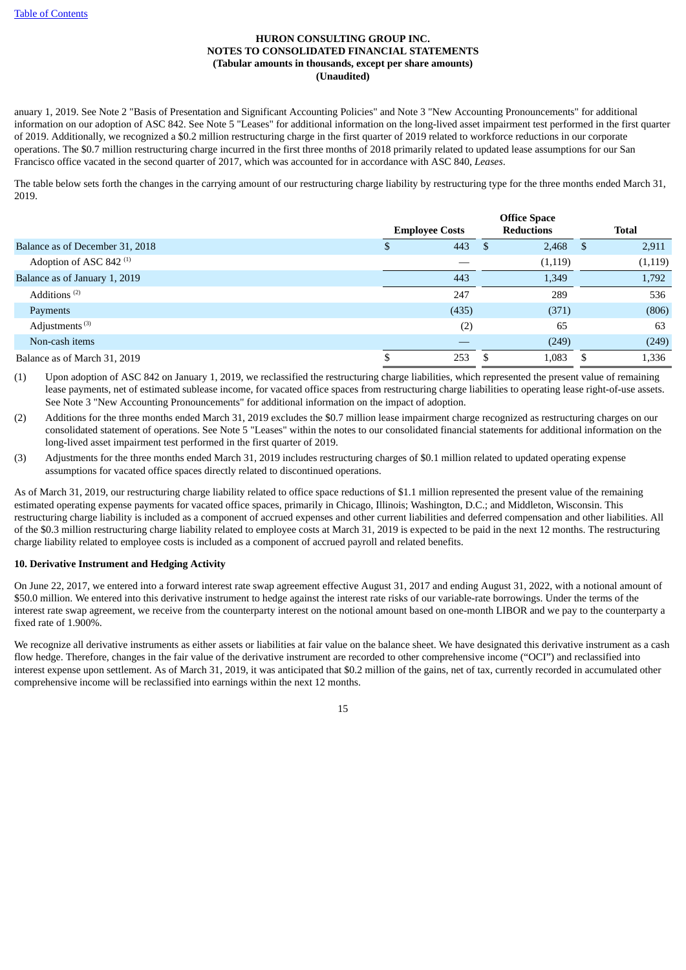anuary 1, 2019. See Note 2 "Basis of Presentation and Significant Accounting Policies" and Note 3 "New Accounting Pronouncements" for additional information on our adoption of ASC 842. See Note 5 "Leases" for additional information on the long-lived asset impairment test performed in the first quarter of 2019. Additionally, we recognized a \$0.2 million restructuring charge in the first quarter of 2019 related to workforce reductions in our corporate operations. The \$0.7 million restructuring charge incurred in the first three months of 2018 primarily related to updated lease assumptions for our San Francisco office vacated in the second quarter of 2017, which was accounted for in accordance with ASC 840, *Leases*.

The table below sets forth the changes in the carrying amount of our restructuring charge liability by restructuring type for the three months ended March 31, 2019.

|                                       |                       |    | <b>Office Space</b> |   |              |
|---------------------------------------|-----------------------|----|---------------------|---|--------------|
|                                       | <b>Employee Costs</b> |    | <b>Reductions</b>   |   | <b>Total</b> |
| Balance as of December 31, 2018       | \$<br>443             | -S | 2,468               | 8 | 2,911        |
| Adoption of ASC 842 <sup>(1)</sup>    |                       |    | (1,119)             |   | (1, 119)     |
| Balance as of January 1, 2019         | 443                   |    | 1,349               |   | 1,792        |
| Additions <sup><math>(2)</math></sup> | 247                   |    | 289                 |   | 536          |
| Payments                              | (435)                 |    | (371)               |   | (806)        |
| Adjustments $(3)$                     | (2)                   |    | 65                  |   | 63           |
| Non-cash items                        | __                    |    | (249)               |   | (249)        |
| Balance as of March 31, 2019          | 253                   |    | 1,083               |   | 1,336        |

(1) Upon adoption of ASC 842 on January 1, 2019, we reclassified the restructuring charge liabilities, which represented the present value of remaining lease payments, net of estimated sublease income, for vacated office spaces from restructuring charge liabilities to operating lease right-of-use assets. See Note 3 "New Accounting Pronouncements" for additional information on the impact of adoption.

- (2) Additions for the three months ended March 31, 2019 excludes the \$0.7 million lease impairment charge recognized as restructuring charges on our consolidated statement of operations. See Note 5 "Leases" within the notes to our consolidated financial statements for additional information on the long-lived asset impairment test performed in the first quarter of 2019.
- (3) Adjustments for the three months ended March 31, 2019 includes restructuring charges of \$0.1 million related to updated operating expense assumptions for vacated office spaces directly related to discontinued operations.

As of March 31, 2019, our restructuring charge liability related to office space reductions of \$1.1 million represented the present value of the remaining estimated operating expense payments for vacated office spaces, primarily in Chicago, Illinois; Washington, D.C.; and Middleton, Wisconsin. This restructuring charge liability is included as a component of accrued expenses and other current liabilities and deferred compensation and other liabilities. All of the \$0.3 million restructuring charge liability related to employee costs at March 31, 2019 is expected to be paid in the next 12 months. The restructuring charge liability related to employee costs is included as a component of accrued payroll and related benefits.

## **10. Derivative Instrument and Hedging Activity**

On June 22, 2017, we entered into a forward interest rate swap agreement effective August 31, 2017 and ending August 31, 2022, with a notional amount of \$50.0 million. We entered into this derivative instrument to hedge against the interest rate risks of our variable-rate borrowings. Under the terms of the interest rate swap agreement, we receive from the counterparty interest on the notional amount based on one-month LIBOR and we pay to the counterparty a fixed rate of 1.900%.

We recognize all derivative instruments as either assets or liabilities at fair value on the balance sheet. We have designated this derivative instrument as a cash flow hedge. Therefore, changes in the fair value of the derivative instrument are recorded to other comprehensive income ("OCI") and reclassified into interest expense upon settlement. As of March 31, 2019, it was anticipated that \$0.2 million of the gains, net of tax, currently recorded in accumulated other comprehensive income will be reclassified into earnings within the next 12 months.

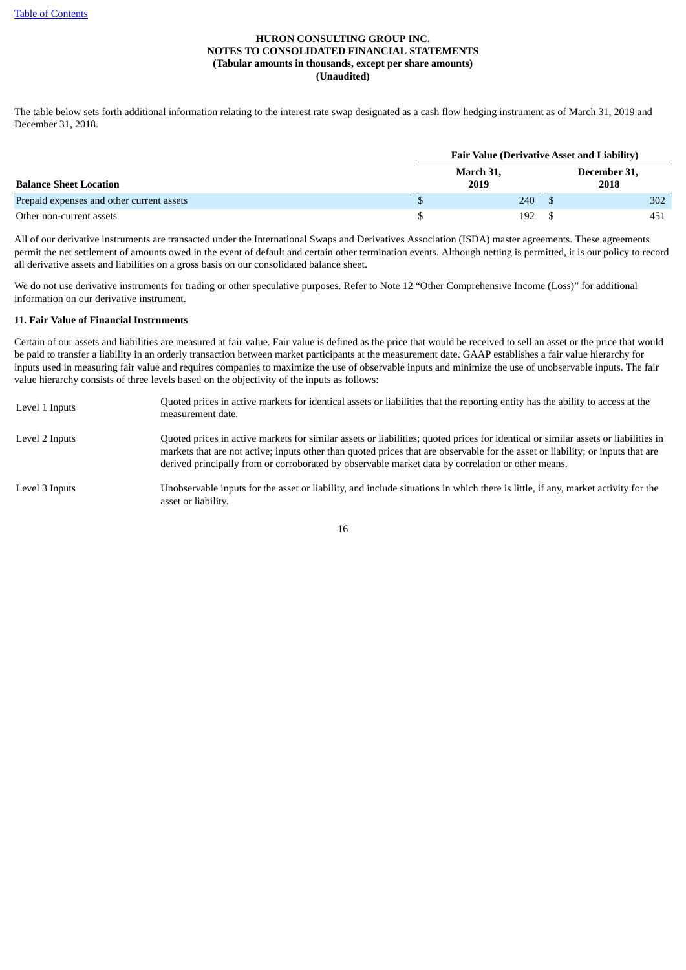The table below sets forth additional information relating to the interest rate swap designated as a cash flow hedging instrument as of March 31, 2019 and December 31, 2018.

|                                           | <b>Fair Value (Derivative Asset and Liability)</b> |                      |     |  |  |  |
|-------------------------------------------|----------------------------------------------------|----------------------|-----|--|--|--|
| <b>Balance Sheet Location</b>             | March 31.<br>2019                                  | December 31,<br>2018 |     |  |  |  |
| Prepaid expenses and other current assets | 240                                                |                      | 302 |  |  |  |
| Other non-current assets                  | 192                                                |                      | 451 |  |  |  |

All of our derivative instruments are transacted under the International Swaps and Derivatives Association (ISDA) master agreements. These agreements permit the net settlement of amounts owed in the event of default and certain other termination events. Although netting is permitted, it is our policy to record all derivative assets and liabilities on a gross basis on our consolidated balance sheet.

We do not use derivative instruments for trading or other speculative purposes. Refer to Note 12 "Other Comprehensive Income (Loss)" for additional information on our derivative instrument.

## **11. Fair Value of Financial Instruments**

Certain of our assets and liabilities are measured at fair value. Fair value is defined as the price that would be received to sell an asset or the price that would be paid to transfer a liability in an orderly transaction between market participants at the measurement date. GAAP establishes a fair value hierarchy for inputs used in measuring fair value and requires companies to maximize the use of observable inputs and minimize the use of unobservable inputs. The fair value hierarchy consists of three levels based on the objectivity of the inputs as follows:

| Level 1 Inputs | Quoted prices in active markets for identical assets or liabilities that the reporting entity has the ability to access at the<br>measurement date.                                                                                                                                                                                                                        |
|----------------|----------------------------------------------------------------------------------------------------------------------------------------------------------------------------------------------------------------------------------------------------------------------------------------------------------------------------------------------------------------------------|
| Level 2 Inputs | Quoted prices in active markets for similar assets or liabilities; quoted prices for identical or similar assets or liabilities in<br>markets that are not active; inputs other than quoted prices that are observable for the asset or liability; or inputs that are<br>derived principally from or corroborated by observable market data by correlation or other means. |
| Level 3 Inputs | Unobservable inputs for the asset or liability, and include situations in which there is little, if any, market activity for the<br>asset or liability.                                                                                                                                                                                                                    |

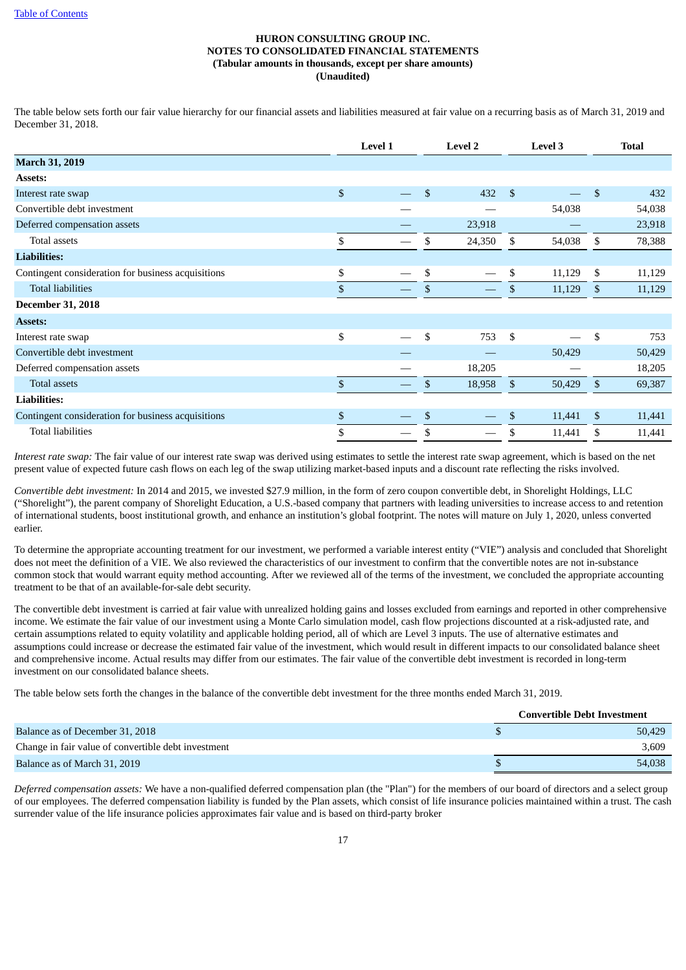The table below sets forth our fair value hierarchy for our financial assets and liabilities measured at fair value on a recurring basis as of March 31, 2019 and December 31, 2018.

|                                                    | <b>Level 1</b> | <b>Level 2</b> |                | <b>Level 3</b> |                |        |  | <b>Total</b> |
|----------------------------------------------------|----------------|----------------|----------------|----------------|----------------|--------|--|--------------|
| <b>March 31, 2019</b>                              |                |                |                |                |                |        |  |              |
| Assets:                                            |                |                |                |                |                |        |  |              |
| Interest rate swap                                 | \$             | \$<br>432      | $\mathfrak{F}$ |                | $\mathbb{S}$   | 432    |  |              |
| Convertible debt investment                        |                |                |                | 54,038         |                | 54,038 |  |              |
| Deferred compensation assets                       |                | 23,918         |                |                |                | 23,918 |  |              |
| <b>Total assets</b>                                | \$             | \$<br>24,350   | \$             | 54,038         | \$             | 78,388 |  |              |
| <b>Liabilities:</b>                                |                |                |                |                |                |        |  |              |
| Contingent consideration for business acquisitions | \$             | \$             | \$             | 11,129         | \$             | 11,129 |  |              |
| <b>Total liabilities</b>                           | \$             | \$             | \$             | 11,129         | \$             | 11,129 |  |              |
| <b>December 31, 2018</b>                           |                |                |                |                |                |        |  |              |
| <b>Assets:</b>                                     |                |                |                |                |                |        |  |              |
| Interest rate swap                                 | \$             | \$<br>753      | \$             |                | \$             | 753    |  |              |
| Convertible debt investment                        |                |                |                | 50,429         |                | 50,429 |  |              |
| Deferred compensation assets                       |                | 18,205         |                |                |                | 18,205 |  |              |
| <b>Total assets</b>                                | \$             | \$<br>18,958   | $\mathfrak{s}$ | 50,429         | \$             | 69,387 |  |              |
| <b>Liabilities:</b>                                |                |                |                |                |                |        |  |              |
| Contingent consideration for business acquisitions | \$             | \$             | \$             | 11,441         | $\mathfrak{L}$ | 11,441 |  |              |
| <b>Total liabilities</b>                           | \$             | \$             | \$             | 11,441         | \$             | 11,441 |  |              |

*Interest rate swap:* The fair value of our interest rate swap was derived using estimates to settle the interest rate swap agreement, which is based on the net present value of expected future cash flows on each leg of the swap utilizing market-based inputs and a discount rate reflecting the risks involved.

*Convertible debt investment:* In 2014 and 2015, we invested \$27.9 million, in the form of zero coupon convertible debt, in Shorelight Holdings, LLC ("Shorelight"), the parent company of Shorelight Education, a U.S.-based company that partners with leading universities to increase access to and retention of international students, boost institutional growth, and enhance an institution's global footprint. The notes will mature on July 1, 2020, unless converted earlier.

To determine the appropriate accounting treatment for our investment, we performed a variable interest entity ("VIE") analysis and concluded that Shorelight does not meet the definition of a VIE. We also reviewed the characteristics of our investment to confirm that the convertible notes are not in-substance common stock that would warrant equity method accounting. After we reviewed all of the terms of the investment, we concluded the appropriate accounting treatment to be that of an available-for-sale debt security.

The convertible debt investment is carried at fair value with unrealized holding gains and losses excluded from earnings and reported in other comprehensive income. We estimate the fair value of our investment using a Monte Carlo simulation model, cash flow projections discounted at a risk-adjusted rate, and certain assumptions related to equity volatility and applicable holding period, all of which are Level 3 inputs. The use of alternative estimates and assumptions could increase or decrease the estimated fair value of the investment, which would result in different impacts to our consolidated balance sheet and comprehensive income. Actual results may differ from our estimates. The fair value of the convertible debt investment is recorded in long-term investment on our consolidated balance sheets.

The table below sets forth the changes in the balance of the convertible debt investment for the three months ended March 31, 2019.

|                                                     | <b>Convertible Debt Investment</b> |
|-----------------------------------------------------|------------------------------------|
| Balance as of December 31, 2018                     | 50,429                             |
| Change in fair value of convertible debt investment | 3,609                              |
| Balance as of March 31, 2019                        | 54,038                             |

*Deferred compensation assets:* We have a non-qualified deferred compensation plan (the "Plan") for the members of our board of directors and a select group of our employees. The deferred compensation liability is funded by the Plan assets, which consist of life insurance policies maintained within a trust. The cash surrender value of the life insurance policies approximates fair value and is based on third-party broker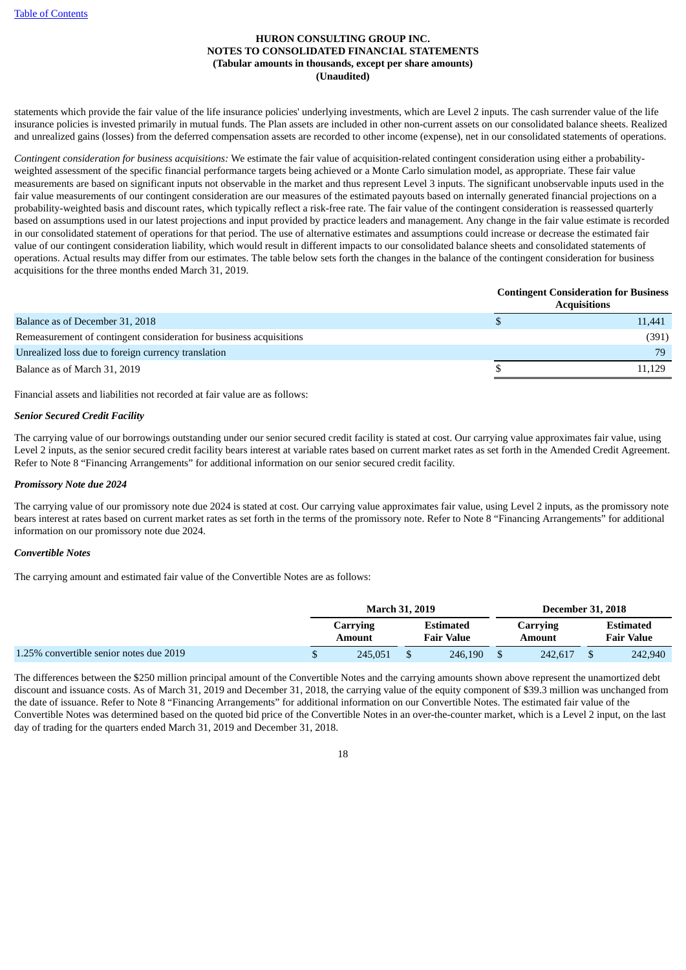statements which provide the fair value of the life insurance policies' underlying investments, which are Level 2 inputs. The cash surrender value of the life insurance policies is invested primarily in mutual funds. The Plan assets are included in other non-current assets on our consolidated balance sheets. Realized and unrealized gains (losses) from the deferred compensation assets are recorded to other income (expense), net in our consolidated statements of operations.

*Contingent consideration for business acquisitions:* We estimate the fair value of acquisition-related contingent consideration using either a probabilityweighted assessment of the specific financial performance targets being achieved or a Monte Carlo simulation model, as appropriate. These fair value measurements are based on significant inputs not observable in the market and thus represent Level 3 inputs. The significant unobservable inputs used in the fair value measurements of our contingent consideration are our measures of the estimated payouts based on internally generated financial projections on a probability-weighted basis and discount rates, which typically reflect a risk-free rate. The fair value of the contingent consideration is reassessed quarterly based on assumptions used in our latest projections and input provided by practice leaders and management. Any change in the fair value estimate is recorded in our consolidated statement of operations for that period. The use of alternative estimates and assumptions could increase or decrease the estimated fair value of our contingent consideration liability, which would result in different impacts to our consolidated balance sheets and consolidated statements of operations. Actual results may differ from our estimates. The table below sets forth the changes in the balance of the contingent consideration for business acquisitions for the three months ended March 31, 2019.

| <b>Contingent Consideration for Business</b> |  |
|----------------------------------------------|--|
| <b>Acquisitions</b>                          |  |

|                                                                     | Atumsitions |
|---------------------------------------------------------------------|-------------|
| Balance as of December 31, 2018                                     | 11,441      |
| Remeasurement of contingent consideration for business acquisitions | (391)       |
| Unrealized loss due to foreign currency translation                 | 79          |
| Balance as of March 31, 2019                                        | 11.129      |
|                                                                     |             |

Financial assets and liabilities not recorded at fair value are as follows:

## *Senior Secured Credit Facility*

The carrying value of our borrowings outstanding under our senior secured credit facility is stated at cost. Our carrying value approximates fair value, using Level 2 inputs, as the senior secured credit facility bears interest at variable rates based on current market rates as set forth in the Amended Credit Agreement. Refer to Note 8 "Financing Arrangements" for additional information on our senior secured credit facility.

#### *Promissory Note due 2024*

The carrying value of our promissory note due 2024 is stated at cost. Our carrying value approximates fair value, using Level 2 inputs, as the promissory note bears interest at rates based on current market rates as set forth in the terms of the promissory note. Refer to Note 8 "Financing Arrangements" for additional information on our promissory note due 2024.

## *Convertible Notes*

The carrying amount and estimated fair value of the Convertible Notes are as follows:

|                                         | <b>March 31, 2019</b> |                         | <b>December 31, 2018</b> |  |                                       |
|-----------------------------------------|-----------------------|-------------------------|--------------------------|--|---------------------------------------|
|                                         | Carrying<br>Amount    | Estimated<br>Fair Value | Carrying<br>Amount       |  | <b>Estimated</b><br><b>Fair Value</b> |
| 1.25% convertible senior notes due 2019 | 245,051               | 246,190                 | 242,617                  |  | 242,940                               |

The differences between the \$250 million principal amount of the Convertible Notes and the carrying amounts shown above represent the unamortized debt discount and issuance costs. As of March 31, 2019 and December 31, 2018, the carrying value of the equity component of \$39.3 million was unchanged from the date of issuance. Refer to Note 8 "Financing Arrangements" for additional information on our Convertible Notes. The estimated fair value of the Convertible Notes was determined based on the quoted bid price of the Convertible Notes in an over-the-counter market, which is a Level 2 input, on the last day of trading for the quarters ended March 31, 2019 and December 31, 2018.

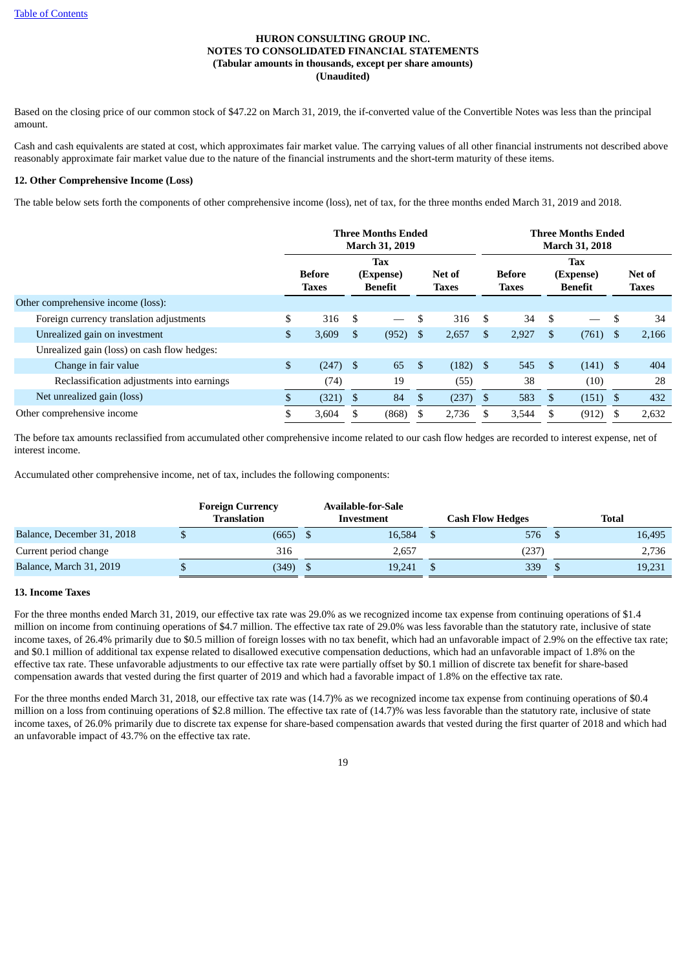Based on the closing price of our common stock of \$47.22 on March 31, 2019, the if-converted value of the Convertible Notes was less than the principal amount.

Cash and cash equivalents are stated at cost, which approximates fair market value. The carrying values of all other financial instruments not described above reasonably approximate fair market value due to the nature of the financial instruments and the short-term maturity of these items.

## **12. Other Comprehensive Income (Loss)**

The table below sets forth the components of other comprehensive income (loss), net of tax, for the three months ended March 31, 2019 and 2018.

|                                             | <b>Three Months Ended</b><br><b>March 31, 2019</b> |                               |               |                                           |                |                        |     | <b>Three Months Ended</b><br><b>March 31, 2018</b> |            |                                           |  |                        |
|---------------------------------------------|----------------------------------------------------|-------------------------------|---------------|-------------------------------------------|----------------|------------------------|-----|----------------------------------------------------|------------|-------------------------------------------|--|------------------------|
|                                             |                                                    | <b>Before</b><br><b>Taxes</b> |               | <b>Tax</b><br>(Expense)<br><b>Benefit</b> |                | Net of<br><b>Taxes</b> |     | <b>Before</b><br><b>Taxes</b>                      |            | <b>Tax</b><br>(Expense)<br><b>Benefit</b> |  | Net of<br><b>Taxes</b> |
| Other comprehensive income (loss):          |                                                    |                               |               |                                           |                |                        |     |                                                    |            |                                           |  |                        |
| Foreign currency translation adjustments    | \$                                                 | 316                           | -S            |                                           | \$             | 316                    | \$  | 34                                                 | $^{\circ}$ |                                           |  | 34                     |
| Unrealized gain on investment               | \$                                                 | 3,609                         | <sup>\$</sup> | (952)                                     | \$             | 2,657                  | \$. | 2,927                                              | \$         | $(761)$ \$                                |  | 2,166                  |
| Unrealized gain (loss) on cash flow hedges: |                                                    |                               |               |                                           |                |                        |     |                                                    |            |                                           |  |                        |
| Change in fair value                        | \$                                                 | $(247)$ \$                    |               | 65                                        | $\mathfrak{s}$ | $(182)$ \$             |     | 545                                                | - \$       | $(141)$ \$                                |  | 404                    |
| Reclassification adjustments into earnings  |                                                    | (74)                          |               | 19                                        |                | (55)                   |     | 38                                                 |            | (10)                                      |  | 28                     |
| Net unrealized gain (loss)                  | $\mathbb{S}$                                       | $(321)$ \$                    |               | 84                                        | $\mathfrak{s}$ | $(237)$ \$             |     | 583                                                | \$         | $(151)$ \$                                |  | 432                    |
| Other comprehensive income                  | \$                                                 | 3,604                         |               | (868)                                     | \$             | 2,736                  | \$. | 3,544                                              |            | (912)                                     |  | 2,632                  |

The before tax amounts reclassified from accumulated other comprehensive income related to our cash flow hedges are recorded to interest expense, net of interest income.

Accumulated other comprehensive income, net of tax, includes the following components:

|                            | <b>Foreign Currency</b><br><b>Translation</b> | <b>Available-for-Sale</b><br>Investment | <b>Cash Flow Hedges</b> | <b>Total</b> |
|----------------------------|-----------------------------------------------|-----------------------------------------|-------------------------|--------------|
| Balance, December 31, 2018 | (665)                                         | 16,584                                  | 576                     | 16,495       |
| Current period change      | 316                                           | 2,657                                   | (237)                   | 2,736        |
| Balance, March 31, 2019    | (349)                                         | 19.241                                  | 339                     | 19,231       |

## **13. Income Taxes**

For the three months ended March 31, 2019, our effective tax rate was 29.0% as we recognized income tax expense from continuing operations of \$1.4 million on income from continuing operations of \$4.7 million. The effective tax rate of 29.0% was less favorable than the statutory rate, inclusive of state income taxes, of 26.4% primarily due to \$0.5 million of foreign losses with no tax benefit, which had an unfavorable impact of 2.9% on the effective tax rate; and \$0.1 million of additional tax expense related to disallowed executive compensation deductions, which had an unfavorable impact of 1.8% on the effective tax rate. These unfavorable adjustments to our effective tax rate were partially offset by \$0.1 million of discrete tax benefit for share-based compensation awards that vested during the first quarter of 2019 and which had a favorable impact of 1.8% on the effective tax rate.

For the three months ended March 31, 2018, our effective tax rate was (14.7)% as we recognized income tax expense from continuing operations of \$0.4 million on a loss from continuing operations of \$2.8 million. The effective tax rate of (14.7)% was less favorable than the statutory rate, inclusive of state income taxes, of 26.0% primarily due to discrete tax expense for share-based compensation awards that vested during the first quarter of 2018 and which had an unfavorable impact of 43.7% on the effective tax rate.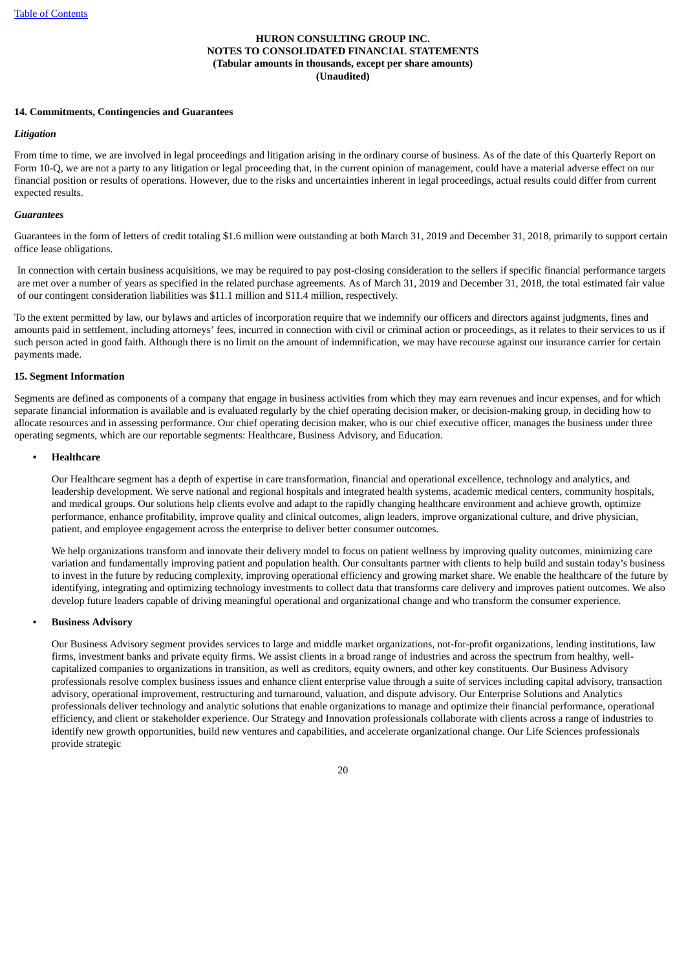## **14. Commitments, Contingencies and Guarantees**

#### *Litigation*

From time to time, we are involved in legal proceedings and litigation arising in the ordinary course of business. As of the date of this Quarterly Report on Form 10-Q, we are not a party to any litigation or legal proceeding that, in the current opinion of management, could have a material adverse effect on our financial position or results of operations. However, due to the risks and uncertainties inherent in legal proceedings, actual results could differ from current expected results.

#### *Guarantees*

Guarantees in the form of letters of credit totaling \$1.6 million were outstanding at both March 31, 2019 and December 31, 2018, primarily to support certain office lease obligations.

In connection with certain business acquisitions, we may be required to pay post-closing consideration to the sellers if specific financial performance targets are met over a number of years as specified in the related purchase agreements. As of March 31, 2019 and December 31, 2018, the total estimated fair value of our contingent consideration liabilities was \$11.1 million and \$11.4 million, respectively.

To the extent permitted by law, our bylaws and articles of incorporation require that we indemnify our officers and directors against judgments, fines and amounts paid in settlement, including attorneys' fees, incurred in connection with civil or criminal action or proceedings, as it relates to their services to us if such person acted in good faith. Although there is no limit on the amount of indemnification, we may have recourse against our insurance carrier for certain payments made.

#### **15. Segment Information**

Segments are defined as components of a company that engage in business activities from which they may earn revenues and incur expenses, and for which separate financial information is available and is evaluated regularly by the chief operating decision maker, or decision-making group, in deciding how to allocate resources and in assessing performance. Our chief operating decision maker, who is our chief executive officer, manages the business under three operating segments, which are our reportable segments: Healthcare, Business Advisory, and Education.

#### **• Healthcare**

Our Healthcare segment has a depth of expertise in care transformation, financial and operational excellence, technology and analytics, and leadership development. We serve national and regional hospitals and integrated health systems, academic medical centers, community hospitals, and medical groups. Our solutions help clients evolve and adapt to the rapidly changing healthcare environment and achieve growth, optimize performance, enhance profitability, improve quality and clinical outcomes, align leaders, improve organizational culture, and drive physician, patient, and employee engagement across the enterprise to deliver better consumer outcomes.

We help organizations transform and innovate their delivery model to focus on patient wellness by improving quality outcomes, minimizing care variation and fundamentally improving patient and population health. Our consultants partner with clients to help build and sustain today's business to invest in the future by reducing complexity, improving operational efficiency and growing market share. We enable the healthcare of the future by identifying, integrating and optimizing technology investments to collect data that transforms care delivery and improves patient outcomes. We also develop future leaders capable of driving meaningful operational and organizational change and who transform the consumer experience.

#### **• Business Advisory**

Our Business Advisory segment provides services to large and middle market organizations, not-for-profit organizations, lending institutions, law firms, investment banks and private equity firms. We assist clients in a broad range of industries and across the spectrum from healthy, wellcapitalized companies to organizations in transition, as well as creditors, equity owners, and other key constituents. Our Business Advisory professionals resolve complex business issues and enhance client enterprise value through a suite of services including capital advisory, transaction advisory, operational improvement, restructuring and turnaround, valuation, and dispute advisory. Our Enterprise Solutions and Analytics professionals deliver technology and analytic solutions that enable organizations to manage and optimize their financial performance, operational efficiency, and client or stakeholder experience. Our Strategy and Innovation professionals collaborate with clients across a range of industries to identify new growth opportunities, build new ventures and capabilities, and accelerate organizational change. Our Life Sciences professionals provide strategic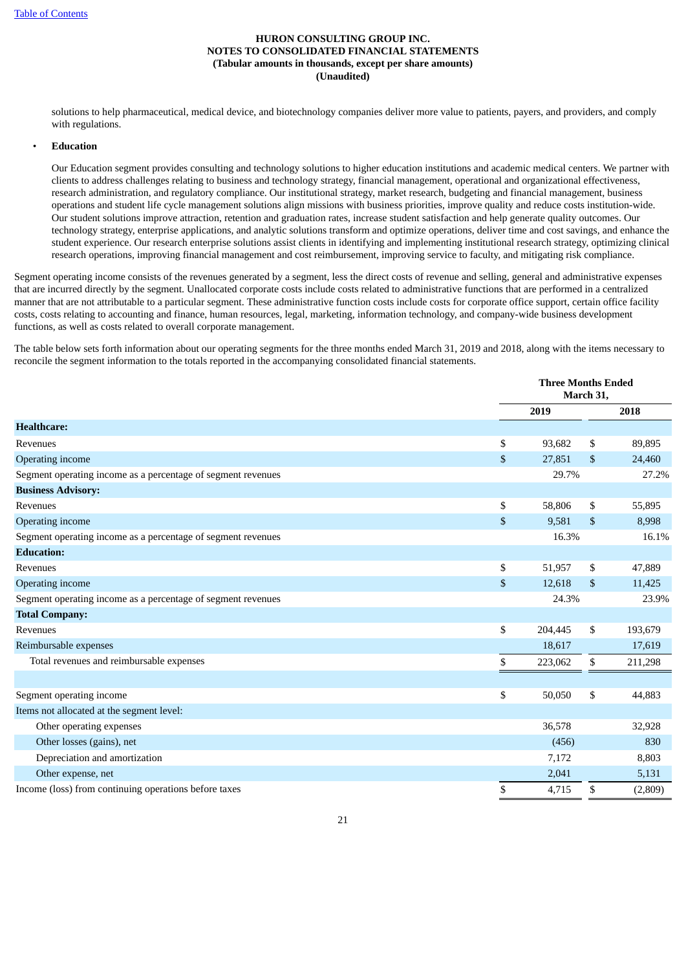solutions to help pharmaceutical, medical device, and biotechnology companies deliver more value to patients, payers, and providers, and comply with regulations.

#### • **Education**

Our Education segment provides consulting and technology solutions to higher education institutions and academic medical centers. We partner with clients to address challenges relating to business and technology strategy, financial management, operational and organizational effectiveness, research administration, and regulatory compliance. Our institutional strategy, market research, budgeting and financial management, business operations and student life cycle management solutions align missions with business priorities, improve quality and reduce costs institution-wide. Our student solutions improve attraction, retention and graduation rates, increase student satisfaction and help generate quality outcomes. Our technology strategy, enterprise applications, and analytic solutions transform and optimize operations, deliver time and cost savings, and enhance the student experience. Our research enterprise solutions assist clients in identifying and implementing institutional research strategy, optimizing clinical research operations, improving financial management and cost reimbursement, improving service to faculty, and mitigating risk compliance.

Segment operating income consists of the revenues generated by a segment, less the direct costs of revenue and selling, general and administrative expenses that are incurred directly by the segment. Unallocated corporate costs include costs related to administrative functions that are performed in a centralized manner that are not attributable to a particular segment. These administrative function costs include costs for corporate office support, certain office facility costs, costs relating to accounting and finance, human resources, legal, marketing, information technology, and company-wide business development functions, as well as costs related to overall corporate management.

The table below sets forth information about our operating segments for the three months ended March 31, 2019 and 2018, along with the items necessary to reconcile the segment information to the totals reported in the accompanying consolidated financial statements.

|                                                              |              | <b>Three Months Ended</b><br>March 31, |    |         |  |
|--------------------------------------------------------------|--------------|----------------------------------------|----|---------|--|
|                                                              |              | 2019                                   |    | 2018    |  |
| <b>Healthcare:</b>                                           |              |                                        |    |         |  |
| Revenues                                                     | \$           | 93,682                                 | \$ | 89,895  |  |
| Operating income                                             | $\mathbb{S}$ | 27,851                                 | \$ | 24,460  |  |
| Segment operating income as a percentage of segment revenues |              | 29.7%                                  |    | 27.2%   |  |
| <b>Business Advisory:</b>                                    |              |                                        |    |         |  |
| Revenues                                                     | \$           | 58,806                                 | \$ | 55,895  |  |
| Operating income                                             | \$           | 9,581                                  | \$ | 8,998   |  |
| Segment operating income as a percentage of segment revenues |              | 16.3%                                  |    | 16.1%   |  |
| <b>Education:</b>                                            |              |                                        |    |         |  |
| Revenues                                                     | \$           | 51,957                                 | \$ | 47,889  |  |
| Operating income                                             | \$           | 12,618                                 | \$ | 11,425  |  |
| Segment operating income as a percentage of segment revenues |              | 24.3%                                  |    | 23.9%   |  |
| <b>Total Company:</b>                                        |              |                                        |    |         |  |
| Revenues                                                     | \$           | 204,445                                | \$ | 193,679 |  |
| Reimbursable expenses                                        |              | 18,617                                 |    | 17,619  |  |
| Total revenues and reimbursable expenses                     | \$           | 223,062                                | \$ | 211,298 |  |
|                                                              |              |                                        |    |         |  |
| Segment operating income                                     | \$           | 50,050                                 | \$ | 44,883  |  |
| Items not allocated at the segment level:                    |              |                                        |    |         |  |
| Other operating expenses                                     |              | 36,578                                 |    | 32,928  |  |
| Other losses (gains), net                                    |              | (456)                                  |    | 830     |  |
| Depreciation and amortization                                |              | 7,172                                  |    | 8,803   |  |
| Other expense, net                                           |              | 2,041                                  |    | 5,131   |  |
| Income (loss) from continuing operations before taxes        | \$           | 4,715                                  | \$ | (2,809) |  |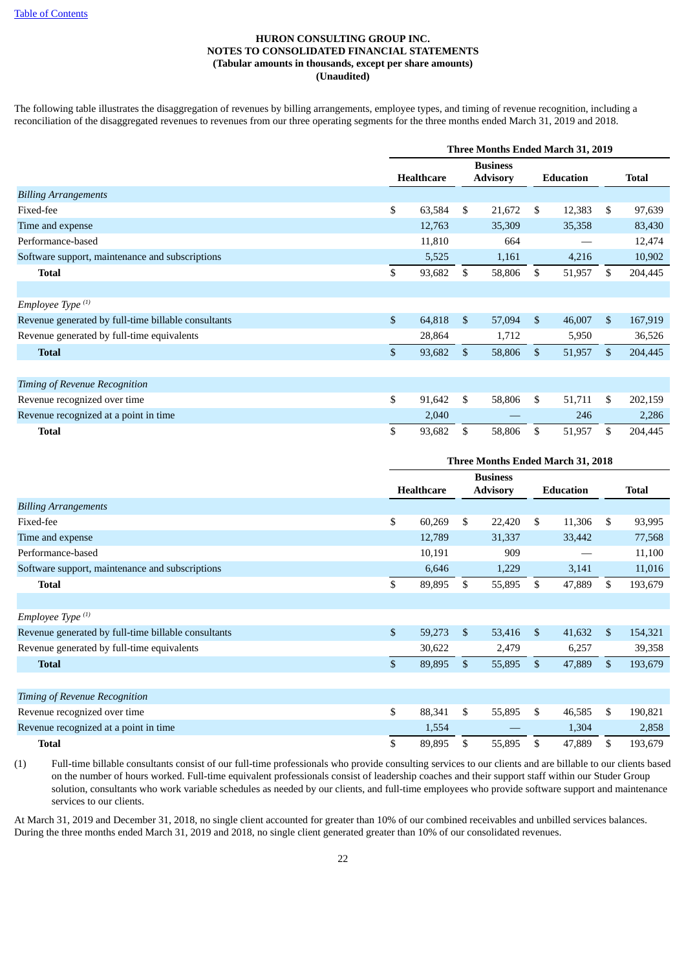The following table illustrates the disaggregation of revenues by billing arrangements, employee types, and timing of revenue recognition, including a reconciliation of the disaggregated revenues to revenues from our three operating segments for the three months ended March 31, 2019 and 2018.

|                                                     | Three Months Ended March 31, 2019 |    |                                    |     |                  |              |              |  |
|-----------------------------------------------------|-----------------------------------|----|------------------------------------|-----|------------------|--------------|--------------|--|
|                                                     | <b>Healthcare</b>                 |    | <b>Business</b><br><b>Advisory</b> |     | <b>Education</b> |              | <b>Total</b> |  |
| <b>Billing Arrangements</b>                         |                                   |    |                                    |     |                  |              |              |  |
| Fixed-fee                                           | \$<br>63,584                      | \$ | 21,672                             | S.  | 12,383           | S.           | 97,639       |  |
| Time and expense                                    | 12,763                            |    | 35,309                             |     | 35,358           |              | 83,430       |  |
| Performance-based                                   | 11,810                            |    | 664                                |     |                  |              | 12,474       |  |
| Software support, maintenance and subscriptions     | 5,525                             |    | 1,161                              |     | 4,216            |              | 10,902       |  |
| <b>Total</b>                                        | \$<br>93,682                      | \$ | 58,806                             | \$  | 51,957           | \$           | 204,445      |  |
|                                                     |                                   |    |                                    |     |                  |              |              |  |
| Employee Type <sup>(1)</sup>                        |                                   |    |                                    |     |                  |              |              |  |
| Revenue generated by full-time billable consultants | \$<br>64,818                      | \$ | 57,094                             | \$  | 46,007           | $\mathbb{S}$ | 167,919      |  |
| Revenue generated by full-time equivalents          | 28,864                            |    | 1,712                              |     | 5,950            |              | 36,526       |  |
| <b>Total</b>                                        | \$<br>93,682                      | \$ | 58,806                             | \$  | 51,957           | $\mathbb{S}$ | 204,445      |  |
|                                                     |                                   |    |                                    |     |                  |              |              |  |
| Timing of Revenue Recognition                       |                                   |    |                                    |     |                  |              |              |  |
| Revenue recognized over time                        | \$<br>91,642                      | \$ | 58,806                             | \$. | 51,711           | \$           | 202,159      |  |
| Revenue recognized at a point in time               | 2,040                             |    |                                    |     | 246              |              | 2,286        |  |
| <b>Total</b>                                        | \$<br>93,682                      | \$ | 58,806                             | \$  | 51,957           | \$           | 204,445      |  |

|                                                     | Three Months Ended March 31, 2018 |               |                                    |               |                  |              |              |  |
|-----------------------------------------------------|-----------------------------------|---------------|------------------------------------|---------------|------------------|--------------|--------------|--|
|                                                     | <b>Healthcare</b>                 |               | <b>Business</b><br><b>Advisory</b> |               | <b>Education</b> |              | <b>Total</b> |  |
| <b>Billing Arrangements</b>                         |                                   |               |                                    |               |                  |              |              |  |
| Fixed-fee                                           | \$<br>60,269                      | \$            | 22,420                             | \$            | 11,306           | \$           | 93,995       |  |
| Time and expense                                    | 12,789                            |               | 31,337                             |               | 33,442           |              | 77,568       |  |
| Performance-based                                   | 10,191                            |               | 909                                |               |                  |              | 11,100       |  |
| Software support, maintenance and subscriptions     | 6,646                             |               | 1,229                              |               | 3,141            |              | 11,016       |  |
| <b>Total</b>                                        | \$<br>89,895                      | \$            | 55,895                             | \$            | 47,889           | \$           | 193,679      |  |
|                                                     |                                   |               |                                    |               |                  |              |              |  |
| Employee Type $(1)$                                 |                                   |               |                                    |               |                  |              |              |  |
| Revenue generated by full-time billable consultants | \$<br>59,273                      | <sup>\$</sup> | 53,416                             | <sup>\$</sup> | 41,632           | $\mathbb{S}$ | 154,321      |  |
| Revenue generated by full-time equivalents          | 30,622                            |               | 2,479                              |               | 6,257            |              | 39,358       |  |
| <b>Total</b>                                        | \$<br>89,895                      | $\mathbb{S}$  | 55,895                             | \$            | 47,889           | $\mathbb{S}$ | 193,679      |  |
|                                                     |                                   |               |                                    |               |                  |              |              |  |
| Timing of Revenue Recognition                       |                                   |               |                                    |               |                  |              |              |  |
| Revenue recognized over time                        | \$<br>88,341                      | \$            | 55,895                             | \$            | 46,585           | \$           | 190,821      |  |
| Revenue recognized at a point in time               | 1,554                             |               |                                    |               | 1,304            |              | 2,858        |  |
| <b>Total</b>                                        | \$<br>89,895                      | \$            | 55,895                             | \$            | 47,889           | \$           | 193,679      |  |

(1) Full-time billable consultants consist of our full-time professionals who provide consulting services to our clients and are billable to our clients based on the number of hours worked. Full-time equivalent professionals consist of leadership coaches and their support staff within our Studer Group solution, consultants who work variable schedules as needed by our clients, and full-time employees who provide software support and maintenance services to our clients.

At March 31, 2019 and December 31, 2018, no single client accounted for greater than 10% of our combined receivables and unbilled services balances. During the three months ended March 31, 2019 and 2018, no single client generated greater than 10% of our consolidated revenues.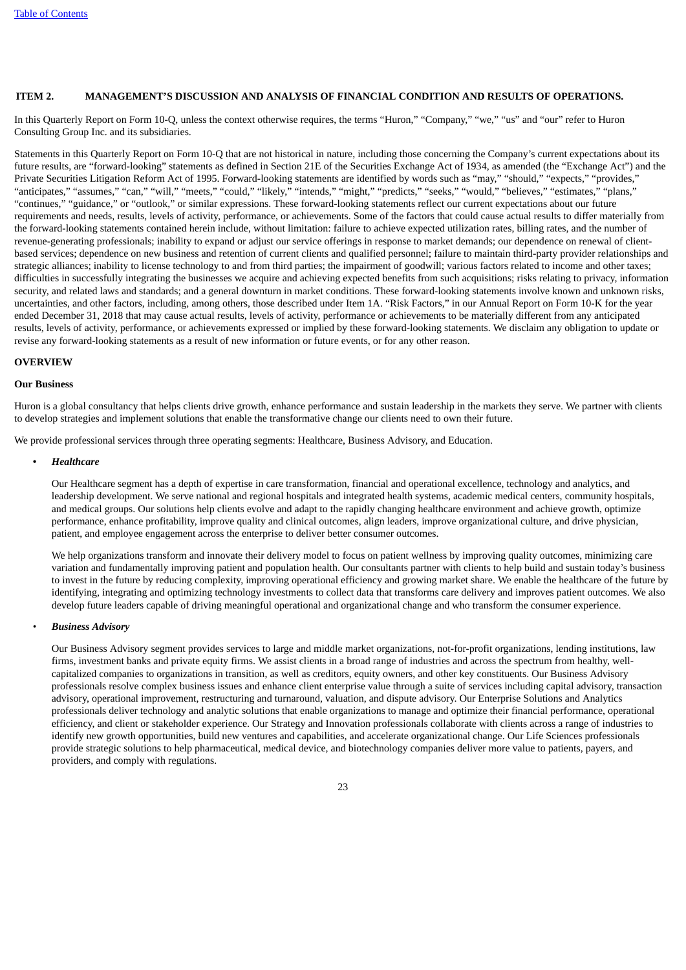### <span id="page-24-0"></span>**ITEM 2. MANAGEMENT'S DISCUSSION AND ANALYSIS OF FINANCIAL CONDITION AND RESULTS OF OPERATIONS.**

In this Quarterly Report on Form 10-Q, unless the context otherwise requires, the terms "Huron," "Company," "we," "us" and "our" refer to Huron Consulting Group Inc. and its subsidiaries.

Statements in this Quarterly Report on Form 10-Q that are not historical in nature, including those concerning the Company's current expectations about its future results, are "forward-looking" statements as defined in Section 21E of the Securities Exchange Act of 1934, as amended (the "Exchange Act") and the Private Securities Litigation Reform Act of 1995. Forward-looking statements are identified by words such as "may," "should," "expects," "provides," "anticipates," "assumes," "can," "will," "meets," "could," "likely," "intends," "might," "predicts," "seeks," "would," "believes," "estimates," "plans," "continues," "guidance," or "outlook," or similar expressions. These forward-looking statements reflect our current expectations about our future requirements and needs, results, levels of activity, performance, or achievements. Some of the factors that could cause actual results to differ materially from the forward-looking statements contained herein include, without limitation: failure to achieve expected utilization rates, billing rates, and the number of revenue-generating professionals; inability to expand or adjust our service offerings in response to market demands; our dependence on renewal of clientbased services; dependence on new business and retention of current clients and qualified personnel; failure to maintain third-party provider relationships and strategic alliances; inability to license technology to and from third parties; the impairment of goodwill; various factors related to income and other taxes; difficulties in successfully integrating the businesses we acquire and achieving expected benefits from such acquisitions; risks relating to privacy, information security, and related laws and standards; and a general downturn in market conditions. These forward-looking statements involve known and unknown risks, uncertainties, and other factors, including, among others, those described under Item 1A. "Risk Factors," in our Annual Report on Form 10-K for the year ended December 31, 2018 that may cause actual results, levels of activity, performance or achievements to be materially different from any anticipated results, levels of activity, performance, or achievements expressed or implied by these forward-looking statements. We disclaim any obligation to update or revise any forward-looking statements as a result of new information or future events, or for any other reason.

#### **OVERVIEW**

#### **Our Business**

Huron is a global consultancy that helps clients drive growth, enhance performance and sustain leadership in the markets they serve. We partner with clients to develop strategies and implement solutions that enable the transformative change our clients need to own their future.

We provide professional services through three operating segments: Healthcare, Business Advisory, and Education.

#### **•** *Healthcare*

Our Healthcare segment has a depth of expertise in care transformation, financial and operational excellence, technology and analytics, and leadership development. We serve national and regional hospitals and integrated health systems, academic medical centers, community hospitals, and medical groups. Our solutions help clients evolve and adapt to the rapidly changing healthcare environment and achieve growth, optimize performance, enhance profitability, improve quality and clinical outcomes, align leaders, improve organizational culture, and drive physician, patient, and employee engagement across the enterprise to deliver better consumer outcomes.

We help organizations transform and innovate their delivery model to focus on patient wellness by improving quality outcomes, minimizing care variation and fundamentally improving patient and population health. Our consultants partner with clients to help build and sustain today's business to invest in the future by reducing complexity, improving operational efficiency and growing market share. We enable the healthcare of the future by identifying, integrating and optimizing technology investments to collect data that transforms care delivery and improves patient outcomes. We also develop future leaders capable of driving meaningful operational and organizational change and who transform the consumer experience.

#### • *Business Advisory*

Our Business Advisory segment provides services to large and middle market organizations, not-for-profit organizations, lending institutions, law firms, investment banks and private equity firms. We assist clients in a broad range of industries and across the spectrum from healthy, wellcapitalized companies to organizations in transition, as well as creditors, equity owners, and other key constituents. Our Business Advisory professionals resolve complex business issues and enhance client enterprise value through a suite of services including capital advisory, transaction advisory, operational improvement, restructuring and turnaround, valuation, and dispute advisory. Our Enterprise Solutions and Analytics professionals deliver technology and analytic solutions that enable organizations to manage and optimize their financial performance, operational efficiency, and client or stakeholder experience. Our Strategy and Innovation professionals collaborate with clients across a range of industries to identify new growth opportunities, build new ventures and capabilities, and accelerate organizational change. Our Life Sciences professionals provide strategic solutions to help pharmaceutical, medical device, and biotechnology companies deliver more value to patients, payers, and providers, and comply with regulations.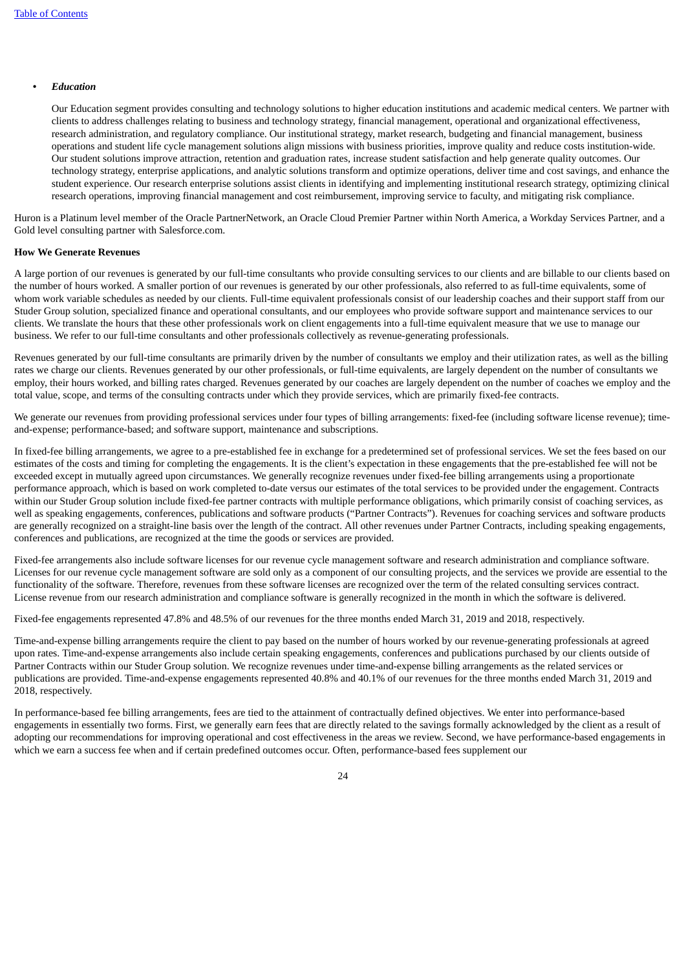## **•** *Education*

Our Education segment provides consulting and technology solutions to higher education institutions and academic medical centers. We partner with clients to address challenges relating to business and technology strategy, financial management, operational and organizational effectiveness, research administration, and regulatory compliance. Our institutional strategy, market research, budgeting and financial management, business operations and student life cycle management solutions align missions with business priorities, improve quality and reduce costs institution-wide. Our student solutions improve attraction, retention and graduation rates, increase student satisfaction and help generate quality outcomes. Our technology strategy, enterprise applications, and analytic solutions transform and optimize operations, deliver time and cost savings, and enhance the student experience. Our research enterprise solutions assist clients in identifying and implementing institutional research strategy, optimizing clinical research operations, improving financial management and cost reimbursement, improving service to faculty, and mitigating risk compliance.

Huron is a Platinum level member of the Oracle PartnerNetwork, an Oracle Cloud Premier Partner within North America, a Workday Services Partner, and a Gold level consulting partner with Salesforce.com.

#### **How We Generate Revenues**

A large portion of our revenues is generated by our full-time consultants who provide consulting services to our clients and are billable to our clients based on the number of hours worked. A smaller portion of our revenues is generated by our other professionals, also referred to as full-time equivalents, some of whom work variable schedules as needed by our clients. Full-time equivalent professionals consist of our leadership coaches and their support staff from our Studer Group solution, specialized finance and operational consultants, and our employees who provide software support and maintenance services to our clients. We translate the hours that these other professionals work on client engagements into a full-time equivalent measure that we use to manage our business. We refer to our full-time consultants and other professionals collectively as revenue-generating professionals.

Revenues generated by our full-time consultants are primarily driven by the number of consultants we employ and their utilization rates, as well as the billing rates we charge our clients. Revenues generated by our other professionals, or full-time equivalents, are largely dependent on the number of consultants we employ, their hours worked, and billing rates charged. Revenues generated by our coaches are largely dependent on the number of coaches we employ and the total value, scope, and terms of the consulting contracts under which they provide services, which are primarily fixed-fee contracts.

We generate our revenues from providing professional services under four types of billing arrangements: fixed-fee (including software license revenue); timeand-expense; performance-based; and software support, maintenance and subscriptions.

In fixed-fee billing arrangements, we agree to a pre-established fee in exchange for a predetermined set of professional services. We set the fees based on our estimates of the costs and timing for completing the engagements. It is the client's expectation in these engagements that the pre-established fee will not be exceeded except in mutually agreed upon circumstances. We generally recognize revenues under fixed-fee billing arrangements using a proportionate performance approach, which is based on work completed to-date versus our estimates of the total services to be provided under the engagement. Contracts within our Studer Group solution include fixed-fee partner contracts with multiple performance obligations, which primarily consist of coaching services, as well as speaking engagements, conferences, publications and software products ("Partner Contracts"). Revenues for coaching services and software products are generally recognized on a straight-line basis over the length of the contract. All other revenues under Partner Contracts, including speaking engagements, conferences and publications, are recognized at the time the goods or services are provided.

Fixed-fee arrangements also include software licenses for our revenue cycle management software and research administration and compliance software. Licenses for our revenue cycle management software are sold only as a component of our consulting projects, and the services we provide are essential to the functionality of the software. Therefore, revenues from these software licenses are recognized over the term of the related consulting services contract. License revenue from our research administration and compliance software is generally recognized in the month in which the software is delivered.

Fixed-fee engagements represented 47.8% and 48.5% of our revenues for the three months ended March 31, 2019 and 2018, respectively.

Time-and-expense billing arrangements require the client to pay based on the number of hours worked by our revenue-generating professionals at agreed upon rates. Time-and-expense arrangements also include certain speaking engagements, conferences and publications purchased by our clients outside of Partner Contracts within our Studer Group solution. We recognize revenues under time-and-expense billing arrangements as the related services or publications are provided. Time-and-expense engagements represented 40.8% and 40.1% of our revenues for the three months ended March 31, 2019 and 2018, respectively.

In performance-based fee billing arrangements, fees are tied to the attainment of contractually defined objectives. We enter into performance-based engagements in essentially two forms. First, we generally earn fees that are directly related to the savings formally acknowledged by the client as a result of adopting our recommendations for improving operational and cost effectiveness in the areas we review. Second, we have performance-based engagements in which we earn a success fee when and if certain predefined outcomes occur. Often, performance-based fees supplement our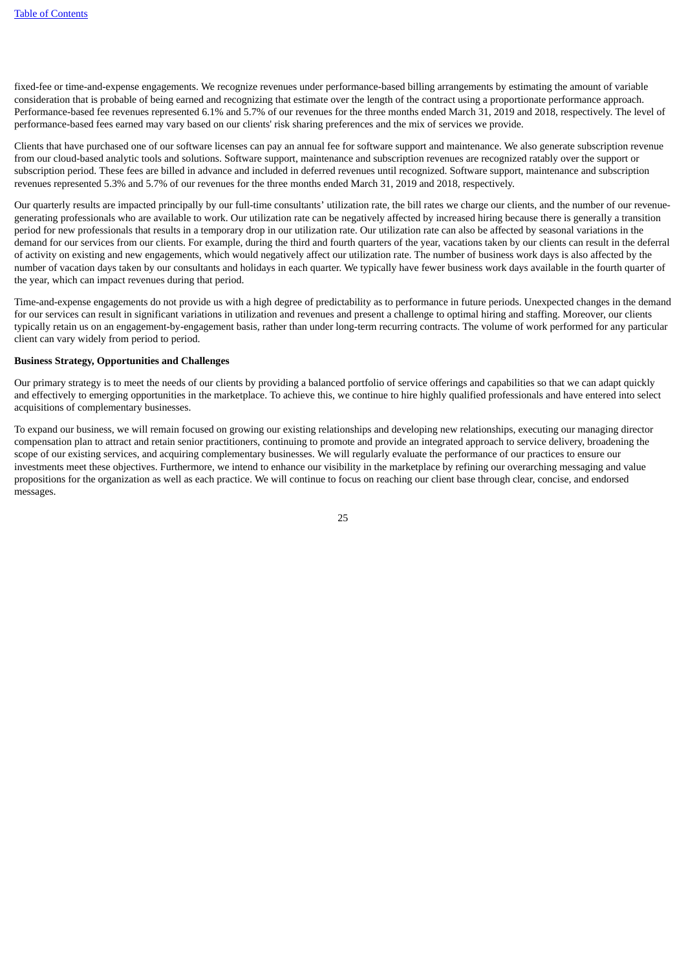fixed-fee or time-and-expense engagements. We recognize revenues under performance-based billing arrangements by estimating the amount of variable consideration that is probable of being earned and recognizing that estimate over the length of the contract using a proportionate performance approach. Performance-based fee revenues represented 6.1% and 5.7% of our revenues for the three months ended March 31, 2019 and 2018, respectively. The level of performance-based fees earned may vary based on our clients' risk sharing preferences and the mix of services we provide.

Clients that have purchased one of our software licenses can pay an annual fee for software support and maintenance. We also generate subscription revenue from our cloud-based analytic tools and solutions. Software support, maintenance and subscription revenues are recognized ratably over the support or subscription period. These fees are billed in advance and included in deferred revenues until recognized. Software support, maintenance and subscription revenues represented 5.3% and 5.7% of our revenues for the three months ended March 31, 2019 and 2018, respectively.

Our quarterly results are impacted principally by our full-time consultants' utilization rate, the bill rates we charge our clients, and the number of our revenuegenerating professionals who are available to work. Our utilization rate can be negatively affected by increased hiring because there is generally a transition period for new professionals that results in a temporary drop in our utilization rate. Our utilization rate can also be affected by seasonal variations in the demand for our services from our clients. For example, during the third and fourth quarters of the year, vacations taken by our clients can result in the deferral of activity on existing and new engagements, which would negatively affect our utilization rate. The number of business work days is also affected by the number of vacation days taken by our consultants and holidays in each quarter. We typically have fewer business work days available in the fourth quarter of the year, which can impact revenues during that period.

Time-and-expense engagements do not provide us with a high degree of predictability as to performance in future periods. Unexpected changes in the demand for our services can result in significant variations in utilization and revenues and present a challenge to optimal hiring and staffing. Moreover, our clients typically retain us on an engagement-by-engagement basis, rather than under long-term recurring contracts. The volume of work performed for any particular client can vary widely from period to period.

#### **Business Strategy, Opportunities and Challenges**

Our primary strategy is to meet the needs of our clients by providing a balanced portfolio of service offerings and capabilities so that we can adapt quickly and effectively to emerging opportunities in the marketplace. To achieve this, we continue to hire highly qualified professionals and have entered into select acquisitions of complementary businesses.

To expand our business, we will remain focused on growing our existing relationships and developing new relationships, executing our managing director compensation plan to attract and retain senior practitioners, continuing to promote and provide an integrated approach to service delivery, broadening the scope of our existing services, and acquiring complementary businesses. We will regularly evaluate the performance of our practices to ensure our investments meet these objectives. Furthermore, we intend to enhance our visibility in the marketplace by refining our overarching messaging and value propositions for the organization as well as each practice. We will continue to focus on reaching our client base through clear, concise, and endorsed messages.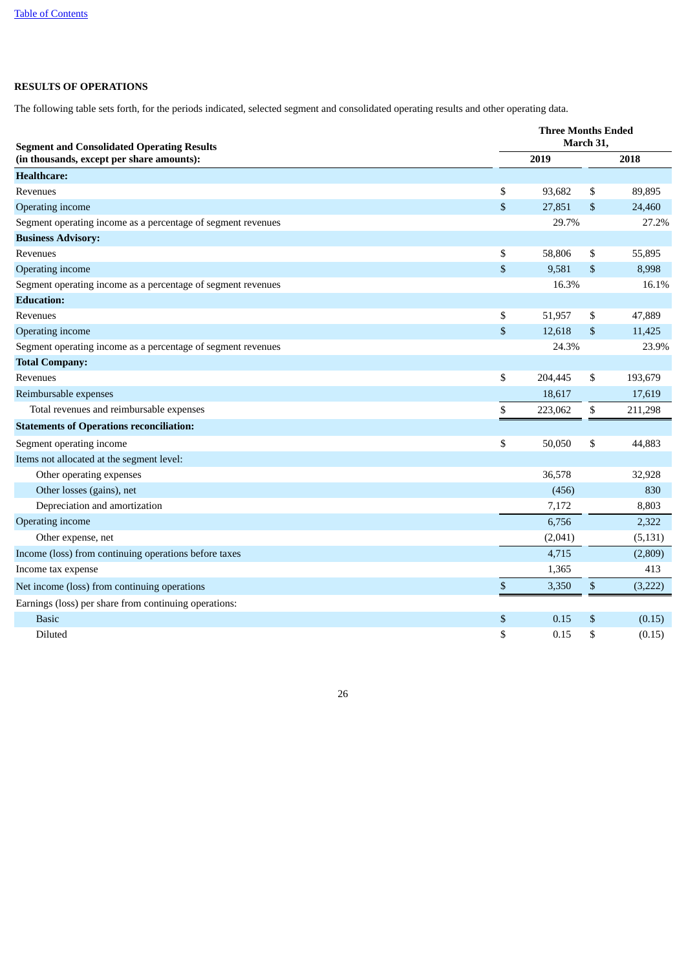# **RESULTS OF OPERATIONS**

The following table sets forth, for the periods indicated, selected segment and consolidated operating results and other operating data.

| <b>Segment and Consolidated Operating Results</b>            |    | <b>Three Months Ended</b><br>March 31. |    |          |  |  |  |
|--------------------------------------------------------------|----|----------------------------------------|----|----------|--|--|--|
| (in thousands, except per share amounts):                    |    | 2019                                   |    | 2018     |  |  |  |
| <b>Healthcare:</b>                                           |    |                                        |    |          |  |  |  |
| Revenues                                                     | \$ | 93,682                                 | \$ | 89,895   |  |  |  |
| Operating income                                             | \$ | 27,851                                 | \$ | 24,460   |  |  |  |
| Segment operating income as a percentage of segment revenues |    | 29.7%                                  |    | 27.2%    |  |  |  |
| <b>Business Advisory:</b>                                    |    |                                        |    |          |  |  |  |
| Revenues                                                     | \$ | 58,806                                 | \$ | 55,895   |  |  |  |
| Operating income                                             | \$ | 9,581                                  | \$ | 8,998    |  |  |  |
| Segment operating income as a percentage of segment revenues |    | 16.3%                                  |    | 16.1%    |  |  |  |
| <b>Education:</b>                                            |    |                                        |    |          |  |  |  |
| Revenues                                                     | \$ | 51,957                                 | \$ | 47,889   |  |  |  |
| Operating income                                             | \$ | 12,618                                 | \$ | 11,425   |  |  |  |
| Segment operating income as a percentage of segment revenues |    | 24.3%                                  |    | 23.9%    |  |  |  |
| <b>Total Company:</b>                                        |    |                                        |    |          |  |  |  |
| Revenues                                                     | \$ | 204,445                                | \$ | 193,679  |  |  |  |
| Reimbursable expenses                                        |    | 18,617                                 |    | 17,619   |  |  |  |
| Total revenues and reimbursable expenses                     | \$ | 223,062                                | \$ | 211,298  |  |  |  |
| <b>Statements of Operations reconciliation:</b>              |    |                                        |    |          |  |  |  |
| Segment operating income                                     | \$ | 50,050                                 | \$ | 44,883   |  |  |  |
| Items not allocated at the segment level:                    |    |                                        |    |          |  |  |  |
| Other operating expenses                                     |    | 36,578                                 |    | 32,928   |  |  |  |
| Other losses (gains), net                                    |    | (456)                                  |    | 830      |  |  |  |
| Depreciation and amortization                                |    | 7,172                                  |    | 8,803    |  |  |  |
| Operating income                                             |    | 6,756                                  |    | 2,322    |  |  |  |
| Other expense, net                                           |    | (2,041)                                |    | (5, 131) |  |  |  |
| Income (loss) from continuing operations before taxes        |    | 4,715                                  |    | (2,809)  |  |  |  |
| Income tax expense                                           |    | 1,365                                  |    | 413      |  |  |  |
| Net income (loss) from continuing operations                 | \$ | 3,350                                  | \$ | (3,222)  |  |  |  |
| Earnings (loss) per share from continuing operations:        |    |                                        |    |          |  |  |  |
| <b>Basic</b>                                                 | \$ | 0.15                                   | \$ | (0.15)   |  |  |  |
| Diluted                                                      | \$ | 0.15                                   | \$ | (0.15)   |  |  |  |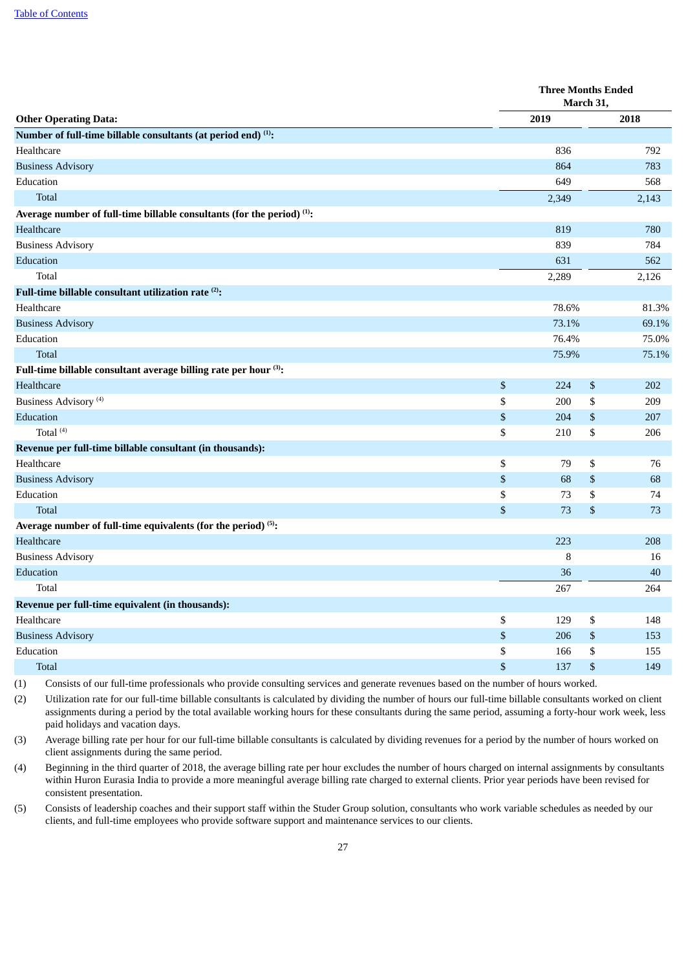|                                                                           | <b>Three Months Ended</b><br>March 31, |      |       |  |  |  |
|---------------------------------------------------------------------------|----------------------------------------|------|-------|--|--|--|
| <b>Other Operating Data:</b>                                              | 2019                                   | 2018 |       |  |  |  |
| Number of full-time billable consultants (at period end) <sup>(1)</sup> : |                                        |      |       |  |  |  |
| Healthcare                                                                | 836                                    |      | 792   |  |  |  |
| <b>Business Advisory</b>                                                  | 864                                    |      | 783   |  |  |  |
| Education                                                                 | 649                                    |      | 568   |  |  |  |
| <b>Total</b>                                                              | 2,349                                  |      | 2,143 |  |  |  |
| Average number of full-time billable consultants (for the period) $(1)$ : |                                        |      |       |  |  |  |
| Healthcare                                                                | 819                                    |      | 780   |  |  |  |
| <b>Business Advisory</b>                                                  | 839                                    |      | 784   |  |  |  |
| Education                                                                 | 631                                    |      | 562   |  |  |  |
| Total                                                                     | 2,289                                  |      | 2,126 |  |  |  |
| Full-time billable consultant utilization rate (2):                       |                                        |      |       |  |  |  |
| Healthcare                                                                | 78.6%                                  |      | 81.3% |  |  |  |
| <b>Business Advisory</b>                                                  | 73.1%                                  |      | 69.1% |  |  |  |
| Education                                                                 | 76.4%                                  |      | 75.0% |  |  |  |
| <b>Total</b>                                                              | 75.9%                                  |      | 75.1% |  |  |  |
| Full-time billable consultant average billing rate per hour (3):          |                                        |      |       |  |  |  |
| Healthcare                                                                | \$<br>224                              | \$   | 202   |  |  |  |
| Business Advisory <sup>(4)</sup>                                          | \$<br>200                              | \$   | 209   |  |  |  |
| Education                                                                 | \$<br>204                              | \$   | 207   |  |  |  |
| Total $(4)$                                                               | \$<br>210                              | \$   | 206   |  |  |  |
| Revenue per full-time billable consultant (in thousands):                 |                                        |      |       |  |  |  |
| Healthcare                                                                | \$<br>79                               | \$   | 76    |  |  |  |
| <b>Business Advisory</b>                                                  | \$<br>68                               | \$   | 68    |  |  |  |
| Education                                                                 | \$<br>73                               | \$   | 74    |  |  |  |
| Total                                                                     | \$<br>73                               | \$   | 73    |  |  |  |
| Average number of full-time equivalents (for the period) <sup>(5)</sup> : |                                        |      |       |  |  |  |
| Healthcare                                                                | 223                                    |      | 208   |  |  |  |
| <b>Business Advisory</b>                                                  | 8                                      |      | 16    |  |  |  |
| Education                                                                 | 36                                     |      | 40    |  |  |  |
| Total                                                                     | 267                                    |      | 264   |  |  |  |
| Revenue per full-time equivalent (in thousands):                          |                                        |      |       |  |  |  |
| Healthcare                                                                | \$<br>129                              | \$   | 148   |  |  |  |
| <b>Business Advisory</b>                                                  | \$<br>206                              | \$   | 153   |  |  |  |
| Education                                                                 | \$<br>166                              | \$   | 155   |  |  |  |
| <b>Total</b>                                                              | \$<br>137                              | \$   | 149   |  |  |  |

(1) Consists of our full-time professionals who provide consulting services and generate revenues based on the number of hours worked.

(2) Utilization rate for our full-time billable consultants is calculated by dividing the number of hours our full-time billable consultants worked on client assignments during a period by the total available working hours for these consultants during the same period, assuming a forty-hour work week, less paid holidays and vacation days.

(3) Average billing rate per hour for our full-time billable consultants is calculated by dividing revenues for a period by the number of hours worked on client assignments during the same period.

(4) Beginning in the third quarter of 2018, the average billing rate per hour excludes the number of hours charged on internal assignments by consultants within Huron Eurasia India to provide a more meaningful average billing rate charged to external clients. Prior year periods have been revised for consistent presentation.

(5) Consists of leadership coaches and their support staff within the Studer Group solution, consultants who work variable schedules as needed by our clients, and full-time employees who provide software support and maintenance services to our clients.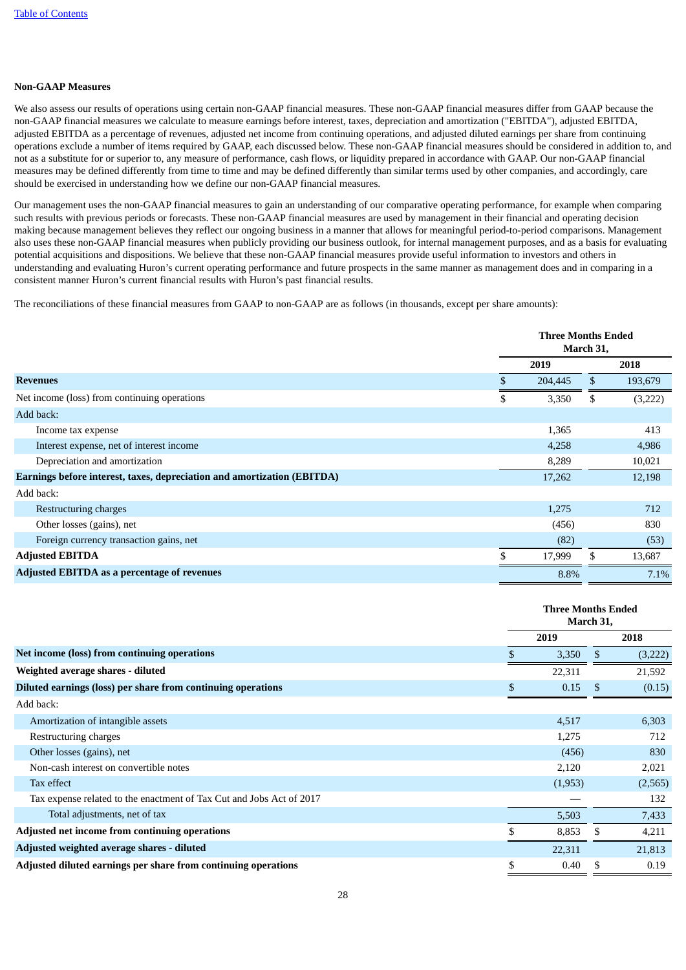## **Non-GAAP Measures**

We also assess our results of operations using certain non-GAAP financial measures. These non-GAAP financial measures differ from GAAP because the non-GAAP financial measures we calculate to measure earnings before interest, taxes, depreciation and amortization ("EBITDA"), adjusted EBITDA, adjusted EBITDA as a percentage of revenues, adjusted net income from continuing operations, and adjusted diluted earnings per share from continuing operations exclude a number of items required by GAAP, each discussed below. These non-GAAP financial measures should be considered in addition to, and not as a substitute for or superior to, any measure of performance, cash flows, or liquidity prepared in accordance with GAAP. Our non-GAAP financial measures may be defined differently from time to time and may be defined differently than similar terms used by other companies, and accordingly, care should be exercised in understanding how we define our non-GAAP financial measures.

Our management uses the non-GAAP financial measures to gain an understanding of our comparative operating performance, for example when comparing such results with previous periods or forecasts. These non-GAAP financial measures are used by management in their financial and operating decision making because management believes they reflect our ongoing business in a manner that allows for meaningful period-to-period comparisons. Management also uses these non-GAAP financial measures when publicly providing our business outlook, for internal management purposes, and as a basis for evaluating potential acquisitions and dispositions. We believe that these non-GAAP financial measures provide useful information to investors and others in understanding and evaluating Huron's current operating performance and future prospects in the same manner as management does and in comparing in a consistent manner Huron's current financial results with Huron's past financial results.

The reconciliations of these financial measures from GAAP to non-GAAP are as follows (in thousands, except per share amounts):

|                                                                         | <b>Three Months Ended</b><br>March 31, |      |         |  |
|-------------------------------------------------------------------------|----------------------------------------|------|---------|--|
|                                                                         | 2019                                   | 2018 |         |  |
| <b>Revenues</b>                                                         | \$<br>204,445                          | \$.  | 193,679 |  |
| Net income (loss) from continuing operations                            | \$<br>3,350                            | \$   | (3,222) |  |
| Add back:                                                               |                                        |      |         |  |
| Income tax expense                                                      | 1,365                                  |      | 413     |  |
| Interest expense, net of interest income                                | 4,258                                  |      | 4,986   |  |
| Depreciation and amortization                                           | 8,289                                  |      | 10,021  |  |
| Earnings before interest, taxes, depreciation and amortization (EBITDA) | 17,262                                 |      | 12,198  |  |
| Add back:                                                               |                                        |      |         |  |
| Restructuring charges                                                   | 1,275                                  |      | 712     |  |
| Other losses (gains), net                                               | (456)                                  |      | 830     |  |
| Foreign currency transaction gains, net                                 | (82)                                   |      | (53)    |  |
| <b>Adjusted EBITDA</b>                                                  | \$<br>17,999                           | \$   | 13,687  |  |
| Adjusted EBITDA as a percentage of revenues                             | 8.8%                                   |      | 7.1%    |  |

|                                                                      | <b>Three Months Ended</b><br>March 31, |           |      |         |
|----------------------------------------------------------------------|----------------------------------------|-----------|------|---------|
|                                                                      | 2019                                   |           | 2018 |         |
| Net income (loss) from continuing operations                         | $\mathbf{s}$                           | 3,350     | -\$  | (3,222) |
| Weighted average shares - diluted                                    |                                        | 22,311    |      | 21,592  |
| Diluted earnings (loss) per share from continuing operations         | \$                                     | $0.15$ \$ |      | (0.15)  |
| Add back:                                                            |                                        |           |      |         |
| Amortization of intangible assets                                    |                                        | 4,517     |      | 6,303   |
| Restructuring charges                                                |                                        | 1,275     |      | 712     |
| Other losses (gains), net                                            |                                        | (456)     |      | 830     |
| Non-cash interest on convertible notes                               |                                        | 2,120     |      | 2,021   |
| Tax effect                                                           |                                        | (1,953)   |      | (2,565) |
| Tax expense related to the enactment of Tax Cut and Jobs Act of 2017 |                                        |           |      | 132     |
| Total adjustments, net of tax                                        |                                        | 5,503     |      | 7,433   |
| Adjusted net income from continuing operations                       |                                        | 8,853     | -\$  | 4,211   |
| Adjusted weighted average shares - diluted                           |                                        | 22,311    |      | 21,813  |
| Adjusted diluted earnings per share from continuing operations       | \$                                     | 0.40      | S    | 0.19    |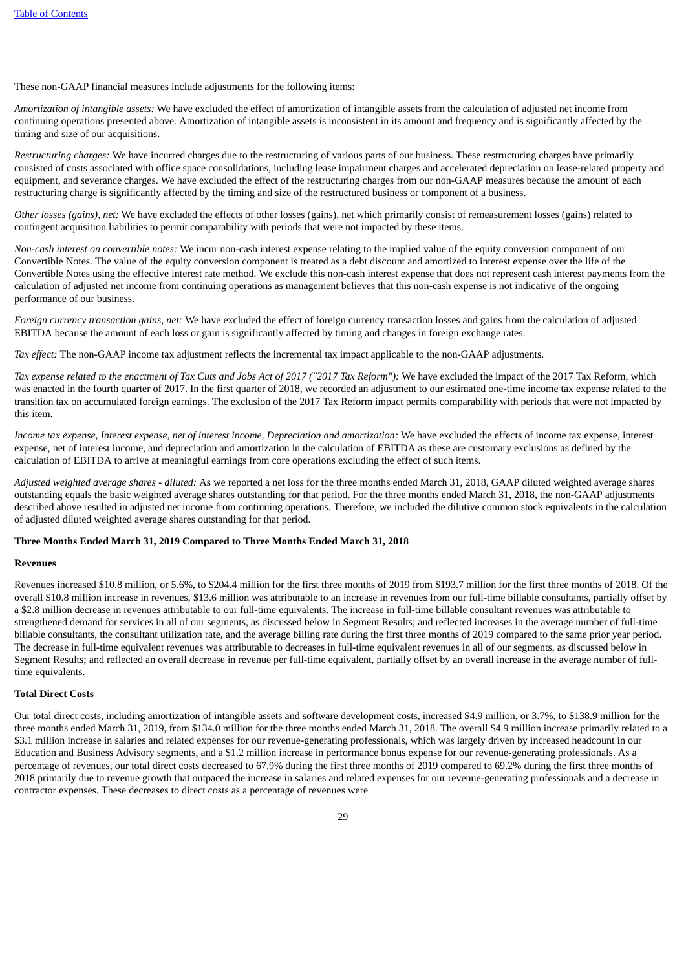These non-GAAP financial measures include adjustments for the following items:

*Amortization of intangible assets:* We have excluded the effect of amortization of intangible assets from the calculation of adjusted net income from continuing operations presented above. Amortization of intangible assets is inconsistent in its amount and frequency and is significantly affected by the timing and size of our acquisitions.

*Restructuring charges:* We have incurred charges due to the restructuring of various parts of our business. These restructuring charges have primarily consisted of costs associated with office space consolidations, including lease impairment charges and accelerated depreciation on lease-related property and equipment, and severance charges. We have excluded the effect of the restructuring charges from our non-GAAP measures because the amount of each restructuring charge is significantly affected by the timing and size of the restructured business or component of a business.

*Other losses (gains), net:* We have excluded the effects of other losses (gains), net which primarily consist of remeasurement losses (gains) related to contingent acquisition liabilities to permit comparability with periods that were not impacted by these items.

*Non-cash interest on convertible notes:* We incur non-cash interest expense relating to the implied value of the equity conversion component of our Convertible Notes. The value of the equity conversion component is treated as a debt discount and amortized to interest expense over the life of the Convertible Notes using the effective interest rate method. We exclude this non-cash interest expense that does not represent cash interest payments from the calculation of adjusted net income from continuing operations as management believes that this non-cash expense is not indicative of the ongoing performance of our business.

*Foreign currency transaction gains, net:* We have excluded the effect of foreign currency transaction losses and gains from the calculation of adjusted EBITDA because the amount of each loss or gain is significantly affected by timing and changes in foreign exchange rates.

*Tax effect:* The non-GAAP income tax adjustment reflects the incremental tax impact applicable to the non-GAAP adjustments.

Tax expense related to the enactment of Tax Cuts and Jobs Act of 2017 ("2017 Tax Reform"): We have excluded the impact of the 2017 Tax Reform, which was enacted in the fourth quarter of 2017. In the first quarter of 2018, we recorded an adjustment to our estimated one-time income tax expense related to the transition tax on accumulated foreign earnings. The exclusion of the 2017 Tax Reform impact permits comparability with periods that were not impacted by this item.

Income tax expense, Interest expense, net of interest income, Depreciation and amortization: We have excluded the effects of income tax expense, interest expense, net of interest income, and depreciation and amortization in the calculation of EBITDA as these are customary exclusions as defined by the calculation of EBITDA to arrive at meaningful earnings from core operations excluding the effect of such items.

*Adjusted weighted average shares - diluted:* As we reported a net loss for the three months ended March 31, 2018, GAAP diluted weighted average shares outstanding equals the basic weighted average shares outstanding for that period. For the three months ended March 31, 2018, the non-GAAP adjustments described above resulted in adjusted net income from continuing operations. Therefore, we included the dilutive common stock equivalents in the calculation of adjusted diluted weighted average shares outstanding for that period.

#### **Three Months Ended March 31, 2019 Compared to Three Months Ended March 31, 2018**

#### **Revenues**

Revenues increased \$10.8 million, or 5.6%, to \$204.4 million for the first three months of 2019 from \$193.7 million for the first three months of 2018. Of the overall \$10.8 million increase in revenues, \$13.6 million was attributable to an increase in revenues from our full-time billable consultants, partially offset by a \$2.8 million decrease in revenues attributable to our full-time equivalents. The increase in full-time billable consultant revenues was attributable to strengthened demand for services in all of our segments, as discussed below in Segment Results; and reflected increases in the average number of full-time billable consultants, the consultant utilization rate, and the average billing rate during the first three months of 2019 compared to the same prior year period. The decrease in full-time equivalent revenues was attributable to decreases in full-time equivalent revenues in all of our segments, as discussed below in Segment Results; and reflected an overall decrease in revenue per full-time equivalent, partially offset by an overall increase in the average number of fulltime equivalents.

#### **Total Direct Costs**

Our total direct costs, including amortization of intangible assets and software development costs, increased \$4.9 million, or 3.7%, to \$138.9 million for the three months ended March 31, 2019, from \$134.0 million for the three months ended March 31, 2018. The overall \$4.9 million increase primarily related to a \$3.1 million increase in salaries and related expenses for our revenue-generating professionals, which was largely driven by increased headcount in our Education and Business Advisory segments, and a \$1.2 million increase in performance bonus expense for our revenue-generating professionals. As a percentage of revenues, our total direct costs decreased to 67.9% during the first three months of 2019 compared to 69.2% during the first three months of 2018 primarily due to revenue growth that outpaced the increase in salaries and related expenses for our revenue-generating professionals and a decrease in contractor expenses. These decreases to direct costs as a percentage of revenues were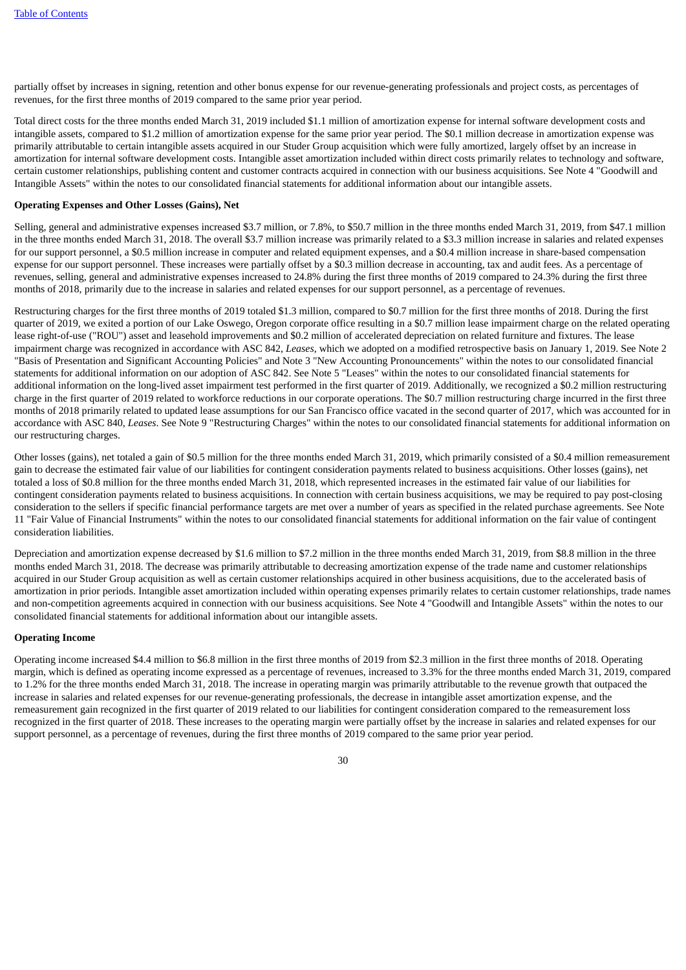partially offset by increases in signing, retention and other bonus expense for our revenue-generating professionals and project costs, as percentages of revenues, for the first three months of 2019 compared to the same prior year period.

Total direct costs for the three months ended March 31, 2019 included \$1.1 million of amortization expense for internal software development costs and intangible assets, compared to \$1.2 million of amortization expense for the same prior year period. The \$0.1 million decrease in amortization expense was primarily attributable to certain intangible assets acquired in our Studer Group acquisition which were fully amortized, largely offset by an increase in amortization for internal software development costs. Intangible asset amortization included within direct costs primarily relates to technology and software, certain customer relationships, publishing content and customer contracts acquired in connection with our business acquisitions. See Note 4 "Goodwill and Intangible Assets" within the notes to our consolidated financial statements for additional information about our intangible assets.

#### **Operating Expenses and Other Losses (Gains), Net**

Selling, general and administrative expenses increased \$3.7 million, or 7.8%, to \$50.7 million in the three months ended March 31, 2019, from \$47.1 million in the three months ended March 31, 2018. The overall \$3.7 million increase was primarily related to a \$3.3 million increase in salaries and related expenses for our support personnel, a \$0.5 million increase in computer and related equipment expenses, and a \$0.4 million increase in share-based compensation expense for our support personnel. These increases were partially offset by a \$0.3 million decrease in accounting, tax and audit fees. As a percentage of revenues, selling, general and administrative expenses increased to 24.8% during the first three months of 2019 compared to 24.3% during the first three months of 2018, primarily due to the increase in salaries and related expenses for our support personnel, as a percentage of revenues.

Restructuring charges for the first three months of 2019 totaled \$1.3 million, compared to \$0.7 million for the first three months of 2018. During the first quarter of 2019, we exited a portion of our Lake Oswego, Oregon corporate office resulting in a \$0.7 million lease impairment charge on the related operating lease right-of-use ("ROU") asset and leasehold improvements and \$0.2 million of accelerated depreciation on related furniture and fixtures. The lease impairment charge was recognized in accordance with ASC 842, *Leases*, which we adopted on a modified retrospective basis on January 1, 2019. See Note 2 "Basis of Presentation and Significant Accounting Policies" and Note 3 "New Accounting Pronouncements" within the notes to our consolidated financial statements for additional information on our adoption of ASC 842. See Note 5 "Leases" within the notes to our consolidated financial statements for additional information on the long-lived asset impairment test performed in the first quarter of 2019. Additionally, we recognized a \$0.2 million restructuring charge in the first quarter of 2019 related to workforce reductions in our corporate operations. The \$0.7 million restructuring charge incurred in the first three months of 2018 primarily related to updated lease assumptions for our San Francisco office vacated in the second quarter of 2017, which was accounted for in accordance with ASC 840, *Leases*. See Note 9 "Restructuring Charges" within the notes to our consolidated financial statements for additional information on our restructuring charges.

Other losses (gains), net totaled a gain of \$0.5 million for the three months ended March 31, 2019, which primarily consisted of a \$0.4 million remeasurement gain to decrease the estimated fair value of our liabilities for contingent consideration payments related to business acquisitions. Other losses (gains), net totaled a loss of \$0.8 million for the three months ended March 31, 2018, which represented increases in the estimated fair value of our liabilities for contingent consideration payments related to business acquisitions. In connection with certain business acquisitions, we may be required to pay post-closing consideration to the sellers if specific financial performance targets are met over a number of years as specified in the related purchase agreements. See Note 11 "Fair Value of Financial Instruments" within the notes to our consolidated financial statements for additional information on the fair value of contingent consideration liabilities.

Depreciation and amortization expense decreased by \$1.6 million to \$7.2 million in the three months ended March 31, 2019, from \$8.8 million in the three months ended March 31, 2018. The decrease was primarily attributable to decreasing amortization expense of the trade name and customer relationships acquired in our Studer Group acquisition as well as certain customer relationships acquired in other business acquisitions, due to the accelerated basis of amortization in prior periods. Intangible asset amortization included within operating expenses primarily relates to certain customer relationships, trade names and non-competition agreements acquired in connection with our business acquisitions. See Note 4 "Goodwill and Intangible Assets" within the notes to our consolidated financial statements for additional information about our intangible assets.

## **Operating Income**

Operating income increased \$4.4 million to \$6.8 million in the first three months of 2019 from \$2.3 million in the first three months of 2018. Operating margin, which is defined as operating income expressed as a percentage of revenues, increased to 3.3% for the three months ended March 31, 2019, compared to 1.2% for the three months ended March 31, 2018. The increase in operating margin was primarily attributable to the revenue growth that outpaced the increase in salaries and related expenses for our revenue-generating professionals, the decrease in intangible asset amortization expense, and the remeasurement gain recognized in the first quarter of 2019 related to our liabilities for contingent consideration compared to the remeasurement loss recognized in the first quarter of 2018. These increases to the operating margin were partially offset by the increase in salaries and related expenses for our support personnel, as a percentage of revenues, during the first three months of 2019 compared to the same prior year period.

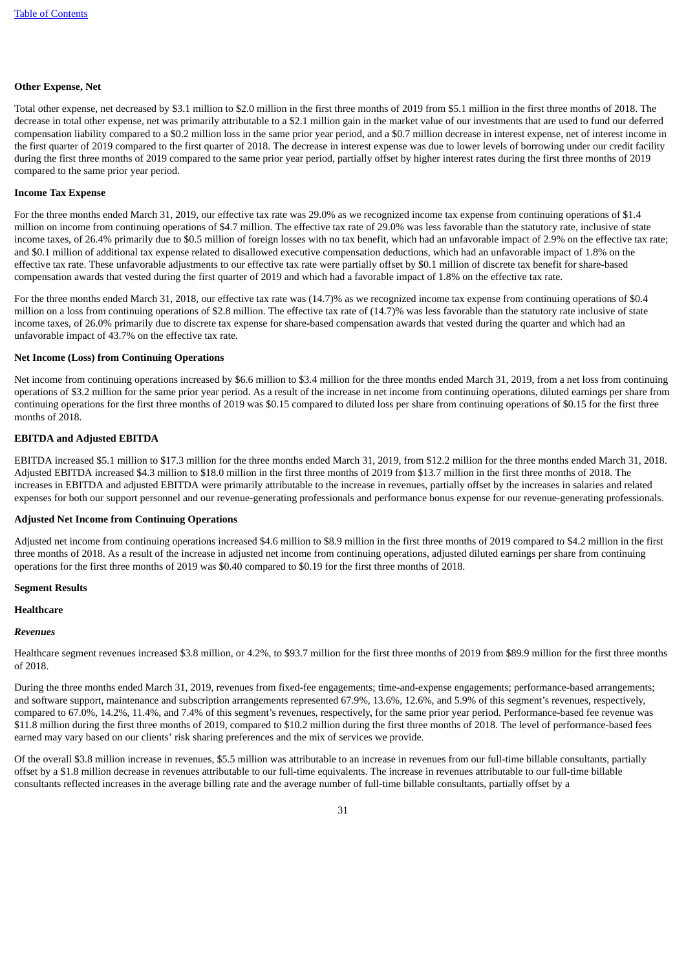## **Other Expense, Net**

Total other expense, net decreased by \$3.1 million to \$2.0 million in the first three months of 2019 from \$5.1 million in the first three months of 2018. The decrease in total other expense, net was primarily attributable to a \$2.1 million gain in the market value of our investments that are used to fund our deferred compensation liability compared to a \$0.2 million loss in the same prior year period, and a \$0.7 million decrease in interest expense, net of interest income in the first quarter of 2019 compared to the first quarter of 2018. The decrease in interest expense was due to lower levels of borrowing under our credit facility during the first three months of 2019 compared to the same prior year period, partially offset by higher interest rates during the first three months of 2019 compared to the same prior year period.

#### **Income Tax Expense**

For the three months ended March 31, 2019, our effective tax rate was 29.0% as we recognized income tax expense from continuing operations of \$1.4 million on income from continuing operations of \$4.7 million. The effective tax rate of 29.0% was less favorable than the statutory rate, inclusive of state income taxes, of 26.4% primarily due to \$0.5 million of foreign losses with no tax benefit, which had an unfavorable impact of 2.9% on the effective tax rate; and \$0.1 million of additional tax expense related to disallowed executive compensation deductions, which had an unfavorable impact of 1.8% on the effective tax rate. These unfavorable adjustments to our effective tax rate were partially offset by \$0.1 million of discrete tax benefit for share-based compensation awards that vested during the first quarter of 2019 and which had a favorable impact of 1.8% on the effective tax rate.

For the three months ended March 31, 2018, our effective tax rate was (14.7)% as we recognized income tax expense from continuing operations of \$0.4 million on a loss from continuing operations of \$2.8 million. The effective tax rate of  $(14.7)$ % was less favorable than the statutory rate inclusive of state income taxes, of 26.0% primarily due to discrete tax expense for share-based compensation awards that vested during the quarter and which had an unfavorable impact of 43.7% on the effective tax rate.

## **Net Income (Loss) from Continuing Operations**

Net income from continuing operations increased by \$6.6 million to \$3.4 million for the three months ended March 31, 2019, from a net loss from continuing operations of \$3.2 million for the same prior year period. As a result of the increase in net income from continuing operations, diluted earnings per share from continuing operations for the first three months of 2019 was \$0.15 compared to diluted loss per share from continuing operations of \$0.15 for the first three months of 2018.

#### **EBITDA and Adjusted EBITDA**

EBITDA increased \$5.1 million to \$17.3 million for the three months ended March 31, 2019, from \$12.2 million for the three months ended March 31, 2018. Adjusted EBITDA increased \$4.3 million to \$18.0 million in the first three months of 2019 from \$13.7 million in the first three months of 2018. The increases in EBITDA and adjusted EBITDA were primarily attributable to the increase in revenues, partially offset by the increases in salaries and related expenses for both our support personnel and our revenue-generating professionals and performance bonus expense for our revenue-generating professionals.

#### **Adjusted Net Income from Continuing Operations**

Adjusted net income from continuing operations increased \$4.6 million to \$8.9 million in the first three months of 2019 compared to \$4.2 million in the first three months of 2018. As a result of the increase in adjusted net income from continuing operations, adjusted diluted earnings per share from continuing operations for the first three months of 2019 was \$0.40 compared to \$0.19 for the first three months of 2018.

#### **Segment Results**

#### **Healthcare**

#### *Revenues*

Healthcare segment revenues increased \$3.8 million, or 4.2%, to \$93.7 million for the first three months of 2019 from \$89.9 million for the first three months of 2018.

During the three months ended March 31, 2019, revenues from fixed-fee engagements; time-and-expense engagements; performance-based arrangements; and software support, maintenance and subscription arrangements represented 67.9%, 13.6%, 12.6%, and 5.9% of this segment's revenues, respectively, compared to 67.0%, 14.2%, 11.4%, and 7.4% of this segment's revenues, respectively, for the same prior year period. Performance-based fee revenue was \$11.8 million during the first three months of 2019, compared to \$10.2 million during the first three months of 2018. The level of performance-based fees earned may vary based on our clients' risk sharing preferences and the mix of services we provide.

Of the overall \$3.8 million increase in revenues, \$5.5 million was attributable to an increase in revenues from our full-time billable consultants, partially offset by a \$1.8 million decrease in revenues attributable to our full-time equivalents. The increase in revenues attributable to our full-time billable consultants reflected increases in the average billing rate and the average number of full-time billable consultants, partially offset by a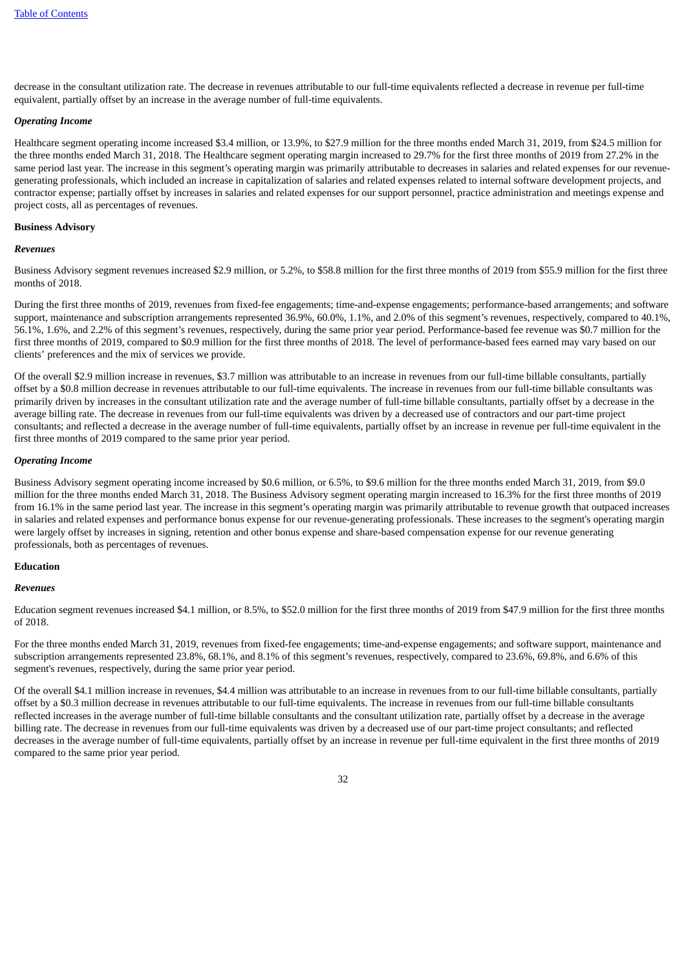decrease in the consultant utilization rate. The decrease in revenues attributable to our full-time equivalents reflected a decrease in revenue per full-time equivalent, partially offset by an increase in the average number of full-time equivalents.

#### *Operating Income*

Healthcare segment operating income increased \$3.4 million, or 13.9%, to \$27.9 million for the three months ended March 31, 2019, from \$24.5 million for the three months ended March 31, 2018. The Healthcare segment operating margin increased to 29.7% for the first three months of 2019 from 27.2% in the same period last year. The increase in this segment's operating margin was primarily attributable to decreases in salaries and related expenses for our revenuegenerating professionals, which included an increase in capitalization of salaries and related expenses related to internal software development projects, and contractor expense; partially offset by increases in salaries and related expenses for our support personnel, practice administration and meetings expense and project costs, all as percentages of revenues.

#### **Business Advisory**

#### *Revenues*

Business Advisory segment revenues increased \$2.9 million, or 5.2%, to \$58.8 million for the first three months of 2019 from \$55.9 million for the first three months of 2018.

During the first three months of 2019, revenues from fixed-fee engagements; time-and-expense engagements; performance-based arrangements; and software support, maintenance and subscription arrangements represented 36.9%, 60.0%, 1.1%, and 2.0% of this segment's revenues, respectively, compared to 40.1%, 56.1%, 1.6%, and 2.2% of this segment's revenues, respectively, during the same prior year period. Performance-based fee revenue was \$0.7 million for the first three months of 2019, compared to \$0.9 million for the first three months of 2018. The level of performance-based fees earned may vary based on our clients' preferences and the mix of services we provide.

Of the overall \$2.9 million increase in revenues, \$3.7 million was attributable to an increase in revenues from our full-time billable consultants, partially offset by a \$0.8 million decrease in revenues attributable to our full-time equivalents. The increase in revenues from our full-time billable consultants was primarily driven by increases in the consultant utilization rate and the average number of full-time billable consultants, partially offset by a decrease in the average billing rate. The decrease in revenues from our full-time equivalents was driven by a decreased use of contractors and our part-time project consultants; and reflected a decrease in the average number of full-time equivalents, partially offset by an increase in revenue per full-time equivalent in the first three months of 2019 compared to the same prior year period.

#### *Operating Income*

Business Advisory segment operating income increased by \$0.6 million, or 6.5%, to \$9.6 million for the three months ended March 31, 2019, from \$9.0 million for the three months ended March 31, 2018. The Business Advisory segment operating margin increased to 16.3% for the first three months of 2019 from 16.1% in the same period last year. The increase in this segment's operating margin was primarily attributable to revenue growth that outpaced increases in salaries and related expenses and performance bonus expense for our revenue-generating professionals. These increases to the segment's operating margin were largely offset by increases in signing, retention and other bonus expense and share-based compensation expense for our revenue generating professionals, both as percentages of revenues.

# **Education**

## *Revenues*

Education segment revenues increased \$4.1 million, or 8.5%, to \$52.0 million for the first three months of 2019 from \$47.9 million for the first three months of 2018.

For the three months ended March 31, 2019, revenues from fixed-fee engagements; time-and-expense engagements; and software support, maintenance and subscription arrangements represented 23.8%, 68.1%, and 8.1% of this segment's revenues, respectively, compared to 23.6%, 69.8%, and 6.6% of this segment's revenues, respectively, during the same prior year period.

Of the overall \$4.1 million increase in revenues, \$4.4 million was attributable to an increase in revenues from to our full-time billable consultants, partially offset by a \$0.3 million decrease in revenues attributable to our full-time equivalents. The increase in revenues from our full-time billable consultants reflected increases in the average number of full-time billable consultants and the consultant utilization rate, partially offset by a decrease in the average billing rate. The decrease in revenues from our full-time equivalents was driven by a decreased use of our part-time project consultants; and reflected decreases in the average number of full-time equivalents, partially offset by an increase in revenue per full-time equivalent in the first three months of 2019 compared to the same prior year period.

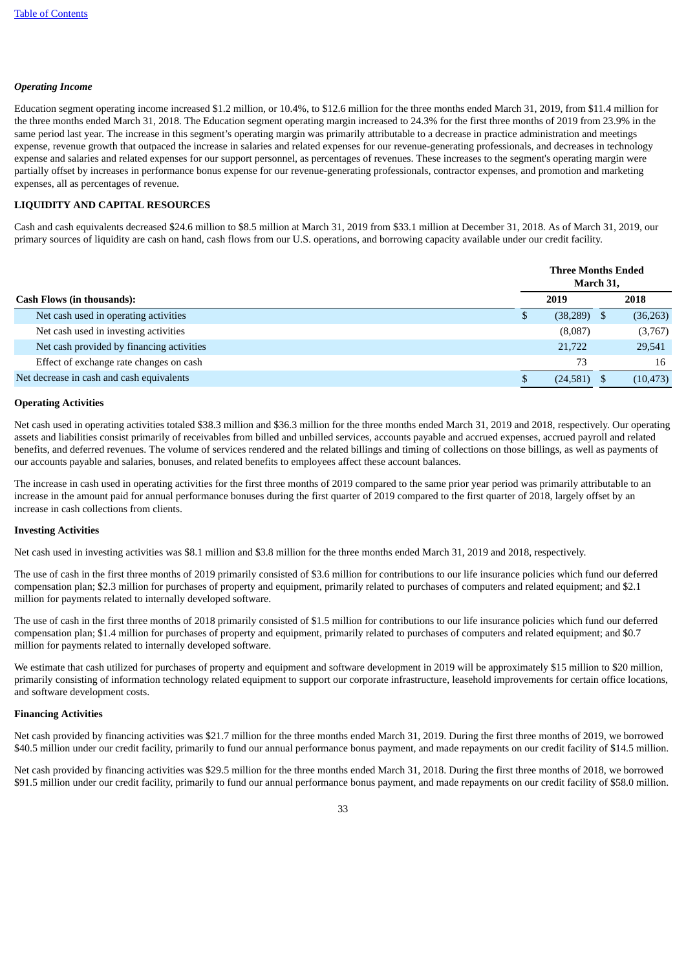## *Operating Income*

Education segment operating income increased \$1.2 million, or 10.4%, to \$12.6 million for the three months ended March 31, 2019, from \$11.4 million for the three months ended March 31, 2018. The Education segment operating margin increased to 24.3% for the first three months of 2019 from 23.9% in the same period last year. The increase in this segment's operating margin was primarily attributable to a decrease in practice administration and meetings expense, revenue growth that outpaced the increase in salaries and related expenses for our revenue-generating professionals, and decreases in technology expense and salaries and related expenses for our support personnel, as percentages of revenues. These increases to the segment's operating margin were partially offset by increases in performance bonus expense for our revenue-generating professionals, contractor expenses, and promotion and marketing expenses, all as percentages of revenue.

#### **LIQUIDITY AND CAPITAL RESOURCES**

Cash and cash equivalents decreased \$24.6 million to \$8.5 million at March 31, 2019 from \$33.1 million at December 31, 2018. As of March 31, 2019, our primary sources of liquidity are cash on hand, cash flows from our U.S. operations, and borrowing capacity available under our credit facility.

|                                           | <b>Three Months Ended</b><br>March 31, |           |  |  |
|-------------------------------------------|----------------------------------------|-----------|--|--|
| <b>Cash Flows (in thousands):</b>         | 2019                                   | 2018      |  |  |
| Net cash used in operating activities     | $(38,289)$ \$                          | (36, 263) |  |  |
| Net cash used in investing activities     | (8,087)                                | (3,767)   |  |  |
| Net cash provided by financing activities | 21,722                                 | 29,541    |  |  |
| Effect of exchange rate changes on cash   | 73                                     | 16        |  |  |
| Net decrease in cash and cash equivalents | (24,581)                               | (10, 473) |  |  |

#### **Operating Activities**

Net cash used in operating activities totaled \$38.3 million and \$36.3 million for the three months ended March 31, 2019 and 2018, respectively. Our operating assets and liabilities consist primarily of receivables from billed and unbilled services, accounts payable and accrued expenses, accrued payroll and related benefits, and deferred revenues. The volume of services rendered and the related billings and timing of collections on those billings, as well as payments of our accounts payable and salaries, bonuses, and related benefits to employees affect these account balances.

The increase in cash used in operating activities for the first three months of 2019 compared to the same prior year period was primarily attributable to an increase in the amount paid for annual performance bonuses during the first quarter of 2019 compared to the first quarter of 2018, largely offset by an increase in cash collections from clients.

#### **Investing Activities**

Net cash used in investing activities was \$8.1 million and \$3.8 million for the three months ended March 31, 2019 and 2018, respectively.

The use of cash in the first three months of 2019 primarily consisted of \$3.6 million for contributions to our life insurance policies which fund our deferred compensation plan; \$2.3 million for purchases of property and equipment, primarily related to purchases of computers and related equipment; and \$2.1 million for payments related to internally developed software.

The use of cash in the first three months of 2018 primarily consisted of \$1.5 million for contributions to our life insurance policies which fund our deferred compensation plan; \$1.4 million for purchases of property and equipment, primarily related to purchases of computers and related equipment; and \$0.7 million for payments related to internally developed software.

We estimate that cash utilized for purchases of property and equipment and software development in 2019 will be approximately \$15 million to \$20 million, primarily consisting of information technology related equipment to support our corporate infrastructure, leasehold improvements for certain office locations, and software development costs.

#### **Financing Activities**

Net cash provided by financing activities was \$21.7 million for the three months ended March 31, 2019. During the first three months of 2019, we borrowed \$40.5 million under our credit facility, primarily to fund our annual performance bonus payment, and made repayments on our credit facility of \$14.5 million.

Net cash provided by financing activities was \$29.5 million for the three months ended March 31, 2018. During the first three months of 2018, we borrowed \$91.5 million under our credit facility, primarily to fund our annual performance bonus payment, and made repayments on our credit facility of \$58.0 million.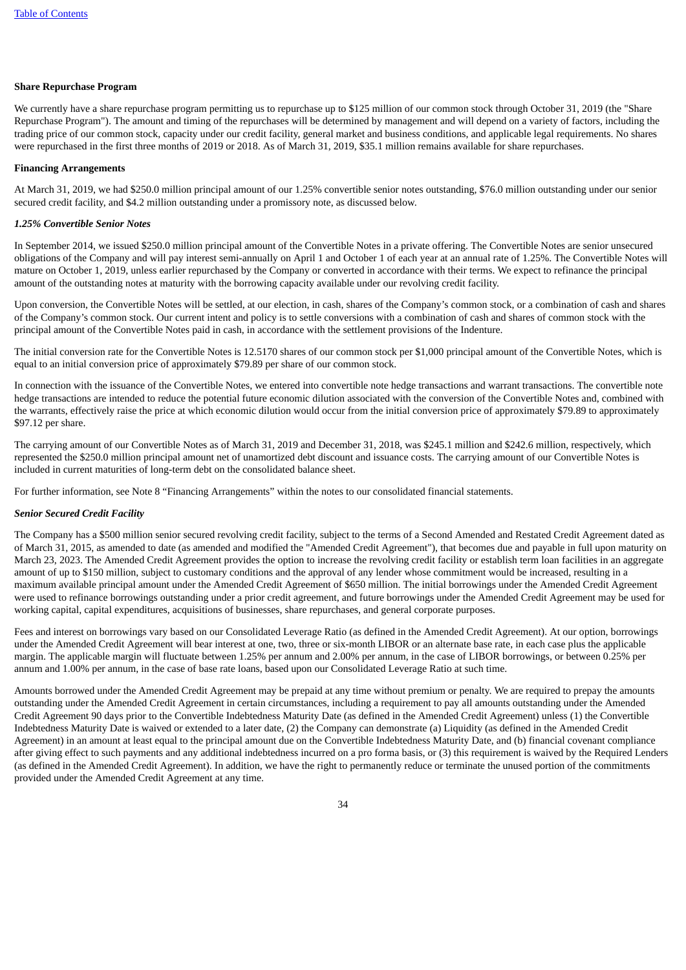## **Share Repurchase Program**

We currently have a share repurchase program permitting us to repurchase up to \$125 million of our common stock through October 31, 2019 (the "Share Repurchase Program"). The amount and timing of the repurchases will be determined by management and will depend on a variety of factors, including the trading price of our common stock, capacity under our credit facility, general market and business conditions, and applicable legal requirements. No shares were repurchased in the first three months of 2019 or 2018. As of March 31, 2019, \$35.1 million remains available for share repurchases.

#### **Financing Arrangements**

At March 31, 2019, we had \$250.0 million principal amount of our 1.25% convertible senior notes outstanding, \$76.0 million outstanding under our senior secured credit facility, and \$4.2 million outstanding under a promissory note, as discussed below.

#### *1.25% Convertible Senior Notes*

In September 2014, we issued \$250.0 million principal amount of the Convertible Notes in a private offering. The Convertible Notes are senior unsecured obligations of the Company and will pay interest semi-annually on April 1 and October 1 of each year at an annual rate of 1.25%. The Convertible Notes will mature on October 1, 2019, unless earlier repurchased by the Company or converted in accordance with their terms. We expect to refinance the principal amount of the outstanding notes at maturity with the borrowing capacity available under our revolving credit facility.

Upon conversion, the Convertible Notes will be settled, at our election, in cash, shares of the Company's common stock, or a combination of cash and shares of the Company's common stock. Our current intent and policy is to settle conversions with a combination of cash and shares of common stock with the principal amount of the Convertible Notes paid in cash, in accordance with the settlement provisions of the Indenture.

The initial conversion rate for the Convertible Notes is 12.5170 shares of our common stock per \$1,000 principal amount of the Convertible Notes, which is equal to an initial conversion price of approximately \$79.89 per share of our common stock.

In connection with the issuance of the Convertible Notes, we entered into convertible note hedge transactions and warrant transactions. The convertible note hedge transactions are intended to reduce the potential future economic dilution associated with the conversion of the Convertible Notes and, combined with the warrants, effectively raise the price at which economic dilution would occur from the initial conversion price of approximately \$79.89 to approximately \$97.12 per share.

The carrying amount of our Convertible Notes as of March 31, 2019 and December 31, 2018, was \$245.1 million and \$242.6 million, respectively, which represented the \$250.0 million principal amount net of unamortized debt discount and issuance costs. The carrying amount of our Convertible Notes is included in current maturities of long-term debt on the consolidated balance sheet.

For further information, see Note 8 "Financing Arrangements" within the notes to our consolidated financial statements.

## *Senior Secured Credit Facility*

The Company has a \$500 million senior secured revolving credit facility, subject to the terms of a Second Amended and Restated Credit Agreement dated as of March 31, 2015, as amended to date (as amended and modified the "Amended Credit Agreement"), that becomes due and payable in full upon maturity on March 23, 2023. The Amended Credit Agreement provides the option to increase the revolving credit facility or establish term loan facilities in an aggregate amount of up to \$150 million, subject to customary conditions and the approval of any lender whose commitment would be increased, resulting in a maximum available principal amount under the Amended Credit Agreement of \$650 million. The initial borrowings under the Amended Credit Agreement were used to refinance borrowings outstanding under a prior credit agreement, and future borrowings under the Amended Credit Agreement may be used for working capital, capital expenditures, acquisitions of businesses, share repurchases, and general corporate purposes.

Fees and interest on borrowings vary based on our Consolidated Leverage Ratio (as defined in the Amended Credit Agreement). At our option, borrowings under the Amended Credit Agreement will bear interest at one, two, three or six-month LIBOR or an alternate base rate, in each case plus the applicable margin. The applicable margin will fluctuate between 1.25% per annum and 2.00% per annum, in the case of LIBOR borrowings, or between 0.25% per annum and 1.00% per annum, in the case of base rate loans, based upon our Consolidated Leverage Ratio at such time.

Amounts borrowed under the Amended Credit Agreement may be prepaid at any time without premium or penalty. We are required to prepay the amounts outstanding under the Amended Credit Agreement in certain circumstances, including a requirement to pay all amounts outstanding under the Amended Credit Agreement 90 days prior to the Convertible Indebtedness Maturity Date (as defined in the Amended Credit Agreement) unless (1) the Convertible Indebtedness Maturity Date is waived or extended to a later date, (2) the Company can demonstrate (a) Liquidity (as defined in the Amended Credit Agreement) in an amount at least equal to the principal amount due on the Convertible Indebtedness Maturity Date, and (b) financial covenant compliance after giving effect to such payments and any additional indebtedness incurred on a pro forma basis, or (3) this requirement is waived by the Required Lenders (as defined in the Amended Credit Agreement). In addition, we have the right to permanently reduce or terminate the unused portion of the commitments provided under the Amended Credit Agreement at any time.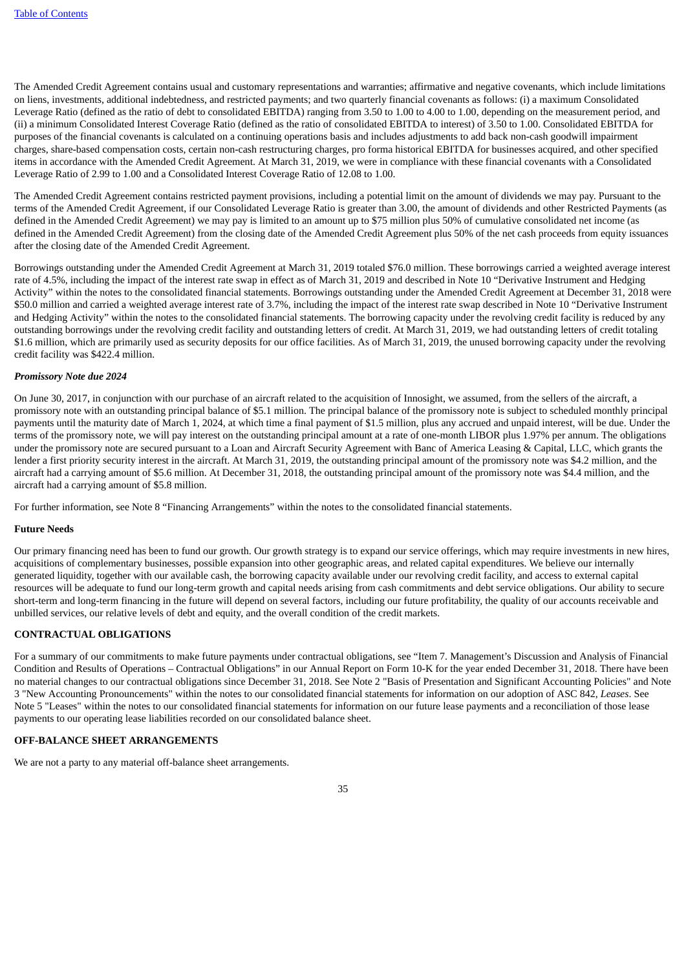The Amended Credit Agreement contains usual and customary representations and warranties; affirmative and negative covenants, which include limitations on liens, investments, additional indebtedness, and restricted payments; and two quarterly financial covenants as follows: (i) a maximum Consolidated Leverage Ratio (defined as the ratio of debt to consolidated EBITDA) ranging from 3.50 to 1.00 to 4.00 to 1.00, depending on the measurement period, and (ii) a minimum Consolidated Interest Coverage Ratio (defined as the ratio of consolidated EBITDA to interest) of 3.50 to 1.00. Consolidated EBITDA for purposes of the financial covenants is calculated on a continuing operations basis and includes adjustments to add back non-cash goodwill impairment charges, share-based compensation costs, certain non-cash restructuring charges, pro forma historical EBITDA for businesses acquired, and other specified items in accordance with the Amended Credit Agreement. At March 31, 2019, we were in compliance with these financial covenants with a Consolidated Leverage Ratio of 2.99 to 1.00 and a Consolidated Interest Coverage Ratio of 12.08 to 1.00.

The Amended Credit Agreement contains restricted payment provisions, including a potential limit on the amount of dividends we may pay. Pursuant to the terms of the Amended Credit Agreement, if our Consolidated Leverage Ratio is greater than 3.00, the amount of dividends and other Restricted Payments (as defined in the Amended Credit Agreement) we may pay is limited to an amount up to \$75 million plus 50% of cumulative consolidated net income (as defined in the Amended Credit Agreement) from the closing date of the Amended Credit Agreement plus 50% of the net cash proceeds from equity issuances after the closing date of the Amended Credit Agreement.

Borrowings outstanding under the Amended Credit Agreement at March 31, 2019 totaled \$76.0 million. These borrowings carried a weighted average interest rate of 4.5%, including the impact of the interest rate swap in effect as of March 31, 2019 and described in Note 10 "Derivative Instrument and Hedging Activity" within the notes to the consolidated financial statements. Borrowings outstanding under the Amended Credit Agreement at December 31, 2018 were \$50.0 million and carried a weighted average interest rate of 3.7%, including the impact of the interest rate swap described in Note 10 "Derivative Instrument and Hedging Activity" within the notes to the consolidated financial statements. The borrowing capacity under the revolving credit facility is reduced by any outstanding borrowings under the revolving credit facility and outstanding letters of credit. At March 31, 2019, we had outstanding letters of credit totaling \$1.6 million, which are primarily used as security deposits for our office facilities. As of March 31, 2019, the unused borrowing capacity under the revolving credit facility was \$422.4 million.

#### *Promissory Note due 2024*

On June 30, 2017, in conjunction with our purchase of an aircraft related to the acquisition of Innosight, we assumed, from the sellers of the aircraft, a promissory note with an outstanding principal balance of \$5.1 million. The principal balance of the promissory note is subject to scheduled monthly principal payments until the maturity date of March 1, 2024, at which time a final payment of \$1.5 million, plus any accrued and unpaid interest, will be due. Under the terms of the promissory note, we will pay interest on the outstanding principal amount at a rate of one-month LIBOR plus 1.97% per annum. The obligations under the promissory note are secured pursuant to a Loan and Aircraft Security Agreement with Banc of America Leasing & Capital, LLC, which grants the lender a first priority security interest in the aircraft. At March 31, 2019, the outstanding principal amount of the promissory note was \$4.2 million, and the aircraft had a carrying amount of \$5.6 million. At December 31, 2018, the outstanding principal amount of the promissory note was \$4.4 million, and the aircraft had a carrying amount of \$5.8 million.

For further information, see Note 8 "Financing Arrangements" within the notes to the consolidated financial statements.

#### **Future Needs**

Our primary financing need has been to fund our growth. Our growth strategy is to expand our service offerings, which may require investments in new hires, acquisitions of complementary businesses, possible expansion into other geographic areas, and related capital expenditures. We believe our internally generated liquidity, together with our available cash, the borrowing capacity available under our revolving credit facility, and access to external capital resources will be adequate to fund our long-term growth and capital needs arising from cash commitments and debt service obligations. Our ability to secure short-term and long-term financing in the future will depend on several factors, including our future profitability, the quality of our accounts receivable and unbilled services, our relative levels of debt and equity, and the overall condition of the credit markets.

#### **CONTRACTUAL OBLIGATIONS**

For a summary of our commitments to make future payments under contractual obligations, see "Item 7. Management's Discussion and Analysis of Financial Condition and Results of Operations – Contractual Obligations" in our Annual Report on Form 10-K for the year ended December 31, 2018. There have been no material changes to our contractual obligations since December 31, 2018. See Note 2 "Basis of Presentation and Significant Accounting Policies" and Note 3 "New Accounting Pronouncements" within the notes to our consolidated financial statements for information on our adoption of ASC 842, *Leases*. See Note 5 "Leases" within the notes to our consolidated financial statements for information on our future lease payments and a reconciliation of those lease payments to our operating lease liabilities recorded on our consolidated balance sheet.

#### **OFF-BALANCE SHEET ARRANGEMENTS**

We are not a party to any material off-balance sheet arrangements.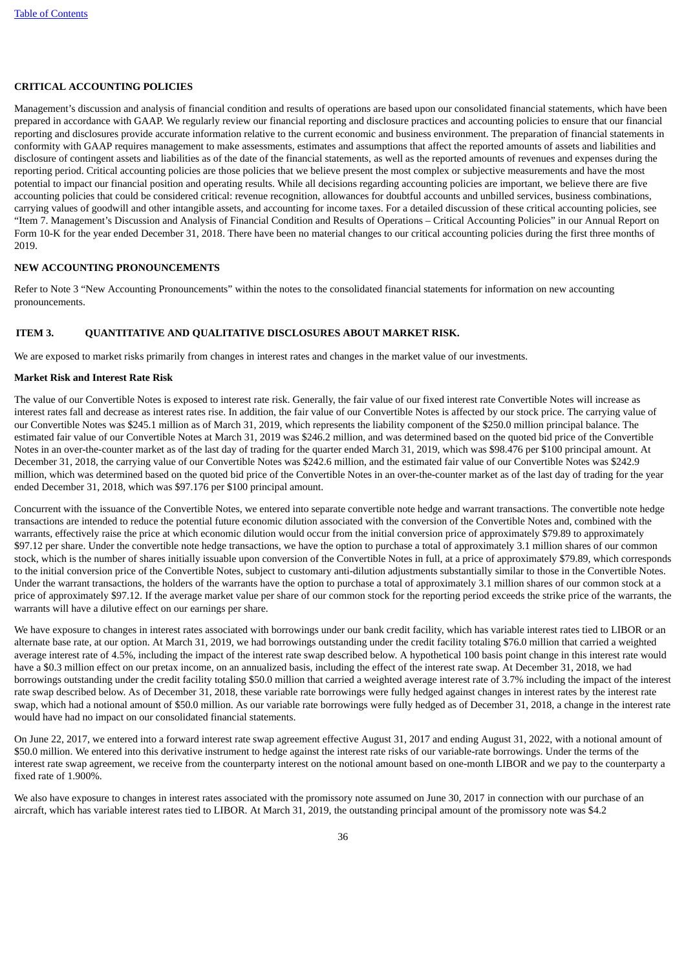## **CRITICAL ACCOUNTING POLICIES**

Management's discussion and analysis of financial condition and results of operations are based upon our consolidated financial statements, which have been prepared in accordance with GAAP. We regularly review our financial reporting and disclosure practices and accounting policies to ensure that our financial reporting and disclosures provide accurate information relative to the current economic and business environment. The preparation of financial statements in conformity with GAAP requires management to make assessments, estimates and assumptions that affect the reported amounts of assets and liabilities and disclosure of contingent assets and liabilities as of the date of the financial statements, as well as the reported amounts of revenues and expenses during the reporting period. Critical accounting policies are those policies that we believe present the most complex or subjective measurements and have the most potential to impact our financial position and operating results. While all decisions regarding accounting policies are important, we believe there are five accounting policies that could be considered critical: revenue recognition, allowances for doubtful accounts and unbilled services, business combinations, carrying values of goodwill and other intangible assets, and accounting for income taxes. For a detailed discussion of these critical accounting policies, see "Item 7. Management's Discussion and Analysis of Financial Condition and Results of Operations – Critical Accounting Policies" in our Annual Report on Form 10-K for the year ended December 31, 2018. There have been no material changes to our critical accounting policies during the first three months of 2019.

#### **NEW ACCOUNTING PRONOUNCEMENTS**

Refer to Note 3 "New Accounting Pronouncements" within the notes to the consolidated financial statements for information on new accounting pronouncements.

## <span id="page-37-0"></span>**ITEM 3. QUANTITATIVE AND QUALITATIVE DISCLOSURES ABOUT MARKET RISK.**

We are exposed to market risks primarily from changes in interest rates and changes in the market value of our investments.

#### **Market Risk and Interest Rate Risk**

The value of our Convertible Notes is exposed to interest rate risk. Generally, the fair value of our fixed interest rate Convertible Notes will increase as interest rates fall and decrease as interest rates rise. In addition, the fair value of our Convertible Notes is affected by our stock price. The carrying value of our Convertible Notes was \$245.1 million as of March 31, 2019, which represents the liability component of the \$250.0 million principal balance. The estimated fair value of our Convertible Notes at March 31, 2019 was \$246.2 million, and was determined based on the quoted bid price of the Convertible Notes in an over-the-counter market as of the last day of trading for the quarter ended March 31, 2019, which was \$98.476 per \$100 principal amount. At December 31, 2018, the carrying value of our Convertible Notes was \$242.6 million, and the estimated fair value of our Convertible Notes was \$242.9 million, which was determined based on the quoted bid price of the Convertible Notes in an over-the-counter market as of the last day of trading for the year ended December 31, 2018, which was \$97.176 per \$100 principal amount.

Concurrent with the issuance of the Convertible Notes, we entered into separate convertible note hedge and warrant transactions. The convertible note hedge transactions are intended to reduce the potential future economic dilution associated with the conversion of the Convertible Notes and, combined with the warrants, effectively raise the price at which economic dilution would occur from the initial conversion price of approximately \$79.89 to approximately \$97.12 per share. Under the convertible note hedge transactions, we have the option to purchase a total of approximately 3.1 million shares of our common stock, which is the number of shares initially issuable upon conversion of the Convertible Notes in full, at a price of approximately \$79.89, which corresponds to the initial conversion price of the Convertible Notes, subject to customary anti-dilution adjustments substantially similar to those in the Convertible Notes. Under the warrant transactions, the holders of the warrants have the option to purchase a total of approximately 3.1 million shares of our common stock at a price of approximately \$97.12. If the average market value per share of our common stock for the reporting period exceeds the strike price of the warrants, the warrants will have a dilutive effect on our earnings per share.

We have exposure to changes in interest rates associated with borrowings under our bank credit facility, which has variable interest rates tied to LIBOR or an alternate base rate, at our option. At March 31, 2019, we had borrowings outstanding under the credit facility totaling \$76.0 million that carried a weighted average interest rate of 4.5%, including the impact of the interest rate swap described below. A hypothetical 100 basis point change in this interest rate would have a \$0.3 million effect on our pretax income, on an annualized basis, including the effect of the interest rate swap. At December 31, 2018, we had borrowings outstanding under the credit facility totaling \$50.0 million that carried a weighted average interest rate of 3.7% including the impact of the interest rate swap described below. As of December 31, 2018, these variable rate borrowings were fully hedged against changes in interest rates by the interest rate swap, which had a notional amount of \$50.0 million. As our variable rate borrowings were fully hedged as of December 31, 2018, a change in the interest rate would have had no impact on our consolidated financial statements.

On June 22, 2017, we entered into a forward interest rate swap agreement effective August 31, 2017 and ending August 31, 2022, with a notional amount of \$50.0 million. We entered into this derivative instrument to hedge against the interest rate risks of our variable-rate borrowings. Under the terms of the interest rate swap agreement, we receive from the counterparty interest on the notional amount based on one-month LIBOR and we pay to the counterparty a fixed rate of 1.900%.

We also have exposure to changes in interest rates associated with the promissory note assumed on June 30, 2017 in connection with our purchase of an aircraft, which has variable interest rates tied to LIBOR. At March 31, 2019, the outstanding principal amount of the promissory note was \$4.2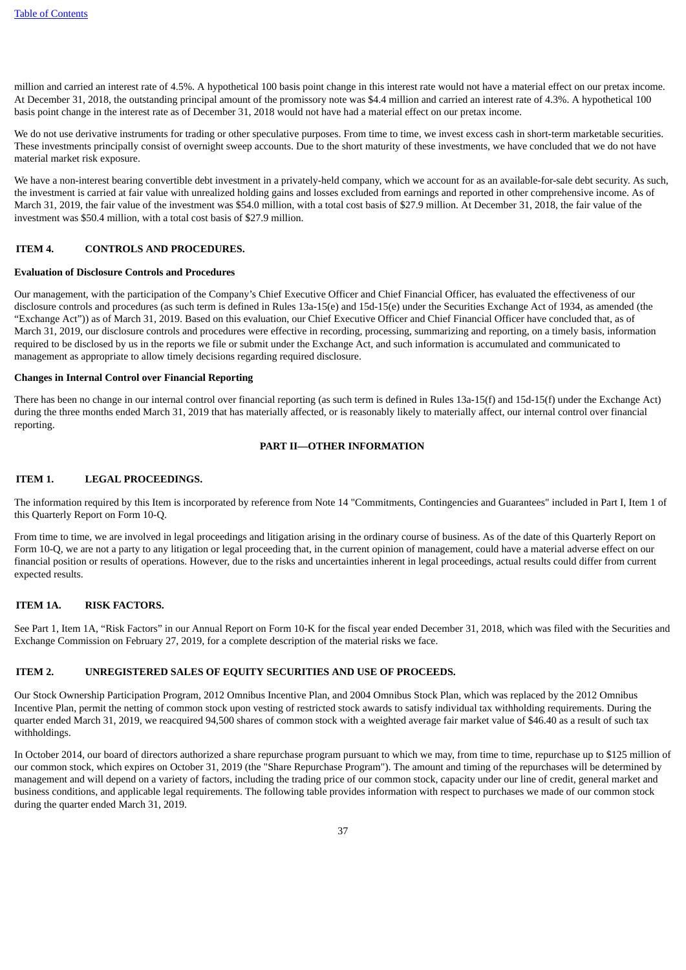million and carried an interest rate of 4.5%. A hypothetical 100 basis point change in this interest rate would not have a material effect on our pretax income. At December 31, 2018, the outstanding principal amount of the promissory note was \$4.4 million and carried an interest rate of 4.3%. A hypothetical 100 basis point change in the interest rate as of December 31, 2018 would not have had a material effect on our pretax income.

We do not use derivative instruments for trading or other speculative purposes. From time to time, we invest excess cash in short-term marketable securities. These investments principally consist of overnight sweep accounts. Due to the short maturity of these investments, we have concluded that we do not have material market risk exposure.

We have a non-interest bearing convertible debt investment in a privately-held company, which we account for as an available-for-sale debt security. As such, the investment is carried at fair value with unrealized holding gains and losses excluded from earnings and reported in other comprehensive income. As of March 31, 2019, the fair value of the investment was \$54.0 million, with a total cost basis of \$27.9 million. At December 31, 2018, the fair value of the investment was \$50.4 million, with a total cost basis of \$27.9 million.

#### <span id="page-38-0"></span>**ITEM 4. CONTROLS AND PROCEDURES.**

#### **Evaluation of Disclosure Controls and Procedures**

Our management, with the participation of the Company's Chief Executive Officer and Chief Financial Officer, has evaluated the effectiveness of our disclosure controls and procedures (as such term is defined in Rules 13a-15(e) and 15d-15(e) under the Securities Exchange Act of 1934, as amended (the "Exchange Act")) as of March 31, 2019. Based on this evaluation, our Chief Executive Officer and Chief Financial Officer have concluded that, as of March 31, 2019, our disclosure controls and procedures were effective in recording, processing, summarizing and reporting, on a timely basis, information required to be disclosed by us in the reports we file or submit under the Exchange Act, and such information is accumulated and communicated to management as appropriate to allow timely decisions regarding required disclosure.

#### **Changes in Internal Control over Financial Reporting**

<span id="page-38-1"></span>There has been no change in our internal control over financial reporting (as such term is defined in Rules 13a-15(f) and 15d-15(f) under the Exchange Act) during the three months ended March 31, 2019 that has materially affected, or is reasonably likely to materially affect, our internal control over financial reporting.

## **PART II—OTHER INFORMATION**

#### <span id="page-38-2"></span>**ITEM 1. LEGAL PROCEEDINGS.**

The information required by this Item is incorporated by reference from Note 14 "Commitments, Contingencies and Guarantees" included in Part I, Item 1 of this Quarterly Report on Form 10-Q.

From time to time, we are involved in legal proceedings and litigation arising in the ordinary course of business. As of the date of this Quarterly Report on Form 10-Q, we are not a party to any litigation or legal proceeding that, in the current opinion of management, could have a material adverse effect on our financial position or results of operations. However, due to the risks and uncertainties inherent in legal proceedings, actual results could differ from current expected results.

#### <span id="page-38-3"></span>**ITEM 1A. RISK FACTORS.**

See Part 1, Item 1A, "Risk Factors" in our Annual Report on Form 10-K for the fiscal year ended December 31, 2018, which was filed with the Securities and Exchange Commission on February 27, 2019, for a complete description of the material risks we face.

## <span id="page-38-4"></span>**ITEM 2. UNREGISTERED SALES OF EQUITY SECURITIES AND USE OF PROCEEDS.**

Our Stock Ownership Participation Program, 2012 Omnibus Incentive Plan, and 2004 Omnibus Stock Plan, which was replaced by the 2012 Omnibus Incentive Plan, permit the netting of common stock upon vesting of restricted stock awards to satisfy individual tax withholding requirements. During the quarter ended March 31, 2019, we reacquired 94,500 shares of common stock with a weighted average fair market value of \$46.40 as a result of such tax withholdings.

In October 2014, our board of directors authorized a share repurchase program pursuant to which we may, from time to time, repurchase up to \$125 million of our common stock, which expires on October 31, 2019 (the "Share Repurchase Program"). The amount and timing of the repurchases will be determined by management and will depend on a variety of factors, including the trading price of our common stock, capacity under our line of credit, general market and business conditions, and applicable legal requirements. The following table provides information with respect to purchases we made of our common stock during the quarter ended March 31, 2019.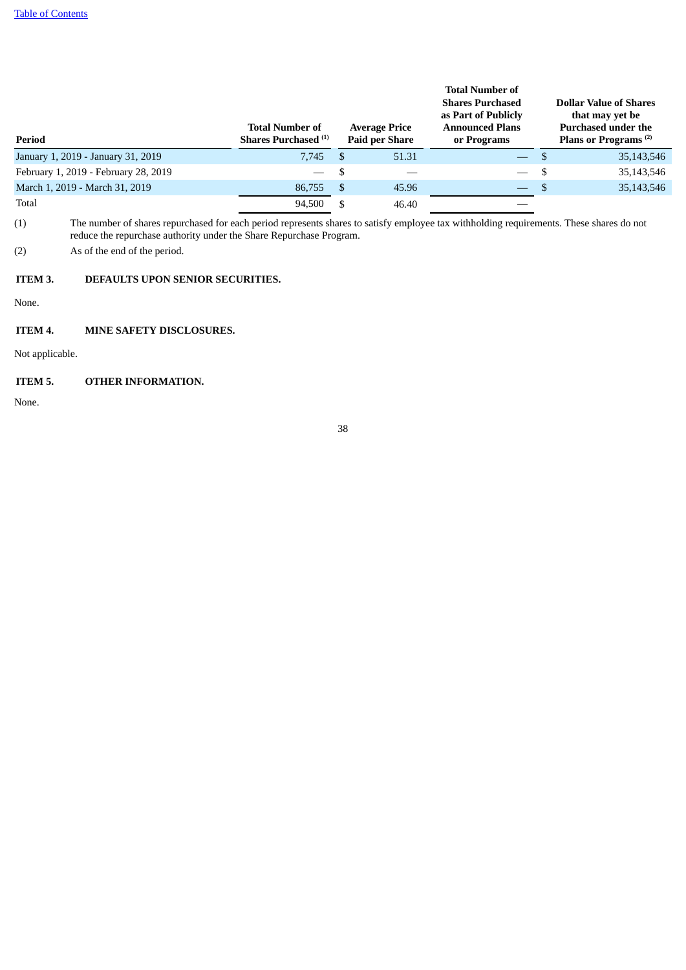| Period                               | <b>Total Number of</b><br><b>Shares Purchased</b> <sup>(1)</sup> |      | <b>Average Price</b><br><b>Paid per Share</b> | <b>Total Number of</b><br><b>Shares Purchased</b><br>as Part of Publicly<br><b>Announced Plans</b><br>or Programs |      | <b>Dollar Value of Shares</b><br>that may yet be<br>Purchased under the<br>Plans or Programs <sup>(2)</sup> |
|--------------------------------------|------------------------------------------------------------------|------|-----------------------------------------------|-------------------------------------------------------------------------------------------------------------------|------|-------------------------------------------------------------------------------------------------------------|
| January 1, 2019 - January 31, 2019   | 7,745                                                            | -\$  | 51.31                                         | $\frac{1}{2}$                                                                                                     |      | 35,143,546                                                                                                  |
| February 1, 2019 - February 28, 2019 |                                                                  | - \$ |                                               | $\overline{\phantom{0}}$                                                                                          |      | 35,143,546                                                                                                  |
| March 1, 2019 - March 31, 2019       | 86,755                                                           | S    | 45.96                                         | $\overline{\phantom{0}}$                                                                                          | - \$ | 35,143,546                                                                                                  |
| Total                                | 94,500                                                           |      | 46.40                                         |                                                                                                                   |      |                                                                                                             |

(1) The number of shares repurchased for each period represents shares to satisfy employee tax withholding requirements. These shares do not reduce the repurchase authority under the Share Repurchase Program.

<span id="page-39-0"></span>(2) As of the end of the period.

## **ITEM 3. DEFAULTS UPON SENIOR SECURITIES.**

<span id="page-39-1"></span>None.

## **ITEM 4. MINE SAFETY DISCLOSURES.**

<span id="page-39-2"></span>Not applicable.

## **ITEM 5. OTHER INFORMATION.**

None.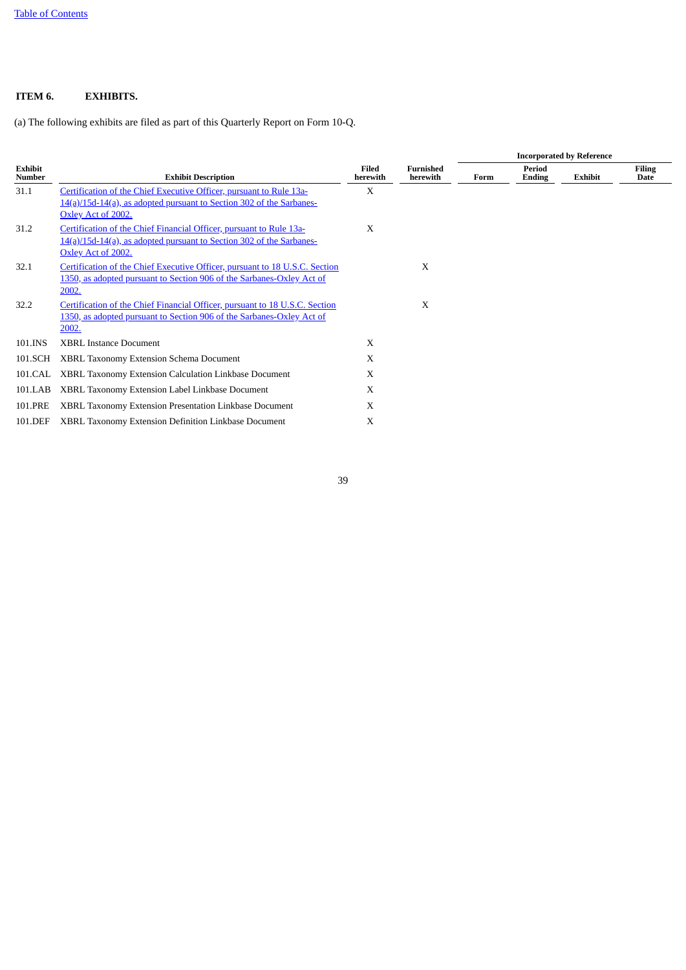# <span id="page-40-0"></span>**ITEM 6. EXHIBITS.**

(a) The following exhibits are filed as part of this Quarterly Report on Form 10-Q.

|                                 |                                                                                                                                                                   |                          |                              | <b>Incorporated by Reference</b> |                  |                |                       |
|---------------------------------|-------------------------------------------------------------------------------------------------------------------------------------------------------------------|--------------------------|------------------------------|----------------------------------|------------------|----------------|-----------------------|
| <b>Exhibit</b><br><b>Number</b> | <b>Exhibit Description</b>                                                                                                                                        | <b>Filed</b><br>herewith | <b>Furnished</b><br>herewith | Form                             | Period<br>Ending | <b>Exhibit</b> | <b>Filing</b><br>Date |
| 31.1                            | Certification of the Chief Executive Officer, pursuant to Rule 13a-<br>14(a)/15d-14(a), as adopted pursuant to Section 302 of the Sarbanes-<br>Oxley Act of 2002. | X                        |                              |                                  |                  |                |                       |
| 31.2                            | Certification of the Chief Financial Officer, pursuant to Rule 13a-<br>14(a)/15d-14(a), as adopted pursuant to Section 302 of the Sarbanes-<br>Oxley Act of 2002. | X                        |                              |                                  |                  |                |                       |
| 32.1                            | Certification of the Chief Executive Officer, pursuant to 18 U.S.C. Section<br>1350, as adopted pursuant to Section 906 of the Sarbanes-Oxley Act of<br>2002.     |                          | X                            |                                  |                  |                |                       |
| 32.2                            | Certification of the Chief Financial Officer, pursuant to 18 U.S.C. Section<br>1350, as adopted pursuant to Section 906 of the Sarbanes-Oxley Act of<br>2002.     |                          | X                            |                                  |                  |                |                       |
| 101.INS                         | <b>XBRL Instance Document</b>                                                                                                                                     | X                        |                              |                                  |                  |                |                       |
| 101.SCH                         | XBRL Taxonomy Extension Schema Document                                                                                                                           | X                        |                              |                                  |                  |                |                       |
| 101.CAL                         | XBRL Taxonomy Extension Calculation Linkbase Document                                                                                                             | X                        |                              |                                  |                  |                |                       |
| 101.LAB                         | XBRL Taxonomy Extension Label Linkbase Document                                                                                                                   | X                        |                              |                                  |                  |                |                       |
| 101.PRE                         | XBRL Taxonomy Extension Presentation Linkbase Document                                                                                                            | X                        |                              |                                  |                  |                |                       |
| 101.DEF                         | XBRL Taxonomy Extension Definition Linkbase Document                                                                                                              | X                        |                              |                                  |                  |                |                       |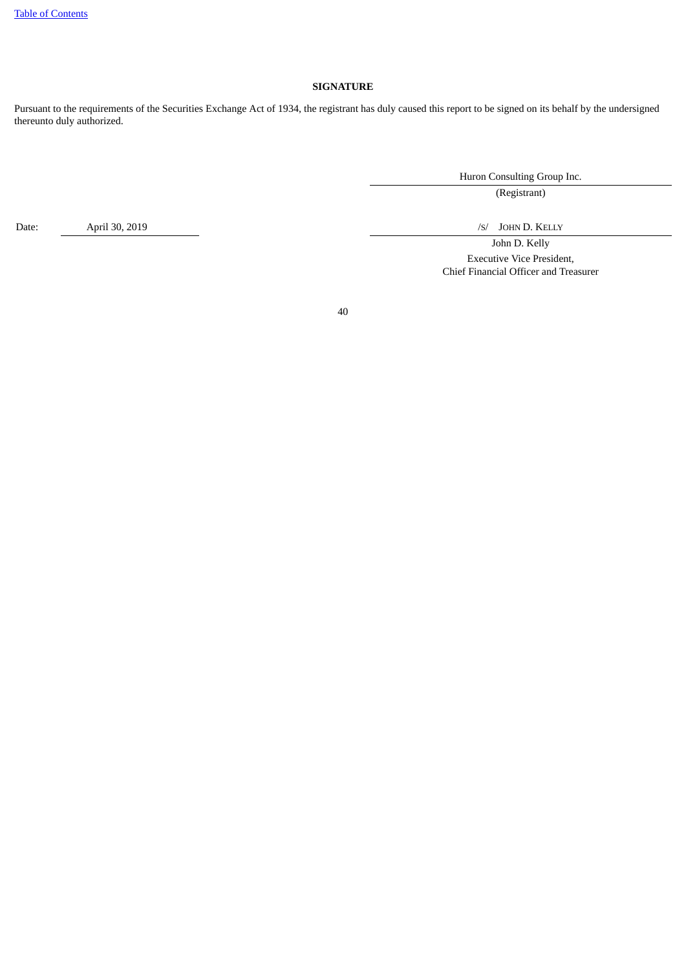## **SIGNATURE**

<span id="page-41-0"></span>Pursuant to the requirements of the Securities Exchange Act of 1934, the registrant has duly caused this report to be signed on its behalf by the undersigned thereunto duly authorized.

Huron Consulting Group Inc.

(Registrant)

John D. Kelly Executive Vice President, Chief Financial Officer and Treasurer

40

Date: April 30, 2019 /S/ JOHN D. KELLY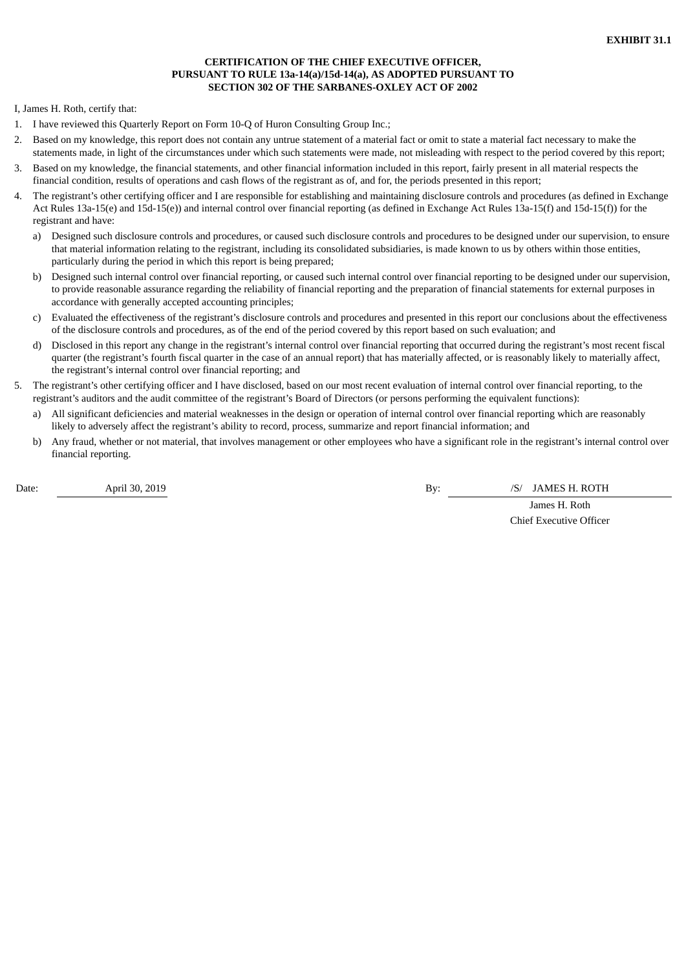## **CERTIFICATION OF THE CHIEF EXECUTIVE OFFICER, PURSUANT TO RULE 13a-14(a)/15d-14(a), AS ADOPTED PURSUANT TO SECTION 302 OF THE SARBANES-OXLEY ACT OF 2002**

<span id="page-42-0"></span>I, James H. Roth, certify that:

- 1. I have reviewed this Quarterly Report on Form 10-Q of Huron Consulting Group Inc.;
- 2. Based on my knowledge, this report does not contain any untrue statement of a material fact or omit to state a material fact necessary to make the statements made, in light of the circumstances under which such statements were made, not misleading with respect to the period covered by this report;
- 3. Based on my knowledge, the financial statements, and other financial information included in this report, fairly present in all material respects the financial condition, results of operations and cash flows of the registrant as of, and for, the periods presented in this report;
- 4. The registrant's other certifying officer and I are responsible for establishing and maintaining disclosure controls and procedures (as defined in Exchange Act Rules 13a-15(e) and 15d-15(e)) and internal control over financial reporting (as defined in Exchange Act Rules 13a-15(f) and 15d-15(f)) for the registrant and have:
	- a) Designed such disclosure controls and procedures, or caused such disclosure controls and procedures to be designed under our supervision, to ensure that material information relating to the registrant, including its consolidated subsidiaries, is made known to us by others within those entities, particularly during the period in which this report is being prepared;
	- b) Designed such internal control over financial reporting, or caused such internal control over financial reporting to be designed under our supervision, to provide reasonable assurance regarding the reliability of financial reporting and the preparation of financial statements for external purposes in accordance with generally accepted accounting principles;
	- c) Evaluated the effectiveness of the registrant's disclosure controls and procedures and presented in this report our conclusions about the effectiveness of the disclosure controls and procedures, as of the end of the period covered by this report based on such evaluation; and
	- d) Disclosed in this report any change in the registrant's internal control over financial reporting that occurred during the registrant's most recent fiscal quarter (the registrant's fourth fiscal quarter in the case of an annual report) that has materially affected, or is reasonably likely to materially affect, the registrant's internal control over financial reporting; and
- 5. The registrant's other certifying officer and I have disclosed, based on our most recent evaluation of internal control over financial reporting, to the registrant's auditors and the audit committee of the registrant's Board of Directors (or persons performing the equivalent functions):
	- a) All significant deficiencies and material weaknesses in the design or operation of internal control over financial reporting which are reasonably likely to adversely affect the registrant's ability to record, process, summarize and report financial information; and
	- b) Any fraud, whether or not material, that involves management or other employees who have a significant role in the registrant's internal control over financial reporting.

Date: April 30, 2019 April 30, 2019 By: By: /S/ JAMES H. ROTH

James H. Roth Chief Executive Officer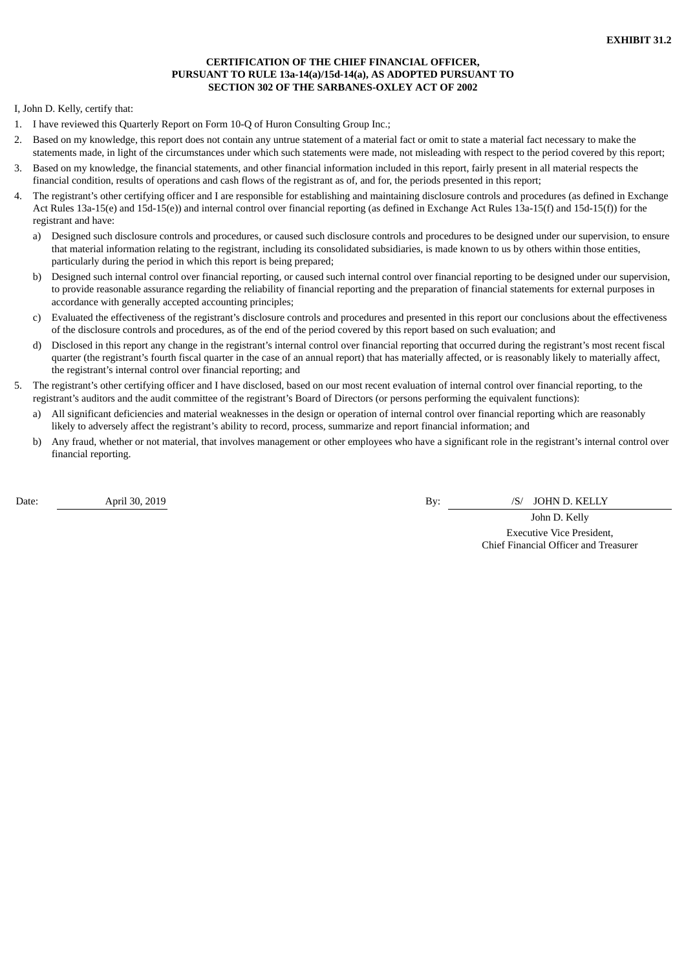## **CERTIFICATION OF THE CHIEF FINANCIAL OFFICER, PURSUANT TO RULE 13a-14(a)/15d-14(a), AS ADOPTED PURSUANT TO SECTION 302 OF THE SARBANES-OXLEY ACT OF 2002**

<span id="page-43-0"></span>I, John D. Kelly, certify that:

- 1. I have reviewed this Quarterly Report on Form 10-Q of Huron Consulting Group Inc.;
- 2. Based on my knowledge, this report does not contain any untrue statement of a material fact or omit to state a material fact necessary to make the statements made, in light of the circumstances under which such statements were made, not misleading with respect to the period covered by this report;
- 3. Based on my knowledge, the financial statements, and other financial information included in this report, fairly present in all material respects the financial condition, results of operations and cash flows of the registrant as of, and for, the periods presented in this report;
- 4. The registrant's other certifying officer and I are responsible for establishing and maintaining disclosure controls and procedures (as defined in Exchange Act Rules 13a-15(e) and 15d-15(e)) and internal control over financial reporting (as defined in Exchange Act Rules 13a-15(f) and 15d-15(f)) for the registrant and have:
	- a) Designed such disclosure controls and procedures, or caused such disclosure controls and procedures to be designed under our supervision, to ensure that material information relating to the registrant, including its consolidated subsidiaries, is made known to us by others within those entities, particularly during the period in which this report is being prepared;
	- b) Designed such internal control over financial reporting, or caused such internal control over financial reporting to be designed under our supervision, to provide reasonable assurance regarding the reliability of financial reporting and the preparation of financial statements for external purposes in accordance with generally accepted accounting principles;
	- c) Evaluated the effectiveness of the registrant's disclosure controls and procedures and presented in this report our conclusions about the effectiveness of the disclosure controls and procedures, as of the end of the period covered by this report based on such evaluation; and
	- d) Disclosed in this report any change in the registrant's internal control over financial reporting that occurred during the registrant's most recent fiscal quarter (the registrant's fourth fiscal quarter in the case of an annual report) that has materially affected, or is reasonably likely to materially affect, the registrant's internal control over financial reporting; and
- 5. The registrant's other certifying officer and I have disclosed, based on our most recent evaluation of internal control over financial reporting, to the registrant's auditors and the audit committee of the registrant's Board of Directors (or persons performing the equivalent functions):
	- a) All significant deficiencies and material weaknesses in the design or operation of internal control over financial reporting which are reasonably likely to adversely affect the registrant's ability to record, process, summarize and report financial information; and
	- b) Any fraud, whether or not material, that involves management or other employees who have a significant role in the registrant's internal control over financial reporting.

Date: April 30, 2019 **By:** /S/ JOHN D. KELLY

John D. Kelly Executive Vice President, Chief Financial Officer and Treasurer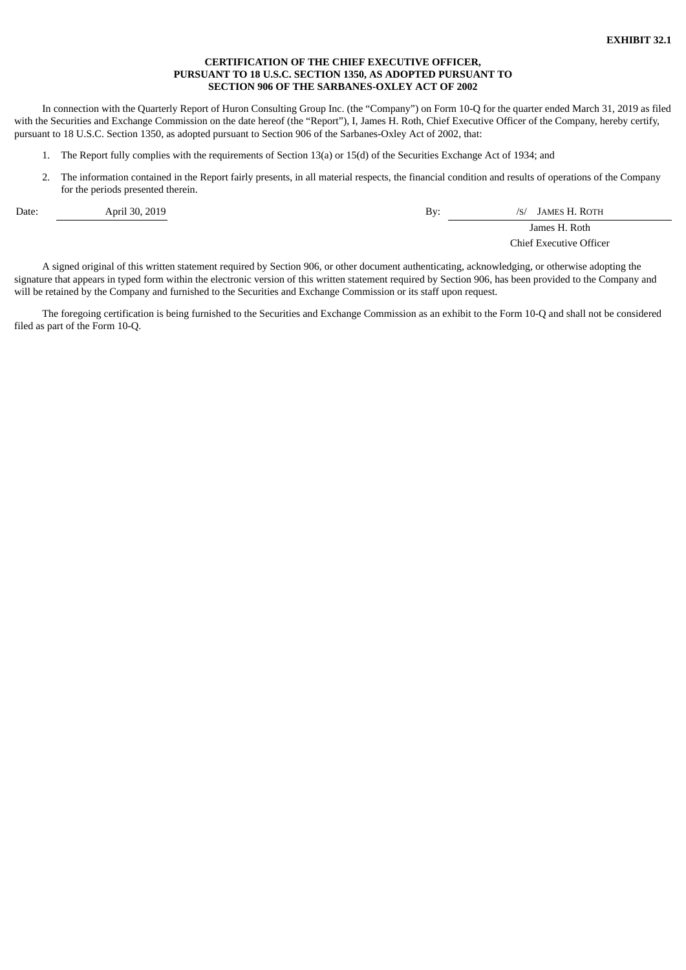## **CERTIFICATION OF THE CHIEF EXECUTIVE OFFICER, PURSUANT TO 18 U.S.C. SECTION 1350, AS ADOPTED PURSUANT TO SECTION 906 OF THE SARBANES-OXLEY ACT OF 2002**

<span id="page-44-0"></span>In connection with the Quarterly Report of Huron Consulting Group Inc. (the "Company") on Form 10-Q for the quarter ended March 31, 2019 as filed with the Securities and Exchange Commission on the date hereof (the "Report"), I, James H. Roth, Chief Executive Officer of the Company, hereby certify, pursuant to 18 U.S.C. Section 1350, as adopted pursuant to Section 906 of the Sarbanes-Oxley Act of 2002, that:

- 1. The Report fully complies with the requirements of Section 13(a) or 15(d) of the Securities Exchange Act of 1934; and
- 2. The information contained in the Report fairly presents, in all material respects, the financial condition and results of operations of the Company for the periods presented therein.

Date: April 30, 2019 April 30, 2019

James H. Roth

Chief Executive Officer

A signed original of this written statement required by Section 906, or other document authenticating, acknowledging, or otherwise adopting the signature that appears in typed form within the electronic version of this written statement required by Section 906, has been provided to the Company and will be retained by the Company and furnished to the Securities and Exchange Commission or its staff upon request.

The foregoing certification is being furnished to the Securities and Exchange Commission as an exhibit to the Form 10-Q and shall not be considered filed as part of the Form 10-Q.